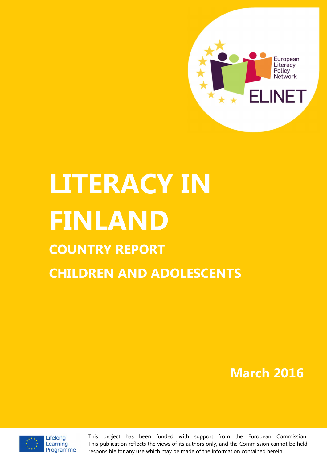

# **LITERACY IN FINLAND COUNTRY REPORT CHILDREN AND ADOLESCENTS**

# **March 2016**



This project has been funded with support from the European Commission. This publication reflects the views of its authors only, and the Commission cannot be held responsible for any use which may be made of the information contained herein.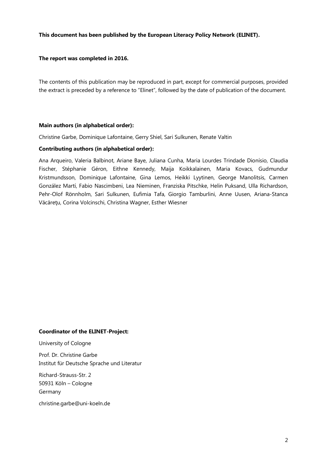#### **This document has been published by the European Literacy Policy Network (ELINET).**

#### **The report was completed in 2016.**

The contents of this publication may be reproduced in part, except for commercial purposes, provided the extract is preceded by a reference to "Elinet", followed by the date of publication of the document.

#### **Main authors (in alphabetical order):**

Christine Garbe, Dominique Lafontaine, Gerry Shiel, Sari Sulkunen, Renate Valtin

#### **Contributing authors (in alphabetical order):**

Ana Arqueiro, Valeria Balbinot, Ariane Baye, Juliana Cunha, Maria Lourdes Trindade Dionísio, Claudia Fischer, Stéphanie Géron, Eithne Kennedy, Maija Koikkalainen, Maria Kovacs, Gudmundur Kristmundsson, Dominique Lafontaine, Gina Lemos, Heikki Lyytinen, George Manolitsis, Carmen González Martí, Fabio Nascimbeni, Lea Nieminen, Franziska Pitschke, Helin Puksand, Ulla Richardson, Pehr-Olof Rönnholm, Sari Sulkunen, Eufimia Tafa, Giorgio Tamburlini, Anne Uusen, Ariana-Stanca Văcăreţu, Corina Volcinschi, Christina Wagner, Esther Wiesner

#### **Coordinator of the ELINET-Project:**

University of Cologne

Prof. Dr. Christine Garbe Institut für Deutsche Sprache und Literatur

Richard-Strauss-Str. 2 50931 Köln – Cologne Germany

christine.garbe@uni-koeln.de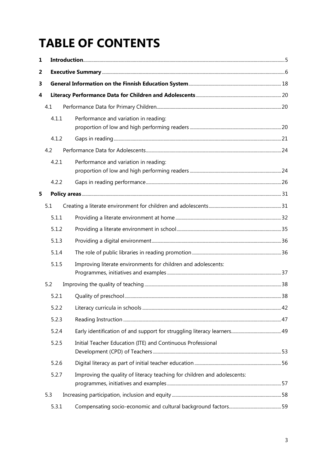# **TABLE OF CONTENTS**

| 1 |       |                                                                          |  |  |  |  |
|---|-------|--------------------------------------------------------------------------|--|--|--|--|
| 2 |       |                                                                          |  |  |  |  |
| 3 |       |                                                                          |  |  |  |  |
| 4 |       |                                                                          |  |  |  |  |
|   | 4.1   |                                                                          |  |  |  |  |
|   | 4.1.1 | Performance and variation in reading:                                    |  |  |  |  |
|   | 4.1.2 |                                                                          |  |  |  |  |
|   | 4.2   |                                                                          |  |  |  |  |
|   | 4.2.1 | Performance and variation in reading:                                    |  |  |  |  |
|   | 4.2.2 |                                                                          |  |  |  |  |
| 5 |       |                                                                          |  |  |  |  |
|   | 5.1   |                                                                          |  |  |  |  |
|   | 5.1.1 |                                                                          |  |  |  |  |
|   | 5.1.2 |                                                                          |  |  |  |  |
|   | 5.1.3 |                                                                          |  |  |  |  |
|   | 5.1.4 |                                                                          |  |  |  |  |
|   | 5.1.5 | Improving literate environments for children and adolescents:            |  |  |  |  |
|   | 5.2   |                                                                          |  |  |  |  |
|   | 5.2.1 |                                                                          |  |  |  |  |
|   | 5.2.2 |                                                                          |  |  |  |  |
|   | 5.2.3 |                                                                          |  |  |  |  |
|   | 5.2.4 |                                                                          |  |  |  |  |
|   | 5.2.5 | Initial Teacher Education (ITE) and Continuous Professional              |  |  |  |  |
|   | 5.2.6 |                                                                          |  |  |  |  |
|   | 5.2.7 | Improving the quality of literacy teaching for children and adolescents: |  |  |  |  |
|   | 5.3   |                                                                          |  |  |  |  |
|   | 5.3.1 |                                                                          |  |  |  |  |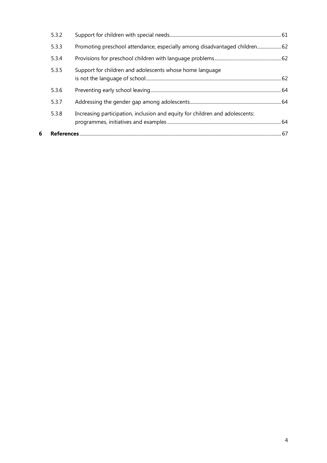| 6 |       |                                                                              |  |
|---|-------|------------------------------------------------------------------------------|--|
|   |       |                                                                              |  |
|   | 5.3.8 | Increasing participation, inclusion and equity for children and adolescents: |  |
|   | 5.3.7 |                                                                              |  |
|   | 5.3.6 |                                                                              |  |
|   | 5.3.5 | Support for children and adolescents whose home language                     |  |
|   | 5.3.4 |                                                                              |  |
|   | 5.3.3 | Promoting preschool attendance, especially among disadvantaged children 62   |  |
|   | 5.3.2 |                                                                              |  |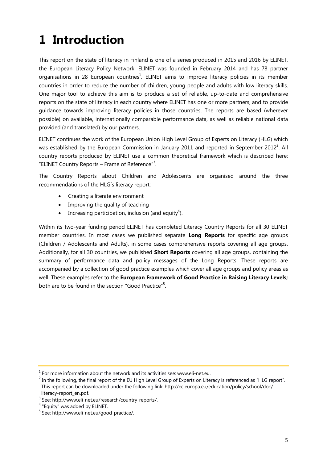# **1 Introduction**

This report on the state of literacy in Finland is one of a series produced in 2015 and 2016 by ELINET, the European Literacy Policy Network. ELINET was founded in February 2014 and has 78 partner organisations in 28 European countries<sup>1</sup>. ELINET aims to improve literacy policies in its member countries in order to reduce the number of children, young people and adults with low literacy skills. One major tool to achieve this aim is to produce a set of reliable, up-to-date and comprehensive reports on the state of literacy in each country where ELINET has one or more partners, and to provide guidance towards improving literacy policies in those countries. The reports are based (wherever possible) on available, internationally comparable performance data, as well as reliable national data provided (and translated) by our partners.

ELINET continues the work of the European Union High Level Group of Experts on Literacy (HLG) which was established by the European Commission in January 2011 and reported in September 2012<sup>2</sup>. All country reports produced by ELINET use a common theoretical framework which is described here: "ELINET Country Reports - Frame of Reference"<sup>3</sup>.

The Country Reports about Children and Adolescents are organised around the three recommendations of the HLG´s literacy report:

- · Creating a literate environment
- Improving the quality of teaching
- Increasing participation, inclusion (and equity<sup>4</sup>).

Within its two-year funding period ELINET has completed Literacy Country Reports for all 30 ELINET member countries. In most cases we published separate **Long Reports** for specific age groups (Children / Adolescents and Adults), in some cases comprehensive reports covering all age groups. Additionally, for all 30 countries, we published **Short Reports** covering all age groups, containing the summary of performance data and policy messages of the Long Reports. These reports are accompanied by a collection of good practice examples which cover all age groups and policy areas as well. These examples refer to the **European Framework of Good Practice in Raising Literacy Levels;**  both are to be found in the section "Good Practice"<sup>5</sup>.

 $1$  For more information about the network and its activities see: www.eli-net.eu.

 $2$  In the following, the final report of the EU High Level Group of Experts on Literacy is referenced as "HLG report". This report can be downloaded under the following link: http://ec.europa.eu/education/policy/school/doc/ literacy-report\_en.pdf.

<sup>3</sup> See: http://www.eli-net.eu/research/country-reports/.

<sup>4</sup> "Equity" was added by ELINET.

<sup>5</sup> See: http://www.eli-net.eu/good-practice/.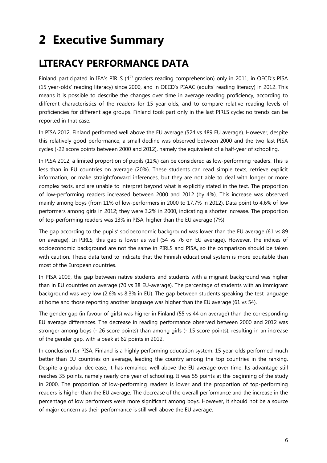# **2 Executive Summary**

### **LITERACY PERFORMANCE DATA**

Finland participated in IEA's PIRLS (4<sup>th</sup> graders reading comprehension) only in 2011, in OECD's PISA (15 year-olds' reading literacy) since 2000, and in OECD's PIAAC (adults' reading literacy) in 2012. This means it is possible to describe the changes over time in average reading proficiency, according to different characteristics of the readers for 15 year-olds, and to compare relative reading levels of proficiencies for different age groups. Finland took part only in the last PIRLS cycle: no trends can be reported in that case.

In PISA 2012, Finland performed well above the EU average (524 vs 489 EU average). However, despite this relatively good performance, a small decline was observed between 2000 and the two last PISA cycles (-22 score points between 2000 and 2012), namely the equivalent of a half-year of schooling.

In PISA 2012, a limited proportion of pupils (11%) can be considered as low-performing readers. This is less than in EU countries on average (20%). These students can read simple texts, retrieve explicit information, or make straightforward inferences, but they are not able to deal with longer or more complex texts, and are unable to interpret beyond what is explicitly stated in the text. The proportion of low-performing readers increased between 2000 and 2012 (by 4%). This increase was observed mainly among boys (from 11% of low-performers in 2000 to 17.7% in 2012). Data point to 4.6% of low performers among girls in 2012; they were 3.2% in 2000, indicating a shorter increase. The proportion of top-performing readers was 13% in PISA, higher than the EU average (7%).

The gap according to the pupils' socioeconomic background was lower than the EU average (61 vs 89 on average). In PIRLS, this gap is lower as well (54 vs 76 on EU average). However, the indices of socioeconomic background are not the same in PIRLS and PISA, so the comparison should be taken with caution. These data tend to indicate that the Finnish educational system is more equitable than most of the European countries.

In PISA 2009, the gap between native students and students with a migrant background was higher than in EU countries on average (70 vs 38 EU-average). The percentage of students with an immigrant background was very low (2.6% vs 8.3% in EU). The gap between students speaking the test language at home and those reporting another language was higher than the EU average (61 vs 54).

The gender gap (in favour of girls) was higher in Finland (55 vs 44 on average) than the corresponding EU average differences. The decrease in reading performance observed between 2000 and 2012 was stronger among boys (- 26 score points) than among girls (- 15 score points), resulting in an increase of the gender gap, with a peak at 62 points in 2012.

In conclusion for PISA, Finland is a highly performing education system: 15 year-olds performed much better than EU countries on average, leading the country among the top countries in the ranking. Despite a gradual decrease, it has remained well above the EU average over time. Its advantage still reaches 35 points, namely nearly one year of schooling. It was 55 points at the beginning of the study in 2000. The proportion of low-performing readers is lower and the proportion of top-performing readers is higher than the EU average. The decrease of the overall performance and the increase in the percentage of low performers were more significant among boys. However, it should not be a source of major concern as their performance is still well above the EU average.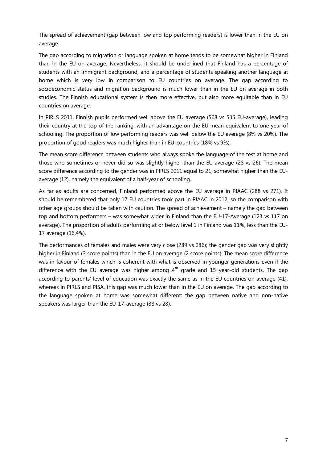The spread of achievement (gap between low and top performing readers) is lower than in the EU on average.

The gap according to migration or language spoken at home tends to be somewhat higher in Finland than in the EU on average. Nevertheless, it should be underlined that Finland has a percentage of students with an immigrant background, and a percentage of students speaking another language at home which is very low in comparison to EU countries on average. The gap according to socioeconomic status and migration background is much lower than in the EU on average in both studies. The Finnish educational system is then more effective, but also more equitable than in EU countries on average.

In PIRLS 2011, Finnish pupils performed well above the EU average (568 vs 535 EU-average), leading their country at the top of the ranking, with an advantage on the EU mean equivalent to one year of schooling. The proportion of low performing readers was well below the EU average (8% vs 20%). The proportion of good readers was much higher than in EU-countries (18% vs 9%).

The mean score difference between students who always spoke the language of the test at home and those who sometimes or never did so was slightly higher than the EU average (28 vs 26). The mean score difference according to the gender was in PIRLS 2011 equal to 21, somewhat higher than the EUaverage (12), namely the equivalent of a half-year of schooling.

As far as adults are concerned, Finland performed above the EU average in PIAAC (288 vs 271). It should be remembered that only 17 EU countries took part in PIAAC in 2012, so the comparison with other age groups should be taken with caution. The spread of achievement – namely the gap between top and bottom performers – was somewhat wider in Finland than the EU-17-Average (123 vs 117 on average). The proportion of adults performing at or below level 1 in Finland was 11%, less than the EU-17 average (16.4%).

The performances of females and males were very close (289 vs 286); the gender gap was very slightly higher in Finland (3 score points) than in the EU on average (2 score points). The mean score difference was in favour of females which is coherent with what is observed in younger generations even if the difference with the EU average was higher among  $4<sup>th</sup>$  grade and 15 year-old students. The gap according to parents' level of education was exactly the same as in the EU countries on average (41), whereas in PIRLS and PISA, this gap was much lower than in the EU on average. The gap according to the language spoken at home was somewhat different: the gap between native and non-native speakers was larger than the EU-17-average (38 vs 28).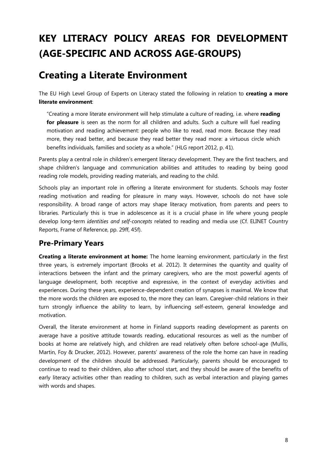## **KEY LITERACY POLICY AREAS FOR DEVELOPMENT (AGE-SPECIFIC AND ACROSS AGE-GROUPS)**

### **Creating a Literate Environment**

The EU High Level Group of Experts on Literacy stated the following in relation to **creating a more literate environment**:

"Creating a more literate environment will help stimulate a culture of reading, i.e. where **reading for pleasure** is seen as the norm for all children and adults. Such a culture will fuel reading motivation and reading achievement: people who like to read, read more. Because they read more, they read better, and because they read better they read more: a virtuous circle which benefits individuals, families and society as a whole." (HLG report 2012, p. 41).

Parents play a central role in children's emergent literacy development. They are the first teachers, and shape children's language and communication abilities and attitudes to reading by being good reading role models, providing reading materials, and reading to the child.

Schools play an important role in offering a literate environment for students. Schools may foster reading motivation and reading for pleasure in many ways. However, schools do not have sole responsibility. A broad range of actors may shape literacy motivation, from parents and peers to libraries. Particularly this is true in adolescence as it is a crucial phase in life where young people develop long-term *identities and self-concepts* related to reading and media use (Cf. ELINET Country Reports, Frame of Reference, pp. 29ff, 45f).

### **Pre-Primary Years**

**Creating a literate environment at home:** The home learning environment, particularly in the first three years, is extremely important (Brooks et al. 2012). It determines the quantity and quality of interactions between the infant and the primary caregivers, who are the most powerful agents of language development, both receptive and expressive, in the context of everyday activities and experiences. During these years, experience-dependent creation of synapses is maximal. We know that the more words the children are exposed to, the more they can learn. Caregiver-child relations in their turn strongly influence the ability to learn, by influencing self-esteem, general knowledge and motivation.

Overall, the literate environment at home in Finland supports reading development as parents on average have a positive attitude towards reading, educational resources as well as the number of books at home are relatively high, and children are read relatively often before school-age (Mullis, Martin, Foy & Drucker, 2012). However, parents' awareness of the role the home can have in reading development of the children should be addressed. Particularly, parents should be encouraged to continue to read to their children, also after school start, and they should be aware of the benefits of early literacy activities other than reading to children, such as verbal interaction and playing games with words and shapes.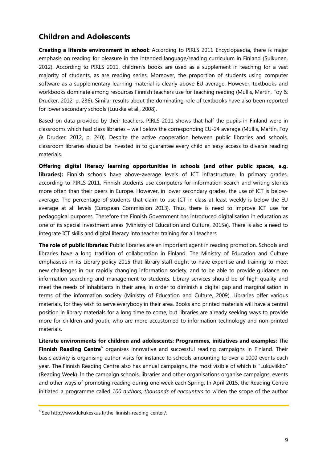### **Children and Adolescents**

**Creating a literate environment in school:** According to PIRLS 2011 Encyclopaedia, there is major emphasis on reading for pleasure in the intended language/reading curriculum in Finland (Sulkunen, 2012). According to PIRLS 2011, children's books are used as a supplement in teaching for a vast majority of students, as are reading series. Moreover, the proportion of students using computer software as a supplementary learning material is clearly above EU average. However, textbooks and workbooks dominate among resources Finnish teachers use for teaching reading (Mullis, Martin, Foy & Drucker, 2012, p. 236). Similar results about the dominating role of textbooks have also been reported for lower secondary schools (Luukka et al., 2008).

Based on data provided by their teachers, PIRLS 2011 shows that half the pupils in Finland were in classrooms which had class libraries – well below the corresponding EU-24 average (Mullis, Martin, Foy & Drucker, 2012, p. 240). Despite the active cooperation between public libraries and schools, classroom libraries should be invested in to guarantee every child an easy access to diverse reading materials.

**Offering digital literacy learning opportunities in schools (and other public spaces, e.g. libraries):** Finnish schools have above-average levels of ICT infrastructure. In primary grades, according to PIRLS 2011, Finnish students use computers for information search and writing stories more often than their peers in Europe. However, in lower secondary grades, the use of ICT is belowaverage. The percentage of students that claim to use ICT in class at least weekly is below the EU average at all levels (European Commission 2013). Thus, there is need to improve ICT use for pedagogical purposes. Therefore the Finnish Government has introduced digitalisation in education as one of its special investment areas (Ministry of Education and Culture, 2015e). There is also a need to integrate ICT skills and digital literacy into teacher training for all teachers

**The role of public libraries:** Public libraries are an important agent in reading promotion. Schools and libraries have a long tradition of collaboration in Finland. The Ministry of Education and Culture emphasises in its Library policy 2015 that library staff ought to have expertise and training to meet new challenges in our rapidly changing information society, and to be able to provide guidance on information searching and management to students. Library services should be of high quality and meet the needs of inhabitants in their area, in order to diminish a digital gap and marginalisation in terms of the information society (Ministry of Education and Culture, 2009). Libraries offer various materials, for they wish to serve everybody in their area. Books and printed materials will have a central position in library materials for a long time to come, but libraries are already seeking ways to provide more for children and youth, who are more accustomed to information technology and non-printed materials.

**Literate environments for children and adolescents: Programmes, initiatives and examples:** The **Finnish Reading Centre**<sup>6</sup> organises innovative and successful reading campaigns in Finland. Their basic activity is organising author visits for instance to schools amounting to over a 1000 events each year. The Finnish Reading Centre also has annual campaigns, the most visible of which is "Lukuviikko" (Reading Week). In the campaign schools, libraries and other organisations organise campaigns, events and other ways of promoting reading during one week each Spring. In April 2015, the Reading Centre initiated a programme called *100 authors, thousands of encounters* to widen the scope of the author

 $6$  See http://www.lukukeskus.fi/the-finnish-reading-center/.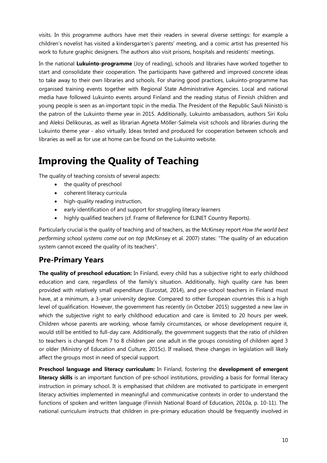visits. In this programme authors have met their readers in several diverse settings: for example a children's novelist has visited a kindersgarten's parents' meeting, and a comic artist has presented his work to future graphic designers. The authors also visit prisons, hospitals and residents' meetings.

In the national **Lukuinto-programme** (Joy of reading), schools and libraries have worked together to start and consolidate their cooperation. The participants have gathered and improved concrete ideas to take away to their own libraries and schools. For sharing good practices, Lukuinto-programme has organised training events together with Regional State Administrative Agencies. Local and national media have followed Lukuinto events around Finland and the reading status of Finnish children and young people is seen as an important topic in the media. The President of the Republic Sauli Niinistö is the patron of the Lukuinto theme year in 2015. Additionally, Lukuinto ambassadors, authors Siri Kolu and Aleksi Delikouras, as well as librarian Agneta Möller-Salmela visit schools and libraries during the Lukuinto theme year - also virtually. Ideas tested and produced for cooperation between schools and libraries as well as for use at home can be found on the Lukuinto website.

### **Improving the Quality of Teaching**

The quality of teaching consists of several aspects:

- · the quality of preschool
- · coherent literacy curricula
- · high-quality reading instruction,
- early identification of and support for struggling literacy learners
- · highly qualified teachers (cf. Frame of Reference for ELINET Country Reports).

Particularly crucial is the quality of teaching and of teachers, as the McKinsey report *How the world best performing school systems come out on top* (McKinsey et al. 2007) states: "The quality of an education system cannot exceed the quality of its teachers".

### **Pre-Primary Years**

**The quality of preschool education:** In Finland, every child has a subjective right to early childhood education and care, regardless of the family's situation. Additionally, high quality care has been provided with relatively small expenditure (Eurostat, 2014), and pre-school teachers in Finland must have, at a minimum, a 3-year university degree. Compared to other European countries this is a high level of qualification. However, the government has recently (in October 2015) suggested a new law in which the subjective right to early childhood education and care is limited to 20 hours per week. Children whose parents are working, whose family circumstances, or whose development require it, would still be entitled to full-day care. Additionally, the government suggests that the ratio of children to teachers is changed from 7 to 8 children per one adult in the groups consisting of children aged 3 or older (Ministry of Education and Culture, 2015c). If realised, these changes in legislation will likely affect the groups most in need of special support.

**Preschool language and literacy curriculum:** In Finland, fostering the **development of emergent literacy skills** is an important function of pre-school institutions, providing a basis for formal literacy instruction in primary school. It is emphasised that children are motivated to participate in emergent literacy activities implemented in meaningful and communicative contexts in order to understand the functions of spoken and written language (Finnish National Board of Education, 2010a, p. 10-11). The national curriculum instructs that children in pre-primary education should be frequently involved in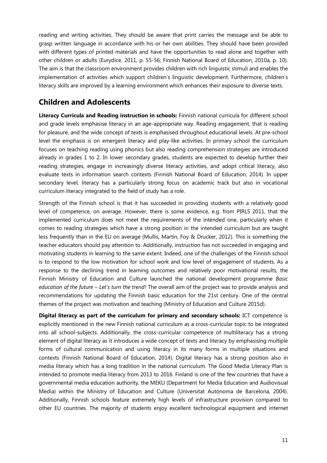reading and writing activities. They should be aware that print carries the message and be able to grasp written language in accordance with his or her own abilities. They should have been provided with different types of printed materials and have the opportunities to read alone and together with other children or adults (Eurydice, 2011, p. 55-56; Finnish National Board of Education, 2010a, p. 10). The aim is that the classroom environment provides children with rich linguistic stimuli and enables the implementation of activities which support children's linguistic development. Furthermore, children's literacy skills are improved by a learning environment which enhances their exposure to diverse texts.

### **Children and Adolescents**

**Literacy Curricula and Reading instruction in schools:** Finnish national curricula for different school and grade levels emphasise literacy in an age-appropriate way. Reading engagement, that is reading for pleasure, and the wide concept of texts is emphasised throughout educational levels. At pre-school level the emphasis is on emergent literacy and play-like activities. In primary school the curriculum focuses on teaching reading using phonics but also reading comprehension strategies are introduced already in grades 1 to 2. In lower secondary grades, students are expected to develop further their reading strategies, engage in increasingly diverse literacy activities, and adopt critical literacy, also evaluate texts in information search contexts (Finnish National Board of Education, 2014). In upper secondary level, literacy has a particularly strong focus on academic track but also in vocational curriculum literacy integrated to the field of study has a role.

Strength of the Finnish school is that it has succeeded in providing students with a relatively good level of competence, on average. However, there is some evidence, e.g. from PIRLS 2011, that the implemented curriculum does not meet the requirements of the intended one, particularly when it comes to reading strategies which have a strong position in the intended curriculum but are taught less frequently than in the EU on average (Mullis, Martin, Foy & Drucker, 2012). This is something the teacher educators should pay attention to. Additionally, instruction has not succeeded in engaging and motivating students in learning to the same extent. Indeed, one of the challenges of the Finnish school is to respond to the low motivation for school work and low level of engagement of students. As a response to the declining trend in learning outcomes and relatively poor motivational results, the Finnish Ministry of Education and Culture launched the national development programme *Basic education of the future – Let's turn the trend!* The overall aim of the project was to provide analysis and recommendations for updating the Finnish basic education for the 21st century. One of the central themes of the project was motivation and teaching (Ministry of Education and Culture 2015d).

**Digital literacy as part of the curriculum for primary and secondary schools:** ICT competence is explicitly mentioned in the new Finnish national curriculum as a cross-curricular topic to be integrated into all school-subjects. Additionally, the cross-curricular competence of multiliteracy has a strong element of digital literacy as it introduces a wide concept of texts and literacy by emphasising multiple forms of cultural communication and using literacy in its many forms in multiple situations and contexts (Finnish National Board of Education, 2014). Digital literacy has a strong position also in media literacy which has a long tradition in the national curriculum. The Good Media Literacy Plan is intended to promote media literacy from 2013 to 2016. Finland is one of the few countries that have a governmental media education authority, the MEKU (Department for Media Education and Audiovisual Media) within the Ministry of Education and Culture (Universitat Autònoma de Barcelona, 2004). Additionally, Finnish schools feature extremely high levels of infrastructure provision compared to other EU countries. The majority of students enjoy excellent technological equipment and internet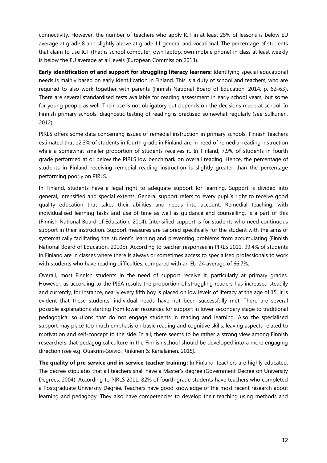connectivity. However, the number of teachers who apply ICT in at least 25% of lessons is below EU average at grade 8 and slightly above at grade 11 general and vocational. The percentage of students that claim to use ICT (that is school computer, own laptop, own mobile phone) in class at least weekly is below the EU average at all levels (European Commission 2013).

**Early identification of and support for struggling literacy learners:** Identifying special educational needs is mainly based on early identification in Finland. This is a duty of school and teachers, who are required to also work together with parents (Finnish National Board of Education, 2014, p. 62–63). There are several standardised tests available for reading assessment in early school years, but some for young people as well. Their use is not obligatory but depends on the decisions made at school. In Finnish primary schools, diagnostic testing of reading is practised somewhat regularly (see Sulkunen, 2012).

PIRLS offers some data concerning issues of remedial instruction in primary schools. Finnish teachers estimated that 12.3% of students in fourth grade in Finland are in need of remedial reading instruction while a somewhat smaller proportion of students receives it. In Finland, 7.9% of students in fourth grade performed at or below the PIRLS low benchmark on overall reading. Hence, the percentage of students in Finland receiving remedial reading instruction is slightly greater than the percentage performing poorly on PIRLS.

In Finland, students have a legal right to adequate support for learning. Support is divided into general, intensified and special extents. General support refers to every pupil's right to receive good quality education that takes their abilities and needs into account. Remedial teaching, with individualised learning tasks and use of time as well as guidance and counselling, is a part of this (Finnish National Board of Education, 2014). Intensified support is for students who need continuous support in their instruction. Support measures are tailored specifically for the student with the aims of systematically facilitating the student's learning and preventing problems from accumulating (Finnish National Board of Education, 2010b). According to teacher responses in PIRLS 2011, 99.4% of students in Finland are in classes where there is always or sometimes access to specialised professionals to work with students who have reading difficulties, compared with an EU-24 average of 66.7%.

Overall, most Finnish students in the need of support receive it, particularly at primary grades. However, as according to the PISA results the proportion of struggling readers has increased steadily and currently, for instance, nearly every fifth boy is placed on low levels of literacy at the age of 15, it is evident that these students' individual needs have not been successfully met. There are several possible explanations starting from lower resources for support in lower secondary stage to traditional pedagogical solutions that do not engage students in reading and learning. Also the specialised support may place too much emphasis on basic reading and cognitive skills, leaving aspects related to motivation and self-concept to the side. In all, there seems to be rather a strong view among Finnish researchers that pedagogical culture in the Finnish school should be developed into a more engaging direction (see e.g. Ouakrim-Soivio, Rinkinen & Karjalainen, 2015*).*

**The quality of pre-service and in-service teacher training:** In Finland, teachers are highly educated. The decree stipulates that all teachers shall have a Master's degree (Government Decree on University Degrees, 2004). According to PIRLS 2011, 82% of fourth grade students have teachers who completed a Postgraduate University Degree. Teachers have good knowledge of the most recent research about learning and pedagogy. They also have competencies to develop their teaching using methods and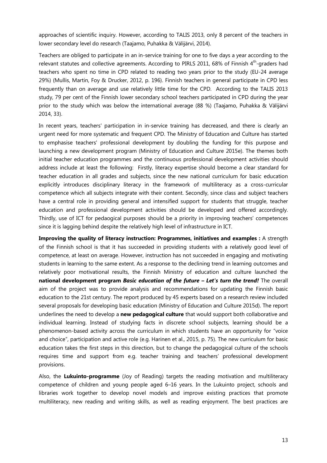approaches of scientific inquiry. However, according to TALIS 2013, only 8 percent of the teachers in lower secondary level do research (Taajamo, Puhakka & Välijärvi, 2014).

Teachers are obliged to participate in an in-service training for one to five days a year according to the relevant statutes and collective agreements. According to PIRLS 2011, 68% of Finnish  $4^{\text{th}}$ -graders had teachers who spent no time in CPD related to reading two years prior to the study (EU-24 average 29%) (Mullis, Martin, Foy & Drucker, 2012, p. 196). Finnish teachers in general participate in CPD less frequently than on average and use relatively little time for the CPD. According to the TALIS 2013 study, 79 per cent of the Finnish lower secondary school teachers participated in CPD during the year prior to the study which was below the international average (88 %) (Taajamo, Puhakka & Välijärvi 2014, 33).

In recent years, teachers' participation in in-service training has decreased, and there is clearly an urgent need for more systematic and frequent CPD. The Ministry of Education and Culture has started to emphasise teachers' professional development by doubling the funding for this purpose and launching a new development program (Ministry of Education and Culture 2015e). The themes both initial teacher education programmes and the continuous professional development activities should address include at least the following: Firstly, literacy expertise should become a clear standard for teacher education in all grades and subjects, since the new national curriculum for basic education explicitly introduces disciplinary literacy in the framework of multiliteracy as a cross-curricular competence which all subjects integrate with their content. Secondly, since class and subject teachers have a central role in providing general and intensified support for students that struggle, teacher education and professional development activities should be developed and offered accordingly. Thirdly, use of ICT for pedaogical purposes should be a priority in improving teachers' competences since it is lagging behind despite the relatively high level of infrastructure in ICT.

**Improving the quality of literacy instruction: Programmes, initiatives and examples :** A strength of the Finnish school is that it has succeeded in providing students with a relatively good level of competence, at least on average. However, instruction has not succeeded in engaging and motivating students in learning to the same extent. As a response to the declining trend in learning outcomes and relatively poor motivational results, the Finnish Ministry of education and culture launched the **national development program** *Basic education of the future – Let's turn the trend!* The overall aim of the project was to provide analysis and recommendations for updating the Finnish basic education to the 21st century. The report produced by 45 experts based on a research review included several proposals for developing basic education (Ministry of Education and Culture 2015d). The report underlines the need to develop a **new pedagogical culture** that would support both collaborative and individual learning. Instead of studying facts in discrete school subjects, learning should be a phenomenon-based activity across the curriculum in which students have an opportunity for "voice and choice", participation and active role (e.g. Harinen et al., 2015, p. 75). The new curriculum for basic education takes the first steps in this direction, but to change the pedagogical culture of the schools requires time and support from e.g. teacher training and teachers' professional development provisions.

Also, the **Lukuinto-programme** (Joy of Reading) targets the reading motivation and multiliteracy competence of children and young people aged 6–16 years. In the Lukuinto project, schools and libraries work together to develop novel models and improve existing practices that promote multiliteracy, new reading and writing skills, as well as reading enjoyment. The best practices are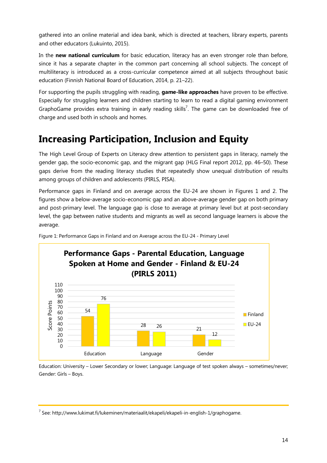gathered into an online material and idea bank, which is directed at teachers, library experts, parents and other educators (Lukuinto, 2015).

In the **new national curriculum** for basic education, literacy has an even stronger role than before, since it has a separate chapter in the common part concerning all school subjects. The concept of multiliteracy is introduced as a cross-curricular competence aimed at all subjects throughout basic education (Finnish National Board of Education, 2014, p. 21–22).

For supporting the pupils struggling with reading, **game-like approaches** have proven to be effective. Especially for struggling learners and children starting to learn to read a digital gaming environment GraphoGame provides extra training in early reading skills<sup>7</sup>. The game can be downloaded free of charge and used both in schools and homes.

### **Increasing Participation, Inclusion and Equity**

The High Level Group of Experts on Literacy drew attention to persistent gaps in literacy, namely the gender gap, the socio-economic gap, and the migrant gap (HLG Final report 2012, pp. 46–50). These gaps derive from the reading literacy studies that repeatedly show unequal distribution of results among groups of children and adolescents (PIRLS, PISA).

Performance gaps in Finland and on average across the EU-24 are shown in Figures 1 and 2. The figures show a below-average socio-economic gap and an above-average gender gap on both primary and post-primary level. The language gap is close to average at primary level but at post-secondary level, the gap between native students and migrants as well as second language learners is above the average.



Figure 1: Performance Gaps in Finland and on Average across the EU-24 - Primary Level

Education: University – Lower Secondary or lower; Language: Language of test spoken always – sometimes/never; Gender: Girls – Boys.

 $<sup>7</sup>$  See: http://www.lukimat.fi/lukeminen/materiaalit/ekapeli/ekapeli-in-english-1/graphogame.</sup>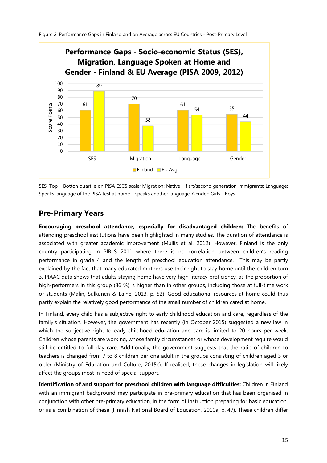

SES: Top – Botton quartile on PISA ESCS scale; Migration: Native – fisrt/second generation immigrants; Language: Speaks language of the PISA test at home – speaks another language; Gender: Girls - Boys

### **Pre-Primary Years**

**Encouraging preschool attendance, especially for disadvantaged children:** The benefits of attending preschool institutions have been highlighted in many studies. The duration of attendance is associated with greater academic improvement (Mullis et al. 2012). However, Finland is the only country participating in PIRLS 2011 where there is no correlation between children's reading performance in grade 4 and the length of preschool education attendance. This may be partly explained by the fact that many educated mothers use their right to stay home until the children turn 3. PIAAC data shows that adults staying home have very high literacy proficiency, as the proportion of high-performers in this group (36 %) is higher than in other groups, including those at full-time work or students (Malin, Sulkunen & Laine, 2013, p. 52). Good educational resources at home could thus partly explain the relatively good performance of the small number of children cared at home.

In Finland, every child has a subjective right to early childhood education and care, regardless of the family's situation. However, the government has recently (in October 2015) suggested a new law in which the subjective right to early childhood education and care is limited to 20 hours per week. Children whose parents are working, whose family circumstances or whose development require would still be entitled to full-day care. Additionally, the government suggests that the ratio of children to teachers is changed from 7 to 8 children per one adult in the groups consisting of children aged 3 or older (Ministry of Education and Culture, 2015c). If realised, these changes in legislation will likely affect the groups most in need of special support.

**Identification of and support for preschool children with language difficulties:** Children in Finland with an immigrant background may participate in pre-primary education that has been organised in conjunction with other pre-primary education, in the form of instruction preparing for basic education, or as a combination of these (Finnish National Board of Education, 2010a, p. 47). These children differ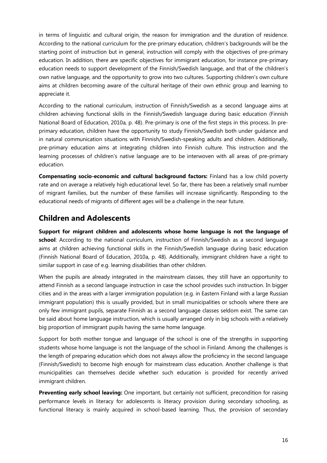in terms of linguistic and cultural origin, the reason for immigration and the duration of residence. According to the national curriculum for the pre-primary education, children's backgrounds will be the starting point of instruction but in general, instruction will comply with the objectives of pre-primary education. In addition, there are specific objectives for immigrant education, for instance pre-primary education needs to support development of the Finnish/Swedish language, and that of the children's own native language, and the opportunity to grow into two cultures. Supporting children's own culture aims at children becoming aware of the cultural heritage of their own ethnic group and learning to appreciate it.

According to the national curriculum, instruction of Finnish/Swedish as a second language aims at children achieving functional skills in the Finnish/Swedish language during basic education (Finnish National Board of Education, 2010a, p. 48). Pre-primary is one of the first steps in this process. In preprimary education, children have the opportunity to study Finnish/Swedish both under guidance and in natural communication situations with Finnish/Swedish-speaking adults and children. Additionally, pre-primary education aims at integrating children into Finnish culture. This instruction and the learning processes of children's native language are to be interwoven with all areas of pre-primary education.

**Compensating socio-economic and cultural background factors:** Finland has a low child poverty rate and on average a relatively high educational level. So far, there has been a relatively small number of migrant families, but the number of these families will increase significantly. Responding to the educational needs of migrants of different ages will be a challenge in the near future.

### **Children and Adolescents**

**Support for migrant children and adolescents whose home language is not the language of school**: According to the national curriculum, instruction of Finnish/Swedish as a second language aims at children achieving functional skills in the Finnish/Swedish language during basic education (Finnish National Board of Education, 2010a, p. 48). Additionally, immigrant children have a right to similar support in case of e.g. learning disabilities than other children.

When the pupils are already integrated in the mainstream classes, they still have an opportunity to attend Finnish as a second language instruction in case the school provides such instruction. In bigger cities and in the areas with a larger immigration population (e.g. in Eastern Finland with a large Russian immigrant population) this is usually provided, but in small municipalities or schools where there are only few immigrant pupils, separate Finnish as a second language classes seldom exist. The same can be said about home language instruction, which is usually arranged only in big schools with a relatively big proportion of immigrant pupils having the same home language.

Support for both mother tongue and language of the school is one of the strengths in supporting students whose home language is not the language of the school in Finland. Among the challenges is the length of preparing education which does not always allow the proficiency in the second language (Finnish/Swedish) to become high enough for mainstream class education. Another challenge is that municipalities can themselves decide whether such education is provided for recently arrived immigrant children.

**Preventing early school leaving:** One important, but certainly not sufficient, precondition for raising performance levels in literacy for adolescents is literacy provision during secondary schooling, as functional literacy is mainly acquired in school-based learning. Thus, the provision of secondary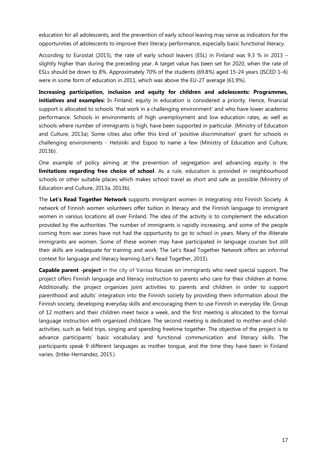education for all adolescents, and the prevention of early school leaving may serve as indicators for the opportunities of adolescents to improve their literacy performance, especially basic functional literacy.

According to Eurostat (2015), the rate of early school leavers (ESL) in Finland was 9.3 % in 2013 – slightly higher than during the preceding year. A target value has been set for 2020, when the rate of ESLs should be down to 8%. Approximately 70% of the students (69.8%) aged 15-24 years (ISCED 1–6) were in some form of education in 2011, which was above the EU-27 average (61.9%).

**Increasing participation, inclusion and equity for children and adolescents: Programmes, initiatives and examples:** In Finland, equity in education is considered a priority. Hence, financial support is allocated to schools 'that work in a challenging environment' and who have lower academic performance. Schools in environments of high unemployment and low education rates, as well as schools where number of immigrants is high, have been supported in particular. (Ministry of Education and Culture, 2013a). Some cities also offer this kind of 'positive discrimination' grant for schools in challenging environments - Helsinki and Espoo to name a few (Ministry of Education and Culture, 2013b).

One example of policy aiming at the prevention of segregation and advancing equity is the **limitations regarding free choice of school**. As a rule, education is provided in neighbourhood schools or other suitable places which makes school travel as short and safe as possible (Ministry of Education and Culture, 2013a, 2013b).

The **Let's Read Together Network** supports immigrant women in integrating into Finnish Society. A network of Finnish women volunteers offer tuition in literacy and the Finnish language to immigrant women in various locations all over Finland. The idea of the activity is to complement the education provided by the authorities. The number of immigrants is rapidly increasing, and some of the people coming from war zones have not had the opportunity to go to school in years. Many of the illiterate immigrants are women. Some of these women may have participated in language courses but still their skills are inadequate for training and work. The Let's Read Together Network offers an informal context for language and literacy learning (Let's Read Together, 2015).

**Capable parent -project** in the city of Vantaa focuses on immigrants who need special support. The project offers Finnish language and literacy instruction to parents who care for their children at home. Additionally, the project organizes joint activities to parents and children in order to support parenthood and adults' integration into the Finnish society by providing them information about the Finnish society, developing everyday skills and encouraging them to use Finnish in everyday life. Group of 12 mothers and their children meet twice a week, and the first meeting is allocated to the formal language instruction with organized childcare. The second meeting is dedicated to mother-and-childactivities, such as field trips, singing and spending freetime together. The objective of the project is to advance participants' basic vocabulary and functional communication and literacy skills. The participants speak 9 different languages as mother tongue, and the time they have been in Finland varies. (Intke-Hernandez, 2015.)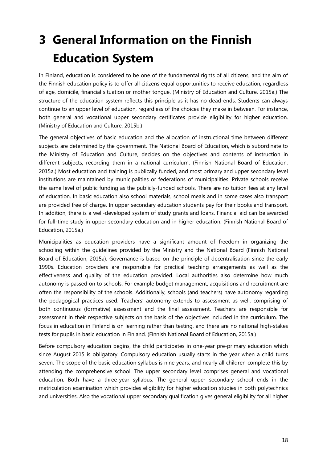# **3 General Information on the Finnish Education System**

In Finland, education is considered to be one of the fundamental rights of all citizens, and the aim of the Finnish education policy is to offer all citizens equal opportunities to receive education, regardless of age, domicile, financial situation or mother tongue. (Ministry of Education and Culture, 2015a.) The structure of the education system reflects this principle as it has no dead-ends. Students can always continue to an upper level of education, regardless of the choices they make in between. For instance, both general and vocational upper secondary certificates provide eligibility for higher education. (Ministry of Education and Culture, 2015b.)

The general objectives of basic education and the allocation of instructional time between different subjects are determined by the government. The National Board of Education, which is subordinate to the Ministry of Education and Culture, decides on the objectives and contents of instruction in different subjects, recording them in a national curriculum. (Finnish National Board of Education, 2015a.) Most education and training is publically funded, and most primary and upper secondary level institutions are maintained by municipalities or federations of municipalities. Private schools receive the same level of public funding as the publicly-funded schools. There are no tuition fees at any level of education. In basic education also school materials, school meals and in some cases also transport are provided free of charge. In upper secondary education students pay for their books and transport. In addition, there is a well-developed system of study grants and loans. Financial aid can be awarded for full-time study in upper secondary education and in higher education. (Finnish National Board of Education, 2015a.)

Municipalities as education providers have a significant amount of freedom in organizing the schooling within the guidelines provided by the Ministry and the National Board (Finnish National Board of Education, 2015a). Governance is based on the principle of decentralisation since the early 1990s. Education providers are responsible for practical teaching arrangements as well as the effectiveness and quality of the education provided. Local authorities also determine how much autonomy is passed on to schools. For example budget management, acquisitions and recruitment are often the responsibility of the schools. Additionally, schools (and teachers) have autonomy regarding the pedagogical practices used. Teachers' autonomy extends to assessment as well, comprising of both continuous (formative) assessment and the final assessment. Teachers are responsible for assessment in their respective subjects on the basis of the objectives included in the curriculum. The focus in education in Finland is on learning rather than testing, and there are no national high-stakes tests for pupils in basic education in Finland. (Finnish National Board of Education, 2015a.)

Before compulsory education begins, the child participates in one-year pre-primary education which since August 2015 is obligatory. Compulsory education usually starts in the year when a child turns seven. The scope of the basic education syllabus is nine years, and nearly all children complete this by attending the comprehensive school. The upper secondary level comprises general and vocational education. Both have a three-year syllabus. The general upper secondary school ends in the matriculation examination which provides eligibility for higher education studies in both polytechnics and universities. Also the vocational upper secondary qualification gives general eligibility for all higher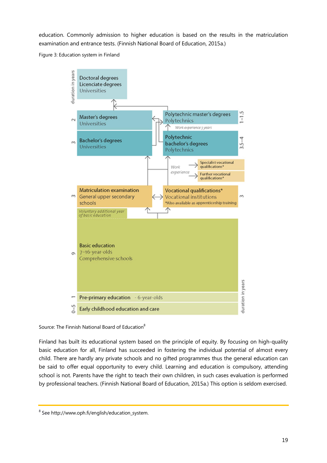education. Commonly admission to higher education is based on the results in the matriculation examination and entrance tests. (Finnish National Board of Education, 2015a.)

Figure 3: Education system in Finland



Source: The Finnish National Board of Education<sup>8</sup>

Finland has built its educational system based on the principle of equity. By focusing on high-quality basic education for all, Finland has succeeded in fostering the individual potential of almost every child. There are hardly any private schools and no gifted programmes thus the general education can be said to offer equal opportunity to every child. Learning and education is compulsory, attending school is not. Parents have the right to teach their own children, in such cases evaluation is performed by professional teachers. (Finnish National Board of Education, 2015a.) This option is seldom exercised.

<sup>&</sup>lt;sup>8</sup> See http://www.oph.fi/english/education\_system.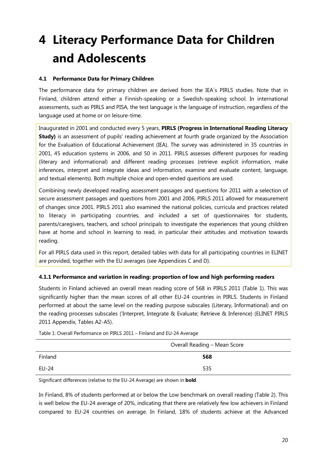# **4 Literacy Performance Data for Children and Adolescents**

#### **4.1 Performance Data for Primary Children**

The performance data for primary children are derived from the IEA´s PIRLS studies. Note that in Finland, children attend either a Finnish-speaking or a Swedish-speaking school. In international assessments, such as PIRLS and PISA, the test language is the language of instruction, regardless of the language used at home or on leisure-time.

Inaugurated in 2001 and conducted every 5 years, **PIRLS (Progress in International Reading Literacy Study)** is an assessment of pupils' reading achievement at fourth grade organized by the Association for the Evaluation of Educational Achievement (IEA). The survey was administered in 35 countries in 2001, 45 education systems in 2006, and 50 in 2011. PIRLS assesses different purposes for reading (literary and informational) and different reading processes (retrieve explicit information, make inferences, interpret and integrate ideas and information, examine and evaluate content, language, and textual elements). Both multiple choice and open-ended questions are used.

Combining newly developed reading assessment passages and questions for 2011 with a selection of secure assessment passages and questions from 2001 and 2006, PIRLS 2011 allowed for measurement of changes since 2001. PIRLS 2011 also examined the national policies, curricula and practices related to literacy in participating countries, and included a set of questionnaires for students, parents/caregivers, teachers, and school principals to investigate the experiences that young children have at home and school in learning to read, in particular their attitudes and motivation towards reading.

For all PIRLS data used in this report, detailed tables with data for all participating countries in ELINET are provided, together with the EU averages (see Appendices C and D).

#### **4.1.1 Performance and variation in reading: proportion of low and high performing readers**

Students in Finland achieved an overall mean reading score of 568 in PIRLS 2011 (Table 1). This was significantly higher than the mean scores of all other EU-24 countries in PIRLS. Students in Finland performed at about the same level on the reading purpose subscales (Literary, Informational) and on the reading processes subscales ('Interpret, Integrate & Evaluate; Retrieve & Inference) (ELINET PIRLS 2011 Appendix, Tables A2-A5).

|              | Overall Reading - Mean Score |
|--------------|------------------------------|
| Finland      | 568                          |
| <b>EU-24</b> | 535                          |

Table 1: Overall Performance on PIRLS 2011 – Finland and EU-24 Average

Significant differences (relative to the EU-24 Average) are shown in **bold**.

In Finland, 8% of students performed at or below the Low benchmark on overall reading (Table 2). This is well below the EU-24 average of 20%, indicating that there are relatively few low achievers in Finland compared to EU-24 countries on average. In Finland, 18% of students achieve at the Advanced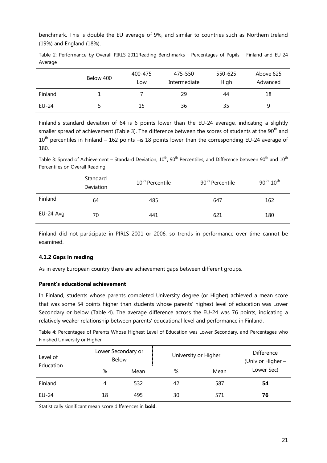benchmark. This is double the EU average of 9%, and similar to countries such as Northern Ireland (19%) and England (18%).

|         |  |  | Table 2: Performance by Overall PIRLS 2011Reading Benchmarks - Percentages of Pupils - Finland and EU-24 |  |  |  |  |
|---------|--|--|----------------------------------------------------------------------------------------------------------|--|--|--|--|
| Average |  |  |                                                                                                          |  |  |  |  |

|         | Below 400 | 400-475<br>Low | 475-550<br>Intermediate | 550-625<br>High | Above 625<br>Advanced |
|---------|-----------|----------------|-------------------------|-----------------|-----------------------|
| Finland |           |                | 29                      | 44              | 18                    |
| EU-24   |           | 15             | 36                      | 35              | a                     |

Finland's standard deviation of 64 is 6 points lower than the EU-24 average, indicating a slightly smaller spread of achievement (Table 3). The difference between the scores of students at the 90<sup>th</sup> and  $10^{th}$  percentiles in Finland – 162 points –is 18 points lower than the corresponding EU-24 average of 180.

Table 3: Spread of Achievement – Standard Deviation,  $10^{th}$ ,  $90^{th}$  Percentiles, and Difference between  $90^{th}$  and  $10^{th}$ Percentiles on Overall Reading

|           | Standard<br>Deviation | 10 <sup>th</sup> Percentile | 90 <sup>th</sup> Percentile | $90^{th}$ -10 <sup>th</sup> |
|-----------|-----------------------|-----------------------------|-----------------------------|-----------------------------|
| Finland   | 64                    | 485                         | 647                         | 162                         |
| EU-24 Avg | 70                    | 441                         | 621                         | 180                         |

Finland did not participate in PIRLS 2001 or 2006, so trends in performance over time cannot be examined.

#### **4.1.2 Gaps in reading**

As in every European country there are achievement gaps between different groups.

#### **Parent's educational achievement**

In Finland, students whose parents completed University degree (or Higher) achieved a mean score that was some 54 points higher than students whose parents' highest level of education was Lower Secondary or below (Table 4). The average difference across the EU-24 was 76 points, indicating a relatively weaker relationship between parents' educational level and performance in Finland.

Table 4: Percentages of Parents Whose Highest Level of Education was Lower Secondary, and Percentages who Finished University or Higher

| Level of<br>Education | Lower Secondary or<br>Below |      | University or Higher | Difference<br>(Univ or Higher - |            |
|-----------------------|-----------------------------|------|----------------------|---------------------------------|------------|
|                       | %                           | Mean | %                    | Mean                            | Lower Sec) |
| Finland               | 4                           | 532  | 42                   | 587                             | 54         |
| EU-24                 | 18                          | 495  | 30                   | 571                             | 76         |

Statistically significant mean score differences in **bold**.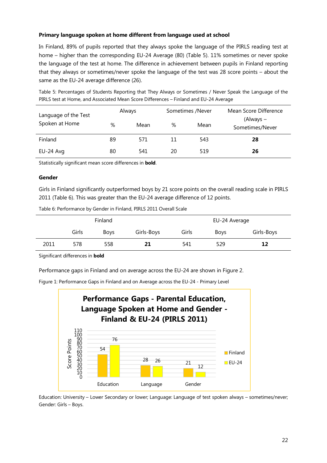#### **Primary language spoken at home different from language used at school**

In Finland, 89% of pupils reported that they always spoke the language of the PIRLS reading test at home – higher than the corresponding EU-24 Average (80) (Table 5). 11% sometimes or never spoke the language of the test at home. The difference in achievement between pupils in Finland reporting that they always or sometimes/never spoke the language of the test was 28 score points – about the same as the EU-24 average difference (26).

Table 5: Percentages of Students Reporting that They Always or Sometimes / Never Speak the Language of the PIRLS test at Home, and Associated Mean Score Differences – Finland and EU-24 Average

| Language of the Test | Always |      | Sometimes /Never |      | Mean Score Difference        |  |
|----------------------|--------|------|------------------|------|------------------------------|--|
| Spoken at Home       | %      | Mean | %                | Mean | (Always -<br>Sometimes/Never |  |
| Finland              | 89     | 571  | 11               | 543  | 28                           |  |
| EU-24 Avg            | 80     | 541  | 20               | 519  | 26                           |  |

Statistically significant mean score differences in **bold**.

#### **Gender**

Girls in Finland significantly outperformed boys by 21 score points on the overall reading scale in PIRLS 2011 (Table 6). This was greater than the EU-24 average difference of 12 points.

| Table 6: Performance by Gender in Finland, PIRLS 2011 Overall Scale |  |
|---------------------------------------------------------------------|--|
|                                                                     |  |

|      |       | Finland     |            | EU-24 Average |             |            |  |
|------|-------|-------------|------------|---------------|-------------|------------|--|
|      | Girls | <b>Boys</b> | Girls-Boys | Girls         | <b>Boys</b> | Girls-Boys |  |
| 2011 | 578   | 558         | 21         | 541           | 529         | 12         |  |

Significant differences in **bold**

Performance gaps in Finland and on average across the EU-24 are shown in Figure 2.

Figure 1: Performance Gaps in Finland and on Average across the EU-24 - Primary Level



Education: University – Lower Secondary or lower; Language: Language of test spoken always – sometimes/never; Gender: Girls – Boys.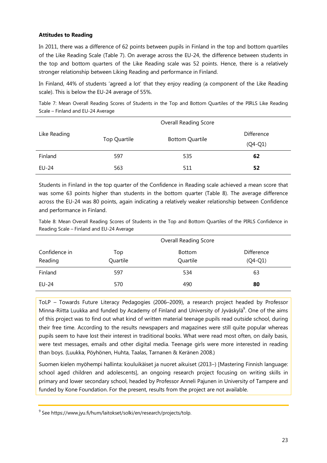#### **Attitudes to Reading**

In 2011, there was a difference of 62 points between pupils in Finland in the top and bottom quartiles of the Like Reading Scale (Table 7). On average across the EU-24, the difference between students in the top and bottom quarters of the Like Reading scale was 52 points. Hence, there is a relatively stronger relationship between Liking Reading and performance in Finland.

In Finland, 44% of students 'agreed a lot' that they enjoy reading (a component of the Like Reading scale). This is below the EU-24 average of 55%.

Table 7: Mean Overall Reading Scores of Students in the Top and Bottom Quartiles of the PIRLS Like Reading Scale – Finland and EU-24 Average

|              |              | <b>Overall Reading Score</b> |            |
|--------------|--------------|------------------------------|------------|
| Like Reading |              |                              | Difference |
|              | Top Quartile | <b>Bottom Quartile</b>       | $(Q4-Q1)$  |
| Finland      | 597          | 535                          | 62         |
| EU-24        | 563          | 511                          | 52         |

Students in Finland in the top quarter of the Confidence in Reading scale achieved a mean score that was some 63 points higher than students in the bottom quarter (Table 8). The average difference across the EU-24 was 80 points, again indicating a relatively weaker relationship between Confidence and performance in Finland.

Table 8: Mean Overall Reading Scores of Students in the Top and Bottom Quartiles of the PIRLS Confidence in Reading Scale – Finland and EU-24 Average

|                          |                 | <b>Overall Reading Score</b> |                         |
|--------------------------|-----------------|------------------------------|-------------------------|
| Confidence in<br>Reading | Top<br>Quartile | Bottom<br>Quartile           | Difference<br>$(Q4-Q1)$ |
| Finland                  | 597             | 534                          | 63                      |
| EU-24                    | 570             | 490                          | 80                      |

ToLP – Towards Future Literacy Pedagogies (2006–2009), a research project headed by Professor Minna-Riitta Luukka and funded by Academy of Finland and University of Jyväskylä<sup>9</sup>. One of the aims of this project was to find out what kind of written material teenage pupils read outside school, during their free time. According to the results newspapers and magazines were still quite popular whereas pupils seem to have lost their interest in traditional books. What were read most often, on daily basis, were text messages, emails and other digital media. Teenage girls were more interested in reading than boys. (Luukka, Pöyhönen, Huhta, Taalas, Tarnanen & Keränen 2008.)

Suomen kielen myöhempi hallinta: kouluikäiset ja nuoret aikuiset (2013–) [Mastering Finnish language: school aged children and adolescents], an ongoing research project focusing on writing skills in primary and lower secondary school, headed by Professor Anneli Pajunen in University of Tampere and funded by Kone Foundation. For the present, results from the project are not available.

<sup>&</sup>lt;sup>9</sup> See https://www.jyu.fi/hum/laitokset/solki/en/research/projects/tolp.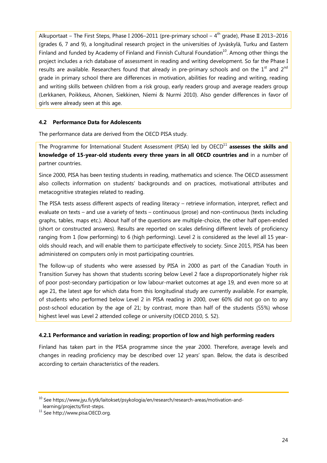Alkuportaat – The First Steps, Phase I 2006–2011 (pre-primary school –  $4<sup>th</sup>$  grade), Phase II 2013–2016 (grades 6, 7 and 9), a longitudinal research project in the universities of Jyväskylä, Turku and Eastern Finland and funded by Academy of Finland and Finnish Cultural Foundation<sup>10</sup>. Among other things the project includes a rich database of assessment in reading and writing development. So far the Phase I results are available. Researchers found that already in pre-primary schools and on the  $1<sup>st</sup>$  and  $2<sup>nd</sup>$ grade in primary school there are differences in motivation, abilities for reading and writing, reading and writing skills between children from a risk group, early readers group and average readers group (Lerkkanen, Poikkeus, Ahonen, Siekkinen, Niemi & Nurmi 2010). Also gender differences in favor of girls were already seen at this age.

#### **4.2 Performance Data for Adolescents**

The performance data are derived from the OECD PISA study.

The Programme for International Student Assessment (PISA) led by OECD<sup>11</sup> assesses the skills and **knowledge of 15-year-old students every three years in all OECD countries and** in a number of partner countries.

Since 2000, PISA has been testing students in reading, mathematics and science. The OECD assessment also collects information on students' backgrounds and on practices, motivational attributes and metacognitive strategies related to reading.

The PISA tests assess different aspects of reading literacy – retrieve information, interpret, reflect and evaluate on texts – and use a variety of texts – continuous (prose) and non-continuous (texts including graphs, tables, maps etc.). About half of the questions are multiple-choice, the other half open-ended (short or constructed answers). Results are reported on scales defining different levels of proficiency ranging from 1 (low performing) to 6 (high performing). Level 2 is considered as the level all 15 yearolds should reach, and will enable them to participate effectively to society. Since 2015, PISA has been administered on computers only in most participating countries.

The follow-up of students who were assessed by PISA in 2000 as part of the Canadian Youth in Transition Survey has shown that students scoring below Level 2 face a disproportionately higher risk of poor post-secondary participation or low labour-market outcomes at age 19, and even more so at age 21, the latest age for which data from this longitudinal study are currently available. For example, of students who performed below Level 2 in PISA reading in 2000, over 60% did not go on to any post-school education by the age of 21; by contrast, more than half of the students (55%) whose highest level was Level 2 attended college or university (OECD 2010, S. 52).

#### **4.2.1 Performance and variation in reading; proportion of low and high performing readers**

Finland has taken part in the PISA programme since the year 2000. Therefore, average levels and changes in reading proficiency may be described over 12 years' span. Below, the data is described according to certain characteristics of the readers.

<sup>&</sup>lt;sup>10</sup> See https://www.jyu.fi/ytk/laitokset/psykologia/en/research/research-areas/motivation-andlearning/projects/first-steps.

<sup>11</sup> See http://www.pisa.OECD.org.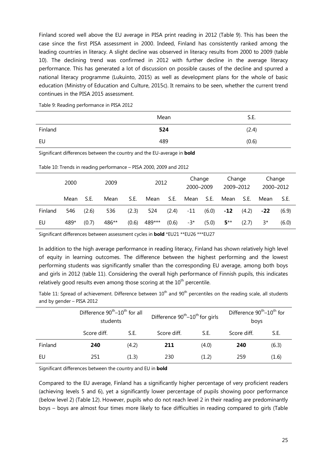Finland scored well above the EU average in PISA print reading in 2012 (Table 9). This has been the case since the first PISA assessment in 2000. Indeed, Finland has consistently ranked among the leading countries in literacy. A slight decline was observed in literacy results from 2000 to 2009 (table 10). The declining trend was confirmed in 2012 with further decline in the average literacy performance. This has generated a lot of discussion on possible causes of the decline and spurred a national literacy programme (Lukuinto, 2015) as well as development plans for the whole of basic education (Ministry of Education and Culture, 2015c). It remains to be seen, whether the current trend continues in the PISA 2015 assessment.

Table 9: Reading performance in PISA 2012

|         | Mean | S.E.  |
|---------|------|-------|
| Finland | 524  | (2.4) |
| EU      | 489  | (0.6) |

Significant differences between the country and the EU-average in **bold**

| 2000 |        | 2009 |      | 2012                |  | Change<br>2000-2009 |  | Change<br>2009–2012 |  | Change<br>2000-2012 |     |
|------|--------|------|------|---------------------|--|---------------------|--|---------------------|--|---------------------|-----|
| Mean | - S.E. | Mean | S.E. | Mean S.E. Mean S.E. |  |                     |  | Mean S.E.           |  | Mean                | S.E |

Table 10: Trends in reading performance – PISA 2000, 2009 and 2012

Significant differences between assessment cycles in **bold** \*EU21 \*\*EU26 \*\*\*EU27

In addition to the high average performance in reading literacy, Finland has shown relatively high level of equity in learning outcomes. The difference between the highest performing and the lowest performing students was significantly smaller than the corresponding EU average, among both boys and girls in 2012 (table 11). Considering the overall high performance of Finnish pupils, this indicates relatively good results even among those scoring at the  $10<sup>th</sup>$  percentile.

Finland 546 (2.6) 536 (2.3) 524 (2.4) -11 (6.0) **-12** (4.2) **-22** (6.9)

EU 489\* (0.7) 486\*\* (0.6) 489\*\*\* (0.6) -3\* (5.0) **5**\*\* (2.7) 3\* (6.0)

Table 11: Spread of achievement. Difference between  $10^{th}$  and  $90^{th}$  percentiles on the reading scale, all students and by gender – PISA 2012

|         | Difference 90 <sup>th</sup> -10 <sup>th</sup> for all<br>students |       | Difference 90 <sup>th</sup> -10 <sup>th</sup> for girls |       | Difference 90 <sup>th</sup> -10 <sup>th</sup> for<br>boys |       |
|---------|-------------------------------------------------------------------|-------|---------------------------------------------------------|-------|-----------------------------------------------------------|-------|
|         | Score diff.                                                       | S.E.  | Score diff.                                             | S.E.  | Score diff.                                               | S.E.  |
| Finland | 240                                                               | (4.2) | 211                                                     | (4.0) | 240                                                       | (6.3) |
| EU      | 251                                                               | (1.3) | 230                                                     | (1.2) | 259                                                       | (1.6) |

Significant differences between the country and EU in **bold**

Compared to the EU average, Finland has a significantly higher percentage of very proficient readers (achieving levels 5 and 6), yet a significantly lower percentage of pupils showing poor performance (below level 2) (Table 12). However, pupils who do not reach level 2 in their reading are predominantly boys – boys are almost four times more likely to face difficulties in reading compared to girls (Table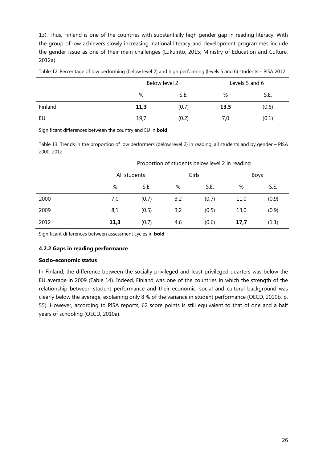13). Thus, Finland is one of the countries with substantially high gender gap in reading literacy. With the group of low achievers slowly increasing, national literacy and development programmes include the gender issue as one of their main challenges (Lukuinto, 2015; Ministry of Education and Culture, 2012a).

|         | Below level 2 |       |      | Levels 5 and 6 |
|---------|---------------|-------|------|----------------|
|         | %             | S.E.  | %    | S.E.           |
| Finland | 11,3          | (0.7) | 13,5 | (0.6)          |
| EU      | 19,7          | (0.2) | 7,0  | (0.1)          |

Table 12: Percentage of low performing (below level 2) and high performing (levels 5 and 6) students – PISA 2012

Significant differences between the country and EU in **bold**

Table 13: Trends in the proportion of low performers (below level 2) in reading, all students and by gender – PISA 2000–2012

|      | Proportion of students below level 2 in reading |              |     |       |      |       |  |  |
|------|-------------------------------------------------|--------------|-----|-------|------|-------|--|--|
|      |                                                 | All students |     | Girls | Boys |       |  |  |
|      | %                                               | S.E.         | %   | S.E.  | %    | S.E.  |  |  |
| 2000 | 7,0                                             | (0.7)        | 3,2 | (0.7) | 11,0 | (0.9) |  |  |
| 2009 | 8,1                                             | (0.5)        | 3,2 | (0.5) | 13,0 | (0.9) |  |  |
| 2012 | 11,3                                            | (0.7)        | 4,6 | (0.6) | 17,7 | (1.1) |  |  |

Significant differences between assessment cycles in **bold**

#### **4.2.2 Gaps in reading performance**

#### **Socio-economic status**

In Finland, the difference between the socially privileged and least privileged quarters was below the EU average in 2009 (Table 14). Indeed, Finland was one of the countries in which the strength of the relationship between student performance and their economic, social and cultural background was clearly below the average, explaining only 8 % of the variance in student performance (OECD, 2010b, p. 55). However, according to PISA reports, 62 score points is still equivalent to that of one and a half years of schooling (OECD, 2010a).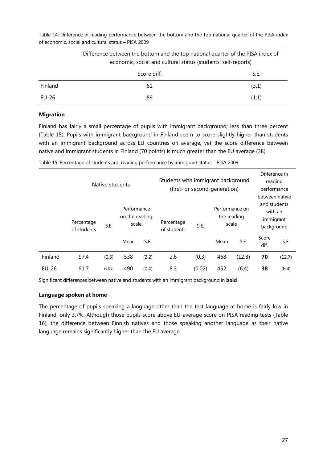Table 14: Difference in reading performance between the bottom and the top national quarter of the PISA index of economic, social and cultural status – PISA 2009

|         | Difference between the bottom and the top national quarter of the PISA index of<br>economic, social and cultural status (students' self-reports) |       |  |  |  |  |  |
|---------|--------------------------------------------------------------------------------------------------------------------------------------------------|-------|--|--|--|--|--|
|         | Score diff.                                                                                                                                      | S.E.  |  |  |  |  |  |
| Finland | 61                                                                                                                                               | (3.1) |  |  |  |  |  |
| EU-26   | 89                                                                                                                                               | (1.1) |  |  |  |  |  |

#### **Migration**

Finland has fairly a small percentage of pupils with immigrant background; less than three percent (Table 15). Pupils with immigrant background in Finland seem to score slightly higher than students with an immigrant background across EU countries on average, yet the score difference between native and immigrant students in Finland (70 points) is much greater than the EU average (38).

Table 15: Percentage of students and reading performance by immigrant status – PISA 2009.

|         | Native students           |        |                                        | Students with immigrant background<br>(first- or second-generation) |                           |        |                                        | Difference in<br>reading<br>performance<br>between native |                                                    |        |
|---------|---------------------------|--------|----------------------------------------|---------------------------------------------------------------------|---------------------------|--------|----------------------------------------|-----------------------------------------------------------|----------------------------------------------------|--------|
|         | Percentage<br>of students | S.E.   | Performance<br>on the reading<br>scale |                                                                     | Percentage<br>of students | S.E.   | Performance on<br>the reading<br>scale |                                                           | and students<br>with an<br>immigrant<br>background |        |
|         |                           |        | Mean                                   | S.E.                                                                |                           |        | Mean                                   | S.E.                                                      | Score<br>dif.                                      | S.E.   |
| Finland | 97.4                      | (0.3)  | 538                                    | (2.2)                                                               | 2.6                       | (0.3)  | 468                                    | (12.8)                                                    | 70                                                 | (12.7) |
| $EU-26$ | 91.7                      | (0.02) | 490                                    | (0.4)                                                               | 8.3                       | (0.02) | 452                                    | (6, 4)                                                    | 38                                                 | (6.4)  |

Significant differences between native and students with an immigrant background in **bold**

#### **Language spoken at home**

The percentage of pupils speaking a language other than the test language at home is fairly low in Finland, only 3.7%. Although those pupils score above EU-average score on PISA reading tests (Table 16), the difference between Finnish natives and those speaking another language as their native language remains significantly higher than the EU average.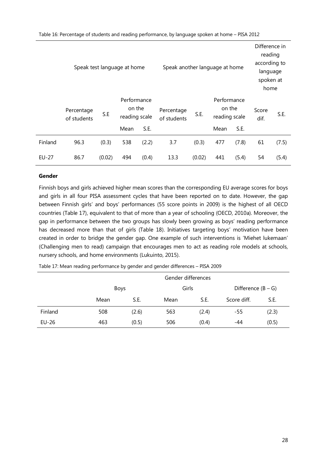| Speak test language at home |                           |        |                                                |       | Speak another language at home |        |                                                |       | Difference in<br>reading<br>according to<br>language<br>spoken at<br>home |       |
|-----------------------------|---------------------------|--------|------------------------------------------------|-------|--------------------------------|--------|------------------------------------------------|-------|---------------------------------------------------------------------------|-------|
|                             | Percentage<br>of students | S.E    | Performance<br>on the<br>reading scale<br>Mean | S.E.  | Percentage<br>of students      | S.E.   | Performance<br>on the<br>reading scale<br>Mean | S.E.  | Score<br>dif.                                                             | S.E.  |
|                             |                           |        |                                                |       |                                |        |                                                |       |                                                                           |       |
| Finland                     | 96.3                      | (0.3)  | 538                                            | (2.2) | 3.7                            | (0.3)  | 477                                            | (7.8) | 61                                                                        | (7.5) |
| EU-27                       | 86.7                      | (0.02) | 494                                            | (0.4) | 13.3                           | (0.02) | 441                                            | (5.4) | 54                                                                        | (5.4) |

#### **Gender**

Finnish boys and girls achieved higher mean scores than the corresponding EU average scores for boys and girls in all four PISA assessment cycles that have been reported on to date. However, the gap between Finnish girls' and boys' performances (55 score points in 2009) is the highest of all OECD countries (Table 17), equivalent to that of more than a year of schooling (OECD, 2010a). Moreover, the gap in performance between the two groups has slowly been growing as boys' reading performance has decreased more than that of girls (Table 18). Initiatives targeting boys' motivation have been created in order to bridge the gender gap. One example of such interventions is 'Miehet lukemaan' (Challenging men to read) campaign that encourages men to act as reading role models at schools, nursery schools, and home environments (Lukuinto, 2015).

|         | Gender differences |       |       |       |             |                      |  |  |
|---------|--------------------|-------|-------|-------|-------------|----------------------|--|--|
|         | <b>Boys</b>        |       | Girls |       |             | Difference $(B - G)$ |  |  |
|         | Mean               | S.E.  | Mean  | S.E.  | Score diff. | S.E.                 |  |  |
| Finland | 508                | (2.6) | 563   | (2.4) | -55         | (2.3)                |  |  |
| $EU-26$ | 463                | (0.5) | 506   | (0.4) | -44         | (0.5)                |  |  |

Table 17: Mean reading performance by gender and gender differences – PISA 2009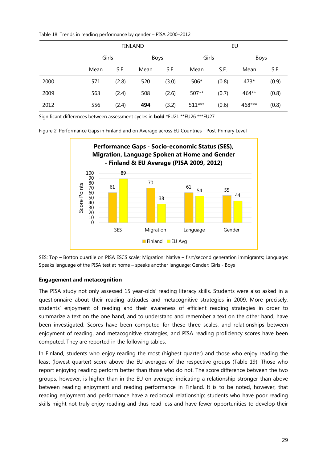Table 18: Trends in reading performance by gender – PISA 2000–2012

|      |       |       | <b>FINLAND</b> |       | EU     |       |        |       |
|------|-------|-------|----------------|-------|--------|-------|--------|-------|
|      | Girls |       |                | Boys  |        | Girls | Boys   |       |
|      | Mean  | S.E.  | Mean           | S.E.  | Mean   | S.E.  | Mean   | S.E.  |
| 2000 | 571   | (2.8) | 520            | (3.0) | 506*   | (0.8) | 473*   | (0.9) |
| 2009 | 563   | (2.4) | 508            | (2.6) | 507**  | (0.7) | 464**  | (0.8) |
| 2012 | 556   | (2.4) | 494            | (3.2) | 511*** | (0.6) | 468*** | (0.8) |

Significant differences between assessment cycles in **bold** \*EU21 \*\*EU26 \*\*\*EU27

Figure 2: Performance Gaps in Finland and on Average across EU Countries - Post-Primary Level



SES: Top – Botton quartile on PISA ESCS scale; Migration: Native – fisrt/second generation immigrants; Language: Speaks language of the PISA test at home – speaks another language; Gender: Girls - Boys

#### **Engagement and metacognition**

The PISA study not only assessed 15 year-olds' reading literacy skills. Students were also asked in a questionnaire about their reading attitudes and metacognitive strategies in 2009. More precisely, students' enjoyment of reading and their awareness of efficient reading strategies in order to summarize a text on the one hand, and to understand and remember a text on the other hand, have been investigated. Scores have been computed for these three scales, and relationships between enjoyment of reading, and metacognitive strategies, and PISA reading proficiency scores have been computed. They are reported in the following tables.

In Finland, students who enjoy reading the most (highest quarter) and those who enjoy reading the least (lowest quarter) score above the EU averages of the respective groups (Table 19). Those who report enjoying reading perform better than those who do not. The score difference between the two groups, however, is higher than in the EU on average, indicating a relationship stronger than above between reading enjoyment and reading performance in Finland. It is to be noted, however, that reading enjoyment and performance have a reciprocal relationship: students who have poor reading skills might not truly enjoy reading and thus read less and have fewer opportunities to develop their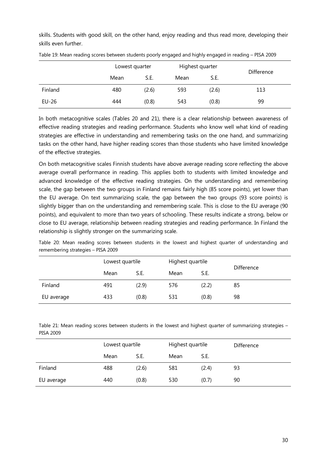skills. Students with good skill, on the other hand, enjoy reading and thus read more, developing their skills even further.

|         | Lowest quarter |       | Highest quarter |       | Difference |
|---------|----------------|-------|-----------------|-------|------------|
|         | Mean           | S.E.  | Mean            | S.E.  |            |
| Finland | 480            | (2.6) | 593             | (2.6) | 113        |
| $EU-26$ | 444            | (0.8) | 543             | (0.8) | 99         |

|  | Table 19: Mean reading scores between students poorly engaged and highly engaged in reading - PISA 2009 |
|--|---------------------------------------------------------------------------------------------------------|
|  |                                                                                                         |

In both metacognitive scales (Tables 20 and 21), there is a clear relationship between awareness of effective reading strategies and reading performance. Students who know well what kind of reading strategies are effective in understanding and remembering tasks on the one hand, and summarizing tasks on the other hand, have higher reading scores than those students who have limited knowledge of the effective strategies.

On both metacognitive scales Finnish students have above average reading score reflecting the above average overall performance in reading. This applies both to students with limited knowledge and advanced knowledge of the effective reading strategies. On the understanding and remembering scale, the gap between the two groups in Finland remains fairly high (85 score points), yet lower than the EU average. On text summarizing scale, the gap between the two groups (93 score points) is slightly bigger than on the understanding and remembering scale. This is close to the EU average (90 points), and equivalent to more than two years of schooling. These results indicate a strong, below or close to EU average, relationship between reading strategies and reading performance. In Finland the relationship is slightly stronger on the summarizing scale.

|                                    |  |  |  |  | المنافس والمستحدث والمستورة والمتحافظ والمتحدث |  |  |  | المستقلة والمستحدث والمستقلة والمستقلة المستقلة |  |  |                                                                                                       |  |
|------------------------------------|--|--|--|--|------------------------------------------------|--|--|--|-------------------------------------------------|--|--|-------------------------------------------------------------------------------------------------------|--|
| remembering strategies - PISA 2009 |  |  |  |  |                                                |  |  |  |                                                 |  |  |                                                                                                       |  |
|                                    |  |  |  |  |                                                |  |  |  |                                                 |  |  | Table 20: Mean reading scores between students in the lowest and highest quarter of understanding and |  |

|            | Lowest quartile |       | Highest quartile |       | <b>Difference</b> |  |
|------------|-----------------|-------|------------------|-------|-------------------|--|
|            | Mean            | S.E.  | Mean             | S.E.  |                   |  |
| Finland    | 491             | (2.9) | 576              | (2.2) | 85                |  |
| EU average | 433             | (0.8) | 531              | (0.8) | 98                |  |

Table 21: Mean reading scores between students in the lowest and highest quarter of summarizing strategies – PISA 2009

|            | Lowest quartile |       | Highest quartile |       | Difference |
|------------|-----------------|-------|------------------|-------|------------|
|            | Mean            | S.E.  | Mean             | S.E.  |            |
| Finland    | 488             | (2.6) | 581              | (2.4) | 93         |
| EU average | 440             | (0.8) | 530              | (0.7) | 90         |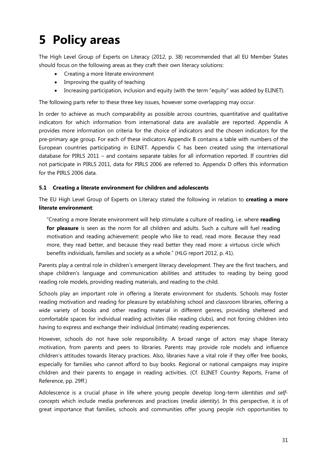# **5 Policy areas**

The High Level Group of Experts on Literacy (2012, p. 38) recommended that all EU Member States should focus on the following areas as they craft their own literacy solutions:

- Creating a more literate environment
- · Improving the quality of teaching
- · Increasing participation, inclusion and equity (with the term "equity" was added by ELINET).

The following parts refer to these three key issues, however some overlapping may occur.

In order to achieve as much comparability as possible across countries, quantitative and qualitative indicators for which information from international data are available are reported. Appendix A provides more information on criteria for the choice of indicators and the chosen indicators for the pre-primary age group. For each of these indicators Appendix B contains a table with numbers of the European countries participating in ELINET. Appendix C has been created using the international database for PIRLS 2011 – and contains separate tables for all information reported. If countries did not participate in PIRLS 2011, data for PIRLS 2006 are referred to. Appendix D offers this information for the PIRLS 2006 data.

#### **5.1 Creating a literate environment for children and adolescents**

The EU High Level Group of Experts on Literacy stated the following in relation to **creating a more literate environment**:

"Creating a more literate environment will help stimulate a culture of reading, i.e. where **reading for pleasure** is seen as the norm for all children and adults. Such a culture will fuel reading motivation and reading achievement: people who like to read, read more. Because they read more, they read better, and because they read better they read more: a virtuous circle which benefits individuals, families and society as a whole." (HLG report 2012, p. 41).

Parents play a central role in children's emergent literacy development. They are the first teachers, and shape children's language and communication abilities and attitudes to reading by being good reading role models, providing reading materials, and reading to the child.

Schools play an important role in offering a literate environment for students. Schools may foster reading motivation and reading for pleasure by establishing school and classroom libraries, offering a wide variety of books and other reading material in different genres, providing sheltered and comfortable spaces for individual reading activities (like reading clubs), and not forcing children into having to express and exchange their individual (intimate) reading experiences.

However, schools do not have sole responsibility. A broad range of actors may shape literacy motivation, from parents and peers to libraries. Parents may provide role models and influence children's attitudes towards literacy practices. Also, libraries have a vital role if they offer free books, especially for families who cannot afford to buy books. Regional or national campaigns may inspire children and their parents to engage in reading activities. (Cf. ELINET Country Reports, Frame of Reference, pp. 29ff.)

Adolescence is a crucial phase in life where young people develop long-term *identities and selfconcepts* which include media preferences and practices (*media identity*). In this perspective, it is of great importance that families, schools and communities offer young people rich opportunities to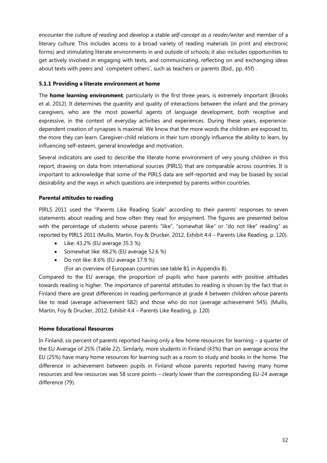encounter the *culture of reading* and develop a stable *self-concept as a reader/writer* and member of a literary culture. This includes access to a broad variety of reading materials (in print and electronic forms) and stimulating literate environments in and outside of schools; it also includes opportunities to get actively involved in engaging with texts, and communicating, reflecting on and exchanging ideas about texts with peers and 'competent others', such as teachers or parents (Ibid., pp. 45f).

#### **5.1.1 Providing a literate environment at home**

The **home learning environment**, particularly in the first three years, is extremely important (Brooks et al. 2012). It determines the quantity and quality of interactions between the infant and the primary caregivers, who are the most powerful agents of language development, both receptive and expressive, in the context of everyday activities and experiences. During these years, experiencedependent creation of synapses is maximal. We know that the more words the children are exposed to, the more they can learn. Caregiver-child relations in their turn strongly influence the ability to learn, by influencing self-esteem, general knowledge and motivation.

Several indicators are used to describe the literate home environment of very young children in this report, drawing on data from international sources (PIRLS) that are comparable across countries. It is important to acknowledge that some of the PIRLS data are self-reported and may be biased by social desirability and the ways in which questions are interpreted by parents within countries.

#### **Parental attitudes to reading**

PIRLS 2011 used the "Parents Like Reading Scale" according to their parents' responses to seven statements about reading and how often they read for enjoyment. The figures are presented below with the percentage of students whose parents "like", "somewhat like" or "do not like" reading" as reported by PIRLS 2011 (Mullis, Martin, Foy & Drucker, 2012, Exhibit 4.4 – Parents Like Reading, p. 120).

- · Like: 43.2% (EU average 35.3 %)
- Somewhat like: 48.2% (EU average 52.6 %)
- · Do not like: 8.6% (EU average 17.9 %)

(For an overview of European countries see table B1 in Appendix B).

Compared to the EU average, the proportion of pupils who have parents with positive attitudes towards reading is higher. The importance of parental attitudes to reading is shown by the fact that in Finland there are great differences in reading performance at grade 4 between children whose parents like to read (average achievement 582) and those who do not (average achievement 545). (Mullis, Martin, Foy & Drucker, 2012, Exhibit 4.4 – Parents Like Reading, p. 120)

#### **Home Educational Resources**

In Finland, six percent of parents reported having only a few home resources for learning – a quarter of the EU Average of 25% (Table 22). Similarly, more students in Finland (43%) than on average across the EU (25%) have many home resources for learning such as a room to study and books in the home. The difference in achievement between pupils in Finland whose parents reported having many home resources and few resources was 58 score points – clearly lower than the corresponding EU-24 average difference (79).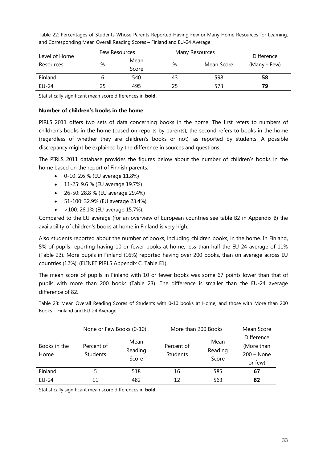| Level of Home | Few Resources |               | Many Resources | Difference |              |  |
|---------------|---------------|---------------|----------------|------------|--------------|--|
| Resources     | %             | Mean<br>Score | %              | Mean Score | (Many - Few) |  |
| Finland       |               | 540           | 43             | 598        | 58           |  |
| <b>EU-24</b>  | 25            | 495           | 25             | 573        | 79           |  |

Table 22: Percentages of Students Whose Parents Reported Having Few or Many Home Resources for Learning, and Corresponding Mean Overall Reading Scores – Finland and EU-24 Average

Statistically significant mean score differences in **bold**.

#### **Number of children's books in the home**

PIRLS 2011 offers two sets of data concerning books in the home: The first refers to numbers of children's books in the home (based on reports by parents); the second refers to books in the home (regardless of whether they are children's books or not), as reported by students. A possible discrepancy might be explained by the difference in sources and questions.

The PIRLS 2011 database provides the figures below about the number of children's books in the home based on the report of Finnish parents:

- · 0-10: 2.6 % (EU average 11.8%)
- · 11-25: 9.6 % (EU average 19.7%)
- · 26-50: 28.8 % (EU average 29.4%)
- · 51-100: 32.9% (EU average 23.4%)
- · >100: 26.1% (EU average 15.7%).

Compared to the EU average (for an overview of European countries see table B2 in Appendix B) the availability of children's books at home in Finland is very high.

Also students reported about the number of books, including children books, in the home. In Finland, 5% of pupils reporting having 10 or fewer books at home, less than half the EU-24 average of 11% (Table 23). More pupils in Finland (16%) reported having over 200 books, than on average across EU countries (12%). (ELINET PIRLS Appendix C, Table E1).

The mean score of pupils in Finland with 10 or fewer books was some 67 points lower than that of pupils with more than 200 books (Table 23). The difference is smaller than the EU-24 average difference of 82.

Table 23: Mean Overall Reading Scores of Students with 0-10 books at Home, and those with More than 200 Books – Finland and EU-24 Average

|                      | None or Few Books (0-10)      |                          | More than 200 Books    | Mean Score               |                                                     |  |
|----------------------|-------------------------------|--------------------------|------------------------|--------------------------|-----------------------------------------------------|--|
| Books in the<br>Home | Percent of<br><b>Students</b> | Mean<br>Reading<br>Score | Percent of<br>Students | Mean<br>Reading<br>Score | Difference<br>(More than<br>$200 - None$<br>or few) |  |
| Finland              | 5                             | 518                      | 16                     | 585                      | 67                                                  |  |
| $EU-24$              | 11                            | 482                      | 12                     | 563                      | 82                                                  |  |

Statistically significant mean score differences in **bold**.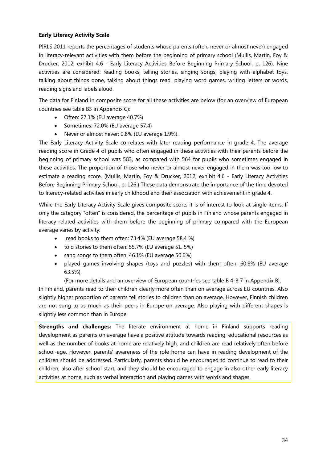#### **Early Literacy Activity Scale**

PIRLS 2011 reports the percentages of students whose parents (often, never or almost never) engaged in literacy-relevant activities with them before the beginning of primary school (Mullis, Martin, Foy & Drucker, 2012, exhibit 4.6 - Early Literacy Activities Before Beginning Primary School, p. 126). Nine activities are considered: reading books, telling stories, singing songs, playing with alphabet toys, talking about things done, talking about things read, playing word games, writing letters or words, reading signs and labels aloud.

The data for Finland in composite score for all these activities are below (for an overview of European countries see table B3 in Appendix C):

- · Often: 27.1% (EU average 40.7%)
- · Sometimes: 72.0% (EU average 57.4)
- · Never or almost never: 0.8% (EU average 1.9%).

The Early Literacy Activity Scale correlates with later reading performance in grade 4. The average reading score in Grade 4 of pupils who often engaged in these activities with their parents before the beginning of primary school was 583, as compared with 564 for pupils who sometimes engaged in these activities. The proportion of those who never or almost never engaged in them was too low to estimate a reading score. (Mullis, Martin, Foy & Drucker, 2012, exhibit 4.6 - Early Literacy Activities Before Beginning Primary School, p. 126.) These data demonstrate the importance of the time devoted to literacy-related activities in early childhood and their association with achievement in grade 4.

While the Early Literacy Activity Scale gives composite score, it is of interest to look at single items. If only the category "often" is considered, the percentage of pupils in Finland whose parents engaged in literacy-related activities with them before the beginning of primary compared with the European average varies by activity:

- · read books to them often: 73.4% (EU average 58.4 %)
- · told stories to them often: 55.7% (EU average 51. 5%)
- · sang songs to them often: 46.1% (EU average 50.6%)
- · played games involving shapes (toys and puzzles) with them often: 60.8% (EU average 63.5%).

(For more details and an overview of European countries see table B 4-B 7 in Appendix B).

In Finland, parents read to their children clearly more often than on average across EU countries. Also slightly higher proportion of parents tell stories to children than on average. However, Finnish children are not sung to as much as their peers in Europe on average. Also playing with different shapes is slightly less common than in Europe.

**Strengths and challenges:** The literate environment at home in Finland supports reading development as parents on average have a positive attitude towards reading, educational resources as well as the number of books at home are relatively high, and children are read relatively often before school-age. However, parents' awareness of the role home can have in reading development of the children should be addressed. Particularly, parents should be encouraged to continue to read to their children, also after school start, and they should be encouraged to engage in also other early literacy activities at home, such as verbal interaction and playing games with words and shapes.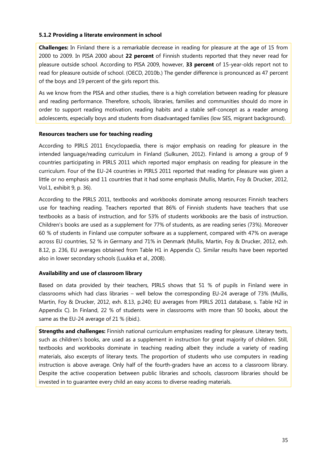#### **5.1.2 Providing a literate environment in school**

**Challenges:** In Finland there is a remarkable decrease in reading for pleasure at the age of 15 from 2000 to 2009. In PISA 2000 about **22 percent** of Finnish students reported that they never read for pleasure outside school. According to PISA 2009, however, **33 percent** of 15-year-olds report not to read for pleasure outside of school. (OECD, 2010b.) The gender difference is pronounced as 47 percent of the boys and 19 percent of the girls report this.

As we know from the PISA and other studies, there is a high correlation between reading for pleasure and reading performance. Therefore, schools, libraries, families and communities should do more in order to support reading motivation, reading habits and a stable self-concept as a reader among adolescents, especially boys and students from disadvantaged families (low SES, migrant background).

#### **Resources teachers use for teaching reading**

According to PIRLS 2011 Encyclopaedia, there is major emphasis on reading for pleasure in the intended language/reading curriculum in Finland (Sulkunen, 2012). Finland is among a group of 9 countries participating in PIRLS 2011 which reported major emphasis on reading for pleasure in the curriculum. Four of the EU-24 countries in PIRLS 2011 reported that reading for pleasure was given a little or no emphasis and 11 countries that it had some emphasis (Mullis, Martin, Foy & Drucker, 2012, Vol.1, exhibit 9, p. 36).

According to the PIRLS 2011, textbooks and workbooks dominate among resources Finnish teachers use for teaching reading. Teachers reported that 86% of Finnish students have teachers that use textbooks as a basis of instruction, and for 53% of students workbooks are the basis of instruction. Children's books are used as a supplement for 77% of students, as are reading series (73%). Moreover 60 % of students in Finland use computer software as a supplement, compared with 47% on average across EU countries, 52 % in Germany and 71% in Denmark (Mullis, Martin, Foy & Drucker, 2012, exh. 8.12, p. 236, EU averages obtained from Table H1 in Appendix C). Similar results have been reported also in lower secondary schools (Luukka et al., 2008).

#### **Availability and use of classroom library**

Based on data provided by their teachers, PIRLS shows that 51 % of pupils in Finland were in classrooms which had class libraries – well below the corresponding EU-24 average of 73% (Mullis, Martin, Foy & Drucker, 2012, exh. 8.13, p.240; EU averages from PIRLS 2011 database, s. Table H2 in Appendix C). In Finland, 22 % of students were in classrooms with more than 50 books, about the same as the EU-24 average of 21 % (ibid.).

**Strengths and challenges:** Finnish national curriculum emphasizes reading for pleasure. Literary texts, such as children's books, are used as a supplement in instruction for great majority of children. Still, textbooks and workbooks dominate in teaching reading albeit they include a variety of reading materials, also excerpts of literary texts. The proportion of students who use computers in reading instruction is above average. Only half of the fourth-graders have an access to a classroom library. Despite the active cooperation between public libraries and schools, classroom libraries should be invested in to guarantee every child an easy access to diverse reading materials.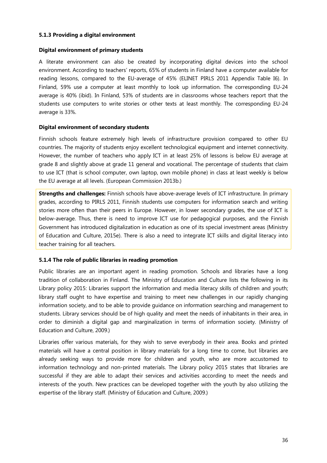#### **5.1.3 Providing a digital environment**

#### **Digital environment of primary students**

A literate environment can also be created by incorporating digital devices into the school environment. According to teachers' reports, 65% of students in Finland have a computer available for reading lessons, compared to the EU-average of 45% (ELINET PIRLS 2011 Appendix Table I6). In Finland, 59% use a computer at least monthly to look up information. The corresponding EU-24 average is 40% (ibid). In Finland, 53% of students are in classrooms whose teachers report that the students use computers to write stories or other texts at least monthly. The corresponding EU-24 average is 33%.

#### **Digital environment of secondary students**

Finnish schools feature extremely high levels of infrastructure provision compared to other EU countries. The majority of students enjoy excellent technological equipment and internet connectivity. However, the number of teachers who apply ICT in at least 25% of lessons is below EU average at grade 8 and slightly above at grade 11 general and vocational. The percentage of students that claim to use ICT (that is school computer, own laptop, own mobile phone) in class at least weekly is below the EU average at all levels. (European Commission 2013b.)

**Strengths and challenges:** Finnish schools have above-average levels of ICT infrastructure. In primary grades, according to PIRLS 2011, Finnish students use computers for information search and writing stories more often than their peers in Europe. However, in lower secondary grades, the use of ICT is below-average. Thus, there is need to improve ICT use for pedagogical purposes, and the Finnish Government has introduced digitalization in education as one of its special investment areas (Ministry of Education and Culture, 2015e). There is also a need to integrate ICT skills and digital literacy into teacher training for all teachers.

#### **5.1.4 The role of public libraries in reading promotion**

Public libraries are an important agent in reading promotion. Schools and libraries have a long tradition of collaboration in Finland. The Ministry of Education and Culture lists the following in its Library policy 2015: Libraries support the information and media literacy skills of children and youth; library staff ought to have expertise and training to meet new challenges in our rapidly changing information society, and to be able to provide guidance on information searching and management to students. Library services should be of high quality and meet the needs of inhabitants in their area, in order to diminish a digital gap and marginalization in terms of information society. (Ministry of Education and Culture, 2009.)

Libraries offer various materials, for they wish to serve everybody in their area. Books and printed materials will have a central position in library materials for a long time to come, but libraries are already seeking ways to provide more for children and youth, who are more accustomed to information technology and non-printed materials. The Library policy 2015 states that libraries are successful if they are able to adapt their services and activities according to meet the needs and interests of the youth. New practices can be developed together with the youth by also utilizing the expertise of the library staff. (Ministry of Education and Culture, 2009.)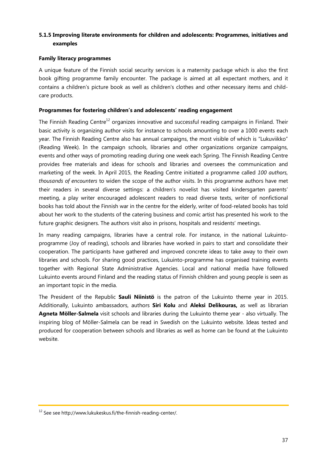# **5.1.5 Improving literate environments for children and adolescents: Programmes, initiatives and examples**

#### **Family literacy programmes**

A unique feature of the Finnish social security services is a maternity package which is also the first book gifting programme family encounter. The package is aimed at all expectant mothers, and it contains a children's picture book as well as children's clothes and other necessary items and childcare products.

#### **Programmes for fostering children's and adolescents' reading engagement**

The Finnish Reading Centre<sup>12</sup> organizes innovative and successful reading campaigns in Finland. Their basic activity is organizing author visits for instance to schools amounting to over a 1000 events each year. The Finnish Reading Centre also has annual campaigns, the most visible of which is "Lukuviikko" (Reading Week). In the campaign schools, libraries and other organizations organize campaigns, events and other ways of promoting reading during one week each Spring. The Finnish Reading Centre provides free materials and ideas for schools and libraries and oversees the communication and marketing of the week. In April 2015, the Reading Centre initiated a programme called *100 authors, thousands of encounters* to widen the scope of the author visits. In this programme authors have met their readers in several diverse settings: a children's novelist has visited kindersgarten parents' meeting, a play writer encouraged adolescent readers to read diverse texts, writer of nonfictional books has told about the Finnish war in the centre for the elderly, writer of food-related books has told about her work to the students of the catering business and comic artist has presented his work to the future graphic designers. The authors visit also in prisons, hospitals and residents' meetings.

In many reading campaigns, libraries have a central role. For instance, in the national Lukuintoprogramme (Joy of reading), schools and libraries have worked in pairs to start and consolidate their cooperation. The participants have gathered and improved concrete ideas to take away to their own libraries and schools. For sharing good practices, Lukuinto-programme has organised training events together with Regional State Administrative Agencies. Local and national media have followed Lukuinto events around Finland and the reading status of Finnish children and young people is seen as an important topic in the media.

The President of the Republic **Sauli Niinistö** is the patron of the Lukuinto theme year in 2015. Additionally, Lukuinto ambassadors, authors **Siri Kolu** and **Aleksi Delikouras,** as well as librarian **Agneta Möller-Salmela** visit schools and libraries during the Lukuinto theme year - also virtually. The inspiring blog of Möller-Salmela can be read in Swedish on the Lukuinto website. Ideas tested and produced for cooperation between schools and libraries as well as home can be found at the Lukuinto website.

<sup>12</sup> See see http://www.lukukeskus.fi/the-finnish-reading-center/.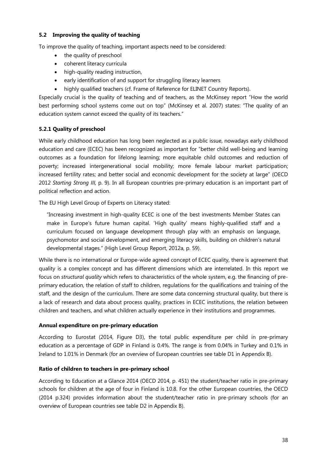## **5.2 Improving the quality of teaching**

To improve the quality of teaching, important aspects need to be considered:

- the quality of preschool
- · coherent literacy curricula
- high-quality reading instruction,
- · early identification of and support for struggling literacy learners
- highly qualified teachers (cf. Frame of Reference for ELINET Country Reports).

Especially crucial is the quality of teaching and of teachers, as the McKinsey report "How the world best performing school systems come out on top" (McKinsey et al. 2007) states: "The quality of an education system cannot exceed the quality of its teachers."

# **5.2.1 Quality of preschool**

While early childhood education has long been neglected as a public issue, nowadays early childhood education and care (ECEC) has been recognized as important for "better child well-being and learning outcomes as a foundation for lifelong learning; more equitable child outcomes and reduction of poverty; increased intergenerational social mobility; more female labour market participation; increased fertility rates; and better social and economic development for the society at large" (OECD 2012 *Starting Strong III,* p. 9). In all European countries pre-primary education is an important part of political reflection and action.

The EU High Level Group of Experts on Literacy stated:

"Increasing investment in high-quality ECEC is one of the best investments Member States can make in Europe's future human capital. 'High quality' means highly-qualified staff and a curriculum focused on language development through play with an emphasis on language, psychomotor and social development, and emerging literacy skills, building on children's natural developmental stages." (High Level Group Report, 2012a, p. 59).

While there is no international or Europe-wide agreed concept of ECEC quality, there is agreement that quality is a complex concept and has different dimensions which are interrelated. In this report we focus on *structural quality* which refers to characteristics of the whole system, e.g. the financing of preprimary education, the relation of staff to children, regulations for the qualifications and training of the staff, and the design of the curriculum. There are some data concerning structural quality, but there is a lack of research and data about process quality, practices in ECEC institutions, the relation between children and teachers, and what children actually experience in their institutions and programmes.

#### **Annual expenditure on pre-primary education**

According to Eurostat (2014, Figure D3), the total public expenditure per child in pre-primary education as a percentage of GDP in Finland is 0.4%. The range is from 0.04% in Turkey and 0.1% in Ireland to 1.01% in Denmark (for an overview of European countries see table D1 in Appendix B).

# **Ratio of children to teachers in pre-primary school**

According to Education at a Glance 2014 (OECD 2014, p. 451) the student/teacher ratio in pre-primary schools for children at the age of four in Finland is 10.8. For the other European countries, the OECD (2014 p.324) provides information about the student/teacher ratio in pre-primary schools (for an overview of European countries see table D2 in Appendix B).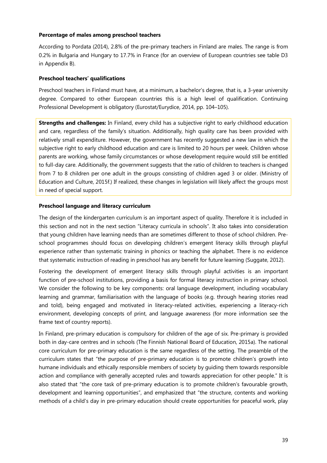#### **Percentage of males among preschool teachers**

According to Pordata (2014), 2.8% of the pre-primary teachers in Finland are males. The range is from 0.2% in Bulgaria and Hungary to 17.7% in France (for an overview of European countries see table D3 in Appendix B).

#### **Preschool teachers' qualifications**

Preschool teachers in Finland must have, at a minimum, a bachelor's degree, that is, a 3-year university degree. Compared to other European countries this is a high level of qualification. Continuing Professional Development is obligatory (Eurostat/Eurydice, 2014, pp. 104–105).

**Strengths and challenges:** In Finland, every child has a subjective right to early childhood education and care, regardless of the family's situation. Additionally, high quality care has been provided with relatively small expenditure. However, the government has recently suggested a new law in which the subjective right to early childhood education and care is limited to 20 hours per week. Children whose parents are working, whose family circumstances or whose development require would still be entitled to full-day care. Additionally, the government suggests that the ratio of children to teachers is changed from 7 to 8 children per one adult in the groups consisting of children aged 3 or older. (Ministry of Education and Culture, 2015f.) If realized, these changes in legislation will likely affect the groups most in need of special support.

#### **Preschool language and literacy curriculum**

The design of the kindergarten curriculum is an important aspect of quality. Therefore it is included in this section and not in the next section "Literacy curricula in schools". It also takes into consideration that young children have learning needs than are sometimes different to those of school children. Preschool programmes should focus on developing children's emergent literacy skills through playful experience rather than systematic training in phonics or teaching the alphabet. There is no evidence that systematic instruction of reading in preschool has any benefit for future learning (Suggate, 2012).

Fostering the development of emergent literacy skills through playful activities is an important function of pre-school institutions, providing a basis for formal literacy instruction in primary school. We consider the following to be key components: oral language development, including vocabulary learning and grammar, familiarisation with the language of books (e.g. through hearing stories read and told), being engaged and motivated in literacy-related activities, experiencing a literacy-rich environment, developing concepts of print, and language awareness (for more information see the frame text of country reports).

In Finland, pre-primary education is compulsory for children of the age of six. Pre-primary is provided both in day-care centres and in schools (The Finnish National Board of Education, 2015a). The national core curriculum for pre-primary education is the same regardless of the setting. The preamble of the curriculum states that "the purpose of pre-primary education is to promote children's growth into humane individuals and ethically responsible members of society by guiding them towards responsible action and compliance with generally accepted rules and towards appreciation for other people." It is also stated that "the core task of pre-primary education is to promote children's favourable growth, development and learning opportunities", and emphasized that "the structure, contents and working methods of a child's day in pre-primary education should create opportunities for peaceful work, play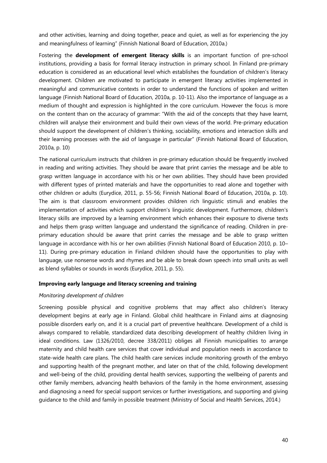and other activities, learning and doing together, peace and quiet, as well as for experiencing the joy and meaningfulness of learning" (Finnish National Board of Education, 2010a.)

Fostering the **development of emergent literacy skills** is an important function of pre-school institutions, providing a basis for formal literacy instruction in primary school. In Finland pre-primary education is considered as an educational level which establishes the foundation of children's literacy development. Children are motivated to participate in emergent literacy activities implemented in meaningful and communicative contexts in order to understand the functions of spoken and written language (Finnish National Board of Education, 2010a, p. 10-11). Also the importance of language as a medium of thought and expression is highlighted in the core curriculum. However the focus is more on the content than on the accuracy of grammar: "With the aid of the concepts that they have learnt, children will analyse their environment and build their own views of the world. Pre-primary education should support the development of children's thinking, sociability, emotions and interaction skills and their learning processes with the aid of language in particular" (Finnish National Board of Education, 2010a, p. 10)

The national curriculum instructs that children in pre-primary education should be frequently involved in reading and writing activities. They should be aware that print carries the message and be able to grasp written language in accordance with his or her own abilities. They should have been provided with different types of printed materials and have the opportunities to read alone and together with other children or adults (Eurydice, 2011, p. 55-56; Finnish National Board of Education, 2010a, p. 10). The aim is that classroom environment provides children rich linguistic stimuli and enables the implementation of activities which support children's linguistic development. Furthermore, children's literacy skills are improved by a learning environment which enhances their exposure to diverse texts and helps them grasp written language and understand the significance of reading. Children in preprimary education should be aware that print carries the message and be able to grasp written language in accordance with his or her own abilities (Finnish National Board of Education 2010, p. 10– 11). During pre-primary education in Finland children should have the opportunities to play with language, use nonsense words and rhymes and be able to break down speech into small units as well as blend syllables or sounds in words (Eurydice, 2011, p. 55).

#### **Improving early language and literacy screening and training**

#### *Monitoring development of children*

Screening possible physical and cognitive problems that may affect also children's literacy development begins at early age in Finland. Global child healthcare in Finland aims at diagnosing possible disorders early on, and it is a crucial part of preventive healthcare. Development of a child is always compared to reliable, standardized data describing development of healthy children living in ideal conditions. Law (1326/2010, decree 338/2011) obliges all Finnish municipalities to arrange maternity and child health care services that cover individual and population needs in accordance to state-wide health care plans. The child health care services include monitoring growth of the embryo and supporting health of the pregnant mother, and later on that of the child, following development and well-being of the child, providing dental health services, supporting the wellbeing of parents and other family members, advancing health behaviors of the family in the home environment, assessing and diagnosing a need for special support services or further investigations, and supporting and giving guidance to the child and family in possible treatment (Ministry of Social and Health Services, 2014.)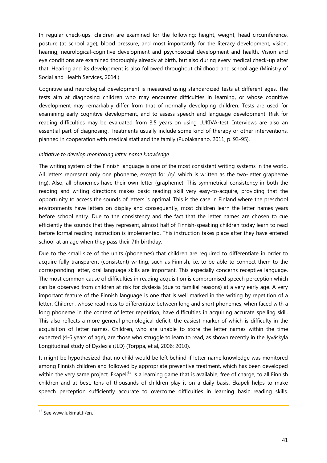In regular check-ups, children are examined for the following: height, weight, head circumference, posture (at school age), blood pressure, and most importantly for the literacy development, vision, hearing, neurological-cognitive development and psychosocial development and health. Vision and eye conditions are examined thoroughly already at birth, but also during every medical check-up after that. Hearing and its development is also followed throughout childhood and school age (Ministry of Social and Health Services, 2014.)

Cognitive and neurological development is measured using standardized tests at different ages. The tests aim at diagnosing children who may encounter difficulties in learning, or whose cognitive development may remarkably differ from that of normally developing children. Tests are used for examining early cognitive development, and to assess speech and language development. Risk for reading difficulties may be evaluated from 3,5 years on using LUKIVA-test. Interviews are also an essential part of diagnosing. Treatments usually include some kind of therapy or other interventions, planned in cooperation with medical staff and the family (Puolakanaho, 2011, p. 93-95).

# *Initiative to develop monitoring letter name knowledge*

The writing system of the Finnish language is one of the most consistent writing systems in the world. All letters represent only one phoneme, except for  $/\eta$ , which is written as the two-letter grapheme (ng). Also, all phonemes have their own letter (grapheme). This symmetrical consistency in both the reading and writing directions makes basic reading skill very easy-to-acquire, providing that the opportunity to access the sounds of letters is optimal. This is the case in Finland where the preschool environments have letters on display and consequently, most children learn the letter names years before school entry. Due to the consistency and the fact that the letter names are chosen to cue efficiently the sounds that they represent, almost half of Finnish-speaking children today learn to read before formal reading instruction is implemented. This instruction takes place after they have entered school at an age when they pass their 7th birthday.

Due to the small size of the units (phonemes) that children are required to differentiate in order to acquire fully transparent (consistent) writing, such as Finnish, i.e. to be able to connect them to the corresponding letter, oral language skills are important. This especially concerns receptive language. The most common cause of difficulties in reading acquisition is compromised speech perception which can be observed from children at risk for dyslexia (due to familial reasons) at a very early age. A very important feature of the Finnish language is one that is well marked in the writing by repetition of a letter. Children, whose readiness to differentiate between long and short phonemes, when faced with a long phoneme in the context of letter repetition, have difficulties in acquiring accurate spelling skill. This also reflects a more general phonological deficit, the easiest marker of which is difficulty in the acquisition of letter names. Children, who are unable to store the letter names within the time expected (4-6 years of age), are those who struggle to learn to read, as shown recently in the Jyväskylä Longitudinal study of Dyslexia (JLD) (Torppa, et al, 2006; 2010).

It might be hypothesized that no child would be left behind if letter name knowledge was monitored among Finnish children and followed by appropriate preventive treatment, which has been developed within the very same project. Ekapeli<sup>13</sup> is a learning game that is available, free of charge, to all Finnish children and at best, tens of thousands of children play it on a daily basis. Ekapeli helps to make speech perception sufficiently accurate to overcome difficulties in learning basic reading skills.

<sup>&</sup>lt;sup>13</sup> See www.lukimat.fi/en.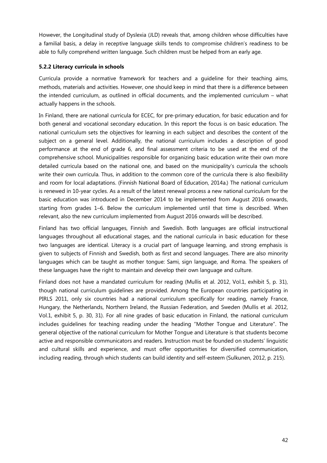However, the Longitudinal study of Dyslexia (JLD) reveals that, among children whose difficulties have a familial basis, a delay in receptive language skills tends to compromise children's readiness to be able to fully comprehend written language. Such children must be helped from an early age.

# **5.2.2 Literacy curricula in schools**

Curricula provide a normative framework for teachers and a guideline for their teaching aims, methods, materials and activities. However, one should keep in mind that there is a difference between the intended curriculum, as outlined in official documents, and the implemented curriculum – what actually happens in the schools.

In Finland, there are national curricula for ECEC, for pre-primary education, for basic education and for both general and vocational secondary education. In this report the focus is on basic education. The national curriculum sets the objectives for learning in each subject and describes the content of the subject on a general level. Additionally, the national curriculum includes a description of good performance at the end of grade 6, and final assessment criteria to be used at the end of the comprehensive school. Municipalities responsible for organizing basic education write their own more detailed curricula based on the national one, and based on the municipality's curricula the schools write their own curricula. Thus, in addition to the common core of the curricula there is also flexibility and room for local adaptations. (Finnish National Board of Education, 2014a.) The national curriculum is renewed in 10-year cycles. As a result of the latest renewal process a new national curriculum for the basic education was introduced in December 2014 to be implemented from August 2016 onwards, starting from grades 1–6. Below the curriculum implemented until that time is described. When relevant, also the new curriculum implemented from August 2016 onwards will be described.

Finland has two official languages, Finnish and Swedish. Both languages are official instructional languages throughout all educational stages, and the national curricula in basic education for these two languages are identical. Literacy is a crucial part of language learning, and strong emphasis is given to subjects of Finnish and Swedish, both as first and second languages. There are also minority languages which can be taught as mother tongue: Sami, sign language, and Roma. The speakers of these languages have the right to maintain and develop their own language and culture.

Finland does not have a mandated curriculum for reading (Mullis et al. 2012, Vol.1, exhibit 5, p. 31), though national curriculum guidelines are provided. Among the European countries participating in PIRLS 2011, only six countries had a national curriculum specifically for reading, namely France, Hungary, the Netherlands, Northern Ireland, the Russian Federation, and Sweden (Mullis et al. 2012, Vol.1, exhibit 5, p. 30, 31). For all nine grades of basic education in Finland, the national curriculum includes guidelines for teaching reading under the heading "Mother Tongue and Literature". The general objective of the national curriculum for Mother Tongue and Literature is that students become active and responsible communicators and readers. Instruction must be founded on students' linguistic and cultural skills and experience, and must offer opportunities for diversified communication, including reading, through which students can build identity and self-esteem (Sulkunen, 2012, p. 215).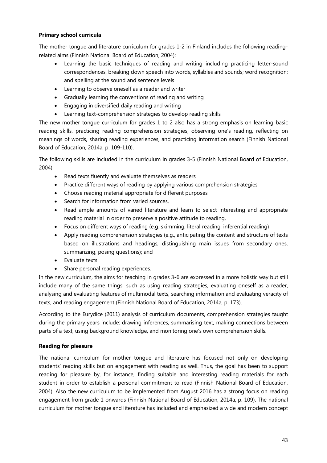# **Primary school curricula**

The mother tongue and literature curriculum for grades 1-2 in Finland includes the following readingrelated aims (Finnish National Board of Education, 2004):

- · Learning the basic techniques of reading and writing including practicing letter-sound correspondences, breaking down speech into words, syllables and sounds; word recognition; and spelling at the sound and sentence levels
- · Learning to observe oneself as a reader and writer
- · Gradually learning the conventions of reading and writing
- · Engaging in diversified daily reading and writing
- · Learning text-comprehension strategies to develop reading skills

The new mother tongue curriculum for grades 1 to 2 also has a strong emphasis on learning basic reading skills, practicing reading comprehension strategies, observing one's reading, reflecting on meanings of words, sharing reading experiences, and practicing information search (Finnish National Board of Education, 2014a, p. 109-110).

The following skills are included in the curriculum in grades 3-5 (Finnish National Board of Education, 2004):

- · Read texts fluently and evaluate themselves as readers
- Practice different ways of reading by applying various comprehension strategies
- · Choose reading material appropriate for different purposes
- Search for information from varied sources.
- Read ample amounts of varied literature and learn to select interesting and appropriate reading material in order to preserve a positive attitude to reading.
- · Focus on different ways of reading (e.g. skimming, literal reading, inferential reading)
- Apply reading comprehension strategies (e.g., anticipating the content and structure of texts based on illustrations and headings, distinguishing main issues from secondary ones, summarizing, posing questions); and
- · Evaluate texts
- Share personal reading experiences.

In the new curriculum, the aims for teaching in grades 3**-**6 are expressed in a more holistic way but still include many of the same things, such as using reading strategies, evaluating oneself as a reader, analysing and evaluating features of multimodal texts, searching information and evaluating veracity of texts, and reading engagement (Finnish National Board of Education, 2014a, p. 173).

According to the Eurydice (2011) analysis of curriculum documents, comprehension strategies taught during the primary years include: drawing inferences, summarising text, making connections between parts of a text, using background knowledge, and monitoring one's own comprehension skills.

# **Reading for pleasure**

The national curriculum for mother tongue and literature has focused not only on developing students' reading skills but on engagement with reading as well. Thus, the goal has been to support reading for pleasure by, for instance, finding suitable and interesting reading materials for each student in order to establish a personal commitment to read (Finnish National Board of Education, 2004). Also the new curriculum to be implemented from August 2016 has a strong focus on reading engagement from grade 1 onwards (Finnish National Board of Education, 2014a, p. 109). The national curriculum for mother tongue and literature has included and emphasized a wide and modern concept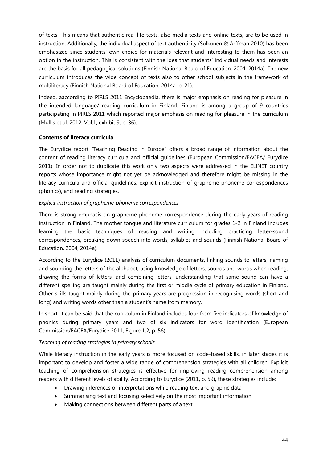of texts. This means that authentic real-life texts, also media texts and online texts, are to be used in instruction. Additionally, the individual aspect of text authenticity (Sulkunen & Arffman 2010) has been emphasized since students' own choice for materials relevant and interesting to them has been an option in the instruction. This is consistent with the idea that students' individual needs and interests are the basis for all pedagogical solutions (Finnish National Board of Education, 2004, 2014a). The new curriculum introduces the wide concept of texts also to other school subjects in the framework of multiliteracy (Finnish National Board of Education, 2014a, p. 21).

Indeed, aaccording to PIRLS 2011 Encyclopaedia, there is major emphasis on reading for pleasure in the intended language/ reading curriculum in Finland. Finland is among a group of 9 countries participating in PIRLS 2011 which reported major emphasis on reading for pleasure in the curriculum (Mullis et al. 2012, Vol.1, exhibit 9, p. 36).

# **Contents of literacy curricula**

The Eurydice report "Teaching Reading in Europe" offers a broad range of information about the content of reading literacy curricula and official guidelines (European Commission/EACEA/ Eurydice 2011). In order not to duplicate this work only two aspects were addressed in the ELINET country reports whose importance might not yet be acknowledged and therefore might be missing in the literacy curricula and official guidelines: explicit instruction of grapheme-phoneme correspondences (phonics), and reading strategies.

# *Explicit instruction of grapheme-phoneme correspondences*

There is strong emphasis on grapheme-phoneme correspondence during the early years of reading instruction in Finland. The mother tongue and literature curriculum for grades 1-2 in Finland includes learning the basic techniques of reading and writing including practicing letter-sound correspondences, breaking down speech into words, syllables and sounds (Finnish National Board of Education, 2004, 2014a).

According to the Eurydice (2011) analysis of curriculum documents, linking sounds to letters, naming and sounding the letters of the alphabet; using knowledge of letters, sounds and words when reading, drawing the forms of letters, and combining letters, understanding that same sound can have a different spelling are taught mainly during the first or middle cycle of primary education in Finland. Other skills taught mainly during the primary years are progression in recognising words (short and long) and writing words other than a student's name from memory.

In short, it can be said that the curriculum in Finland includes four from five indicators of knowledge of phonics during primary years and two of six indicators for word identification (European Commission/EACEA/Eurydice 2011, Figure 1.2, p. 56).

# *Teaching of reading strategies in primary schools*

While literacy instruction in the early years is more focused on code-based skills, in later stages it is important to develop and foster a wide range of comprehension strategies with all children. Explicit teaching of comprehension strategies is effective for improving reading comprehension among readers with different levels of ability. According to Eurydice (2011, p. 59), these strategies include:

- · Drawing inferences or interpretations while reading text and graphic data
- · Summarising text and focusing selectively on the most important information
- · Making connections between different parts of a text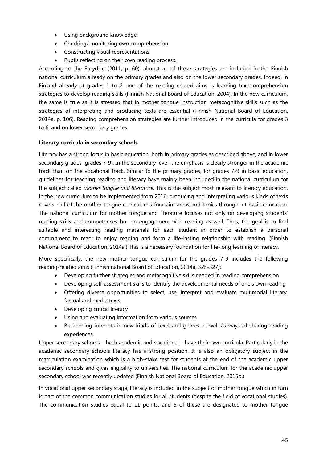- · Using background knowledge
- Checking/ monitoring own comprehension
- · Constructing visual representations
- · Pupils reflecting on their own reading process.

According to the Eurydice (2011, p. 60), almost all of these strategies are included in the Finnish national curriculum already on the primary grades and also on the lower secondary grades. Indeed, in Finland already at grades 1 to 2 one of the reading-related aims is learning text-comprehension strategies to develop reading skills (Finnish National Board of Education, 2004). In the new curriculum, the same is true as it is stressed that in mother tongue instruction metacognitive skills such as the strategies of interpreting and producing texts are essential (Finnish National Board of Education, 2014a, p. 106). Reading comprehension strategies are further introduced in the curricula for grades 3 to 6, and on lower secondary grades.

# **Literacy curricula in secondary schools**

Literacy has a strong focus in basic education, both in primary grades as described above, and in lower secondary grades (grades 7-9). In the secondary level, the emphasis is clearly stronger in the academic track than on the vocational track. Similar to the primary grades, for grades 7-9 in basic education, guidelines for teaching reading and literacy have mainly been included in the national curriculum for the subject called *mother tongue and literature*. This is the subject most relevant to literacy education. In the new curriculum to be implemented from 2016, producing and interpreting various kinds of texts covers half of the mother tongue curriculum's four aim areas and topics throughout basic education. The national curriculum for mother tongue and literature focuses not only on developing students' reading skills and competences but on engagement with reading as well. Thus, the goal is to find suitable and interesting reading materials for each student in order to establish a personal commitment to read: to enjoy reading and form a life-lasting relationship with reading. (Finnish National Board of Education, 2014a.) This is a necessary foundation for life-long learning of literacy.

More specifically, the new mother tongue curriculum for the grades 7-9 includes the following reading-related aims (Finnish national Board of Education, 2014a, 325-327):

- · Developing further strategies and metacognitive skills needed in reading comprehension
- Developing self-assessment skills to identify the developmental needs of one's own reading
- · Offering diverse opportunities to select, use, interpret and evaluate multimodal literary, factual and media texts
- · Developing critical literacy
- · Using and evaluating information from various sources
- Broadening interests in new kinds of texts and genres as well as ways of sharing reading experiences.

Upper secondary schools – both academic and vocational – have their own curricula. Particularly in the academic secondary schools literacy has a strong position. It is also an obligatory subject in the matriculation examination which is a high-stake test for students at the end of the academic upper secondary schools and gives eligibility to universities. The national curriculum for the academic upper secondary school was recently updated (Finnish National Board of Education, 2015b.)

In vocational upper secondary stage, literacy is included in the subject of mother tongue which in turn is part of the common communication studies for all students (despite the field of vocational studies). The communication studies equal to 11 points, and 5 of these are designated to mother tongue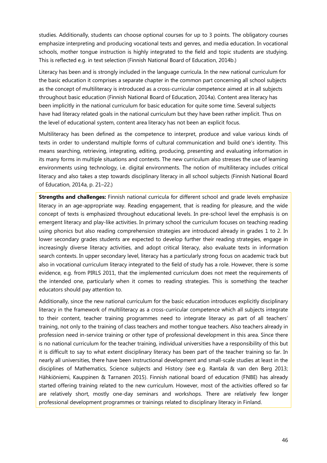studies. Additionally, students can choose optional courses for up to 3 points. The obligatory courses emphasize interpreting and producing vocational texts and genres, and media education. In vocational schools, mother tongue instruction is highly integrated to the field and topic students are studying. This is reflected e.g. in text selection (Finnish National Board of Education, 2014b.)

Literacy has been and is strongly included in the language curricula. In the new national curriculum for the basic education it comprises a separate chapter in the common part concerning all school subjects as the concept of multiliteracy is introduced as a cross-curricular competence aimed at in all subjects throughout basic education (Finnish National Board of Education, 2014a). Content area literacy has been implicitly in the national curriculum for basic education for quite some time. Several subjects have had literacy related goals in the national curriculum but they have been rather implicit. Thus on the level of educational system, content area literacy has not been an explicit focus.

Multiliteracy has been defined as the competence to interpret, produce and value various kinds of texts in order to understand multiple forms of cultural communication and build one's identity. This means searching, retrieving, integrating, editing, producing, presenting and evaluating information in its many forms in multiple situations and contexts. The new curriculum also stresses the use of learning environments using technology, i.e. digital environments. The notion of multiliteracy includes critical literacy and also takes a step towards disciplinary literacy in all school subjects (Finnish National Board of Education, 2014a, p. 21–22.)

**Strengths and challenges:** Finnish national curricula for different school and grade levels emphasize literacy in an age-appropriate way. Reading engagement, that is reading for pleasure, and the wide concept of texts is emphasized throughout educational levels. In pre-school level the emphasis is on emergent literacy and play-like activities. In primary school the curriculum focuses on teaching reading using phonics but also reading comprehension strategies are introduced already in grades 1 to 2. In lower secondary grades students are expected to develop further their reading strategies, engage in increasingly diverse literacy activities, and adopt critical literacy, also evaluate texts in information search contexts. In upper secondary level, literacy has a particularly strong focus on academic track but also in vocational curriculum literacy integrated to the field of study has a role. However, there is some evidence, e.g. from PIRLS 2011, that the implemented curriculum does not meet the requirements of the intended one, particularly when it comes to reading strategies. This is something the teacher educators should pay attention to.

Additionally, since the new national curriculum for the basic education introduces explicitly disciplinary literacy in the framework of multiliteracy as a cross-curricular competence which all subjects integrate to their content, teacher training programmes need to integrate literacy as part of all teachers' training, not only to the training of class teachers and mother tongue teachers. Also teachers already in profession need in-service training or other type of professional development in this area. Since there is no national curriculum for the teacher training, individual universities have a responsibility of this but it is difficult to say to what extent disciplinary literacy has been part of the teacher training so far. In nearly all universities, there have been instructional development and small-scale studies at least in the disciplines of Mathematics, Science subjects and History (see e.g. Rantala & van den Berg 2013; Hähkiöniemi, Kauppinen & Tarnanen 2015). Finnish national board of education (FNBE) has already started offering training related to the new curriculum. However, most of the activities offered so far are relatively short, mostly one-day seminars and workshops. There are relatively few longer professional development programmes or trainings related to disciplinary literacy in Finland.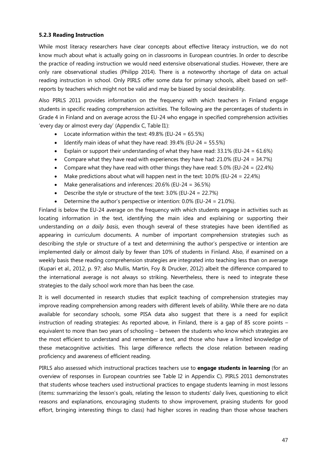## **5.2.3 Reading Instruction**

While most literacy researchers have clear concepts about effective literacy instruction, we do not know much about what is actually going on in classrooms in European countries. In order to describe the practice of reading instruction we would need extensive observational studies. However, there are only rare observational studies (Philipp 2014). There is a noteworthy shortage of data on actual reading instruction in school. Only PIRLS offer some data for primary schools, albeit based on selfreports by teachers which might not be valid and may be biased by social desirability.

Also PIRLS 2011 provides information on the frequency with which teachers in Finland engage students in specific reading comprehension activities. The following are the percentages of students in Grade 4 in Finland and on average across the EU-24 who engage in specified comprehension activities 'every day or almost every day' (Appendix C, Table I1):

- Locate information within the text:  $49.8\%$  (EU-24 = 65.5%)
- Identify main ideas of what they have read:  $39.4\%$  (EU-24 = 55.5%)
- Explain or support their understanding of what they have read:  $33.1\%$  (EU-24 =  $61.6\%$ )
- Compare what they have read with experiences they have had:  $21.0\%$  (EU-24 = 34.7%)
- Compare what they have read with other things they have read:  $5.0\%$  (EU-24 =  $(22.4\%)$
- Make predictions about what will happen next in the text:  $10.0\%$  (EU-24 = 22.4%)
- Make generalisations and inferences:  $20.6\%$  (EU-24 =  $36.5\%$ )
- Describe the style or structure of the text:  $3.0\%$  (EU-24 = 22.7%)
- Determine the author's perspective or intention:  $0.0\%$  (EU-24 = 21.0%).

Finland is below the EU-24 average on the frequency with which students engage in activities such as locating information in the text, identifying the main idea and explaining or supporting their understanding *on a daily basis*, even though several of these strategies have been identified as appearing in curriculum documents. A number of important comprehension strategies such as describing the style or structure of a text and determining the author's perspective or intention are implemented daily or almost daily by fewer than 10% of students in Finland. Also, if examined on a weekly basis these reading comprehension strategies are integrated into teaching less than on average (Kupari et al., 2012, p. 97; also Mullis, Martin, Foy & Drucker, 2012) albeit the difference compared to the international average is not always so striking. Nevertheless, there is need to integrate these strategies to the daily school work more than has been the case.

It is well documented in research studies that explicit teaching of comprehension strategies may improve reading comprehension among readers with different levels of ability. While there are no data available for secondary schools, some PISA data also suggest that there is a need for explicit instruction of reading strategies: As reported above, in Finland, there is a gap of 85 score points – equivalent to more than two years of schooling – between the students who know which strategies are the most efficient to understand and remember a text, and those who have a limited knowledge of these metacognitive activities. This large difference reflects the close relation between reading proficiency and awareness of efficient reading.

PIRLS also assessed which instructional practices teachers use to **engage students in learning** (for an overview of responses in European countries see Table I2 in Appendix C). PIRLS 2011 demonstrates that students whose teachers used instructional practices to engage students learning in most lessons (items: summarizing the lesson's goals, relating the lesson to students' daily lives, questioning to elicit reasons and explanations, encouraging students to show improvement, praising students for good effort, bringing interesting things to class) had higher scores in reading than those whose teachers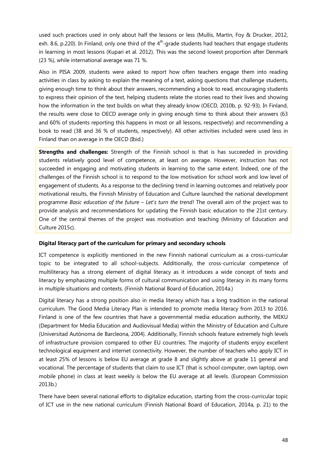used such practices used in only about half the lessons or less (Mullis, Martin, Foy & Drucker, 2012, exh. 8.6, p.220). In Finland, only one third of the  $4<sup>th</sup>$ -grade students had teachers that engage students in learning in most lessons (Kupari et al. 2012). This was the second lowest proportion after Denmark (23 %), while international average was 71 %.

Also in PISA 2009, students were asked to report how often teachers engage them into reading activities in class by asking to explain the meaning of a text, asking questions that challenge students, giving enough time to think about their answers, recommending a book to read, encouraging students to express their opinion of the text, helping students relate the stories read to their lives and showing how the information in the text builds on what they already know (OECD, 2010b, p. 92-93). In Finland, the results were close to OECD average only in giving enough time to think about their answers (63 and 60% of students reporting this happens in most or all lessons, respectively) and recommending a book to read (38 and 36 % of students, respectively). All other activities included were used less in Finland than on average in the OECD (Ibid.)

**Strengths and challenges:** Strength of the Finnish school is that is has succeeded in providing students relatively good level of competence, at least on average. However, instruction has not succeeded in engaging and motivating students in learning to the same extent. Indeed, one of the challenges of the Finnish school is to respond to the low motivation for school work and low level of engagement of students. As a response to the declining trend in learning outcomes and relatively poor motivational results, the Finnish Ministry of Education and Culture launched the national development programme *Basic education of the future – Let's turn the trend!* The overall aim of the project was to provide analysis and recommendations for updating the Finnish basic education to the 21st century. One of the central themes of the project was motivation and teaching (Ministry of Education and Culture 2015c).

#### **Digital literacy part of the curriculum for primary and secondary schools**

ICT competence is explicitly mentioned in the new Finnish national curriculum as a cross-curricular topic to be integrated to all school-subjects. Additionally, the cross-curricular competence of multiliteracy has a strong element of digital literacy as it introduces a wide concept of texts and literacy by emphasizing multiple forms of cultural communication and using literacy in its many forms in multiple situations and contexts. (Finnish National Board of Education, 2014a.)

Digital literacy has a strong position also in media literacy which has a long tradition in the national curriculum. The Good Media Literacy Plan is intended to promote media literacy from 2013 to 2016. Finland is one of the few countries that have a governmental media education authority, the MEKU (Department for Media Education and Audiovisual Media) within the Ministry of Education and Culture (Universitad Autònoma de Barcleona, 2004). Additionally, Finnish schools feature extremely high levels of infrastructure provision compared to other EU countries. The majority of students enjoy excellent technological equipment and internet connectivity. However, the number of teachers who apply ICT in at least 25% of lessons is below EU average at grade 8 and slightly above at grade 11 general and vocational. The percentage of students that claim to use ICT (that is school computer, own laptop, own mobile phone) in class at least weekly is below the EU average at all levels. (European Commission 2013b.)

There have been several national efforts to digitalize education, starting from the cross-curricular topic of ICT use in the new national curriculum (Finnish National Board of Education, 2014a, p. 21) to the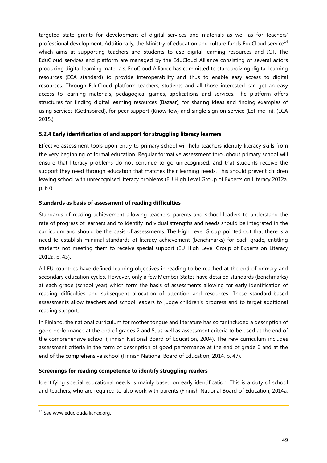targeted state grants for development of digital services and materials as well as for teachers' professional development. Additionally, the Ministry of education and culture funds EduCloud service<sup>14</sup> which aims at supporting teachers and students to use digital learning resources and ICT. The EduCloud services and platform are managed by the EduCloud Alliance consisting of several actors producing digital learning materials. EduCloud Alliance has committed to standardizing digital learning resources (ECA standard) to provide interoperability and thus to enable easy access to digital resources. Through EduCloud platform teachers, students and all those interested can get an easy access to learning materials, pedagogical games, applications and services. The platform offers structures for finding digital learning resources (Bazaar), for sharing ideas and finding examples of using services (GetInspired), for peer support (KnowHow) and single sign on service (Let-me-in). (ECA 2015.)

# **5.2.4 Early identification of and support for struggling literacy learners**

Effective assessment tools upon entry to primary school will help teachers identify literacy skills from the very beginning of formal education. Regular formative assessment throughout primary school will ensure that literacy problems do not continue to go unrecognised, and that students receive the support they need through education that matches their learning needs. This should prevent children leaving school with unrecognised literacy problems (EU High Level Group of Experts on Literacy 2012a, p. 67).

# **Standards as basis of assessment of reading difficulties**

Standards of reading achievement allowing teachers, parents and school leaders to understand the rate of progress of learners and to identify individual strengths and needs should be integrated in the curriculum and should be the basis of assessments. The High Level Group pointed out that there is a need to establish minimal standards of literacy achievement (benchmarks) for each grade, entitling students not meeting them to receive special support (EU High Level Group of Experts on Literacy 2012a, p. 43).

All EU countries have defined learning objectives in reading to be reached at the end of primary and secondary education cycles. However, only a few Member States have detailed standards (benchmarks) at each grade (school year) which form the basis of assessments allowing for early identification of reading difficulties and subsequent allocation of attention and resources. These standard-based assessments allow teachers and school leaders to judge children's progress and to target additional reading support.

In Finland, the national curriculum for mother tongue and literature has so far included a description of good performance at the end of grades 2 and 5, as well as assessment criteria to be used at the end of the comprehensive school (Finnish National Board of Education, 2004). The new curriculum includes assessment criteria in the form of description of good performance at the end of grade 6 and at the end of the comprehensive school (Finnish National Board of Education, 2014, p. 47).

# **Screenings for reading competence to identify struggling readers**

Identifying special educational needs is mainly based on early identification. This is a duty of school and teachers, who are required to also work with parents (Finnish National Board of Education, 2014a,

<sup>&</sup>lt;sup>14</sup> See www.educloudalliance.org.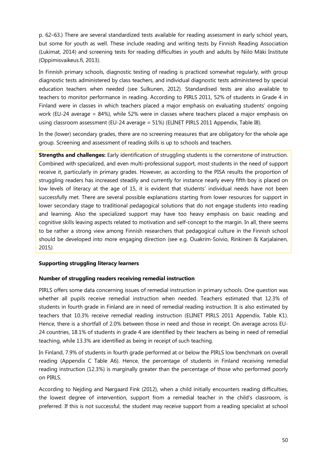p. 62–63.) There are several standardized tests available for reading assessment in early school years, but some for youth as well. These include reading and writing tests by Finnish Reading Association (Lukimat, 2014) and screening tests for reading difficulties in youth and adults by Niilo Mäki Institute (Oppimisvaikeus.fi, 2013).

In Finnish primary schools, diagnostic testing of reading is practiced somewhat regularly, with group diagnostic tests administered by class teachers, and individual diagnostic tests administered by special education teachers when needed (see Sulkunen, 2012). Standardised tests are also available to teachers to monitor performance in reading. According to PIRLS 2011, 52% of students in Grade 4 in Finland were in classes in which teachers placed a major emphasis on evaluating students' ongoing work (EU-24 average = 84%), while 52% were in classes where teachers placed a major emphasis on using classroom assessment (EU-24 average = 51%) (ELINET PIRLS 2011 Appendix, Table I8).

In the (lower) secondary grades, there are no screening measures that are obligatory for the whole age group. Screening and assessment of reading skills is up to schools and teachers.

**Strengths and challenges:** Early identification of struggling students is the cornerstone of instruction. Combined with specialized, and even multi-professional support, most students in the need of support receive it, particularly in primary grades. However, as according to the PISA results the proportion of struggling readers has increased steadily and currently for instance nearly every fifth boy is placed on low levels of literacy at the age of 15, it is evident that students' individual needs have not been successfully met. There are several possible explanations starting from lower resources for support in lower secondary stage to traditional pedagogical solutions that do not engage students into reading and learning. Also the specialized support may have too heavy emphasis on basic reading and cognitive skills leaving aspects related to motivation and self-concept to the margin. In all, there seems to be rather a strong view among Finnish researchers that pedagogical culture in the Finnish school should be developed into more engaging direction (see e.g. Ouakrim-Soivio, Rinkinen & Karjalainen, 2015*).* 

#### **Supporting struggling literacy learners**

#### **Number of struggling readers receiving remedial instruction**

PIRLS offers some data concerning issues of remedial instruction in primary schools. One question was whether all pupils receive remedial instruction when needed. Teachers estimated that 12.3% of students in fourth grade in Finland are in need of remedial reading instruction. It is also estimated by teachers that 10.3% receive remedial reading instruction (ELINET PIRLS 2011 Appendix, Table K1). Hence, there is a shortfall of 2.0% between those in need and those in receipt. On average across EU-24 countries, 18.1% of students in grade 4 are identified by their teachers as being in need of remedial teaching, while 13.3% are identified as being in receipt of such teaching.

In Finland, 7.9% of students in fourth grade performed at or below the PIRLS low benchmark on overall reading (Appendix C Table A6). Hence, the percentage of students in Finland receiving remedial reading instruction (12.3%) is marginally greater than the percentage of those who performed poorly on PIRLS.

According to Nejding and Nørgaard Fink (2012), when a child initially encounters reading difficulties, the lowest degree of intervention, support from a remedial teacher in the child's classroom, is preferred. If this is not successful, the student may receive support from a reading specialist at school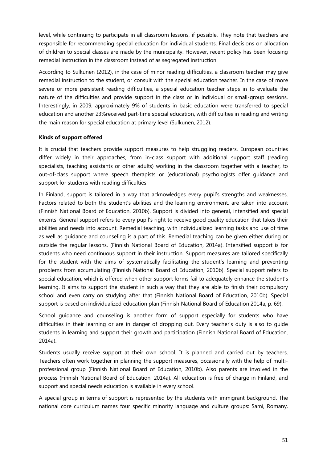level, while continuing to participate in all classroom lessons, if possible. They note that teachers are responsible for recommending special education for individual students. Final decisions on allocation of children to special classes are made by the municipality. However, recent policy has been focusing remedial instruction in the classroom instead of as segregated instruction.

According to Sulkunen (2012), in the case of minor reading difficulties, a classroom teacher may give remedial instruction to the student, or consult with the special education teacher. In the case of more severe or more persistent reading difficulties, a special education teacher steps in to evaluate the nature of the difficulties and provide support in the class or in individual or small-group sessions. Interestingly, in 2009, approximately 9% of students in basic education were transferred to special education and another 23%received part-time special education, with difficulties in reading and writing the main reason for special education at primary level (Sulkunen, 2012).

#### **Kinds of support offered**

It is crucial that teachers provide support measures to help struggling readers. European countries differ widely in their approaches, from in-class support with additional support staff (reading specialists, teaching assistants or other adults) working in the classroom together with a teacher, to out-of-class support where speech therapists or (educational) psychologists offer guidance and support for students with reading difficulties.

In Finland, support is tailored in a way that acknowledges every pupil's strengths and weaknesses. Factors related to both the student's abilities and the learning environment, are taken into account (Finnish National Board of Education, 2010b). Support is divided into general, intensified and special extents. General support refers to every pupil's right to receive good quality education that takes their abilities and needs into account. Remedial teaching, with individualized learning tasks and use of time as well as guidance and counseling is a part of this. Remedial teaching can be given either during or outside the regular lessons. (Finnish National Board of Education, 2014a). Intensified support is for students who need continuous support in their instruction. Support measures are tailored specifically for the student with the aims of systematically facilitating the student's learning and preventing problems from accumulating (Finnish National Board of Education, 2010b). Special support refers to special education, which is offered when other support forms fail to adequately enhance the student's learning. It aims to support the student in such a way that they are able to finish their compulsory school and even carry on studying after that (Finnish National Board of Education, 2010b). Special support is based on individualized education plan (Finnish National Board of Education 2014a, p. 69).

School guidance and counseling is another form of support especially for students who have difficulties in their learning or are in danger of dropping out. Every teacher's duty is also to guide students in learning and support their growth and participation (Finnish National Board of Education, 2014a).

Students usually receive support at their own school. It is planned and carried out by teachers. Teachers often work together in planning the support measures, occasionally with the help of multiprofessional group (Finnish National Board of Education, 2010b). Also parents are involved in the process (Finnish National Board of Education, 2014a). All education is free of charge in Finland, and support and special needs education is available in every school.

A special group in terms of support is represented by the students with immigrant background. The national core curriculum names four specific minority language and culture groups: Sami, Romany,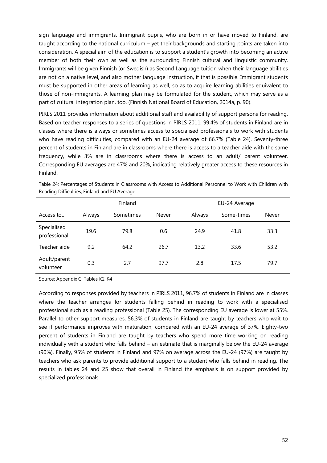sign language and immigrants. Immigrant pupils, who are born in or have moved to Finland, are taught according to the national curriculum – yet their backgrounds and starting points are taken into consideration. A special aim of the education is to support a student's growth into becoming an active member of both their own as well as the surrounding Finnish cultural and linguistic community. Immigrants will be given Finnish (or Swedish) as Second Language tuition when their language abilities are not on a native level, and also mother language instruction, if that is possible. Immigrant students must be supported in other areas of learning as well, so as to acquire learning abilities equivalent to those of non-immigrants. A learning plan may be formulated for the student, which may serve as a part of cultural integration plan, too. (Finnish National Board of Education, 2014a, p. 90).

PIRLS 2011 provides information about additional staff and availability of support persons for reading. Based on teacher responses to a series of questions in PIRLS 2011, 99.4% of students in Finland are in classes where there is always or sometimes access to specialised professionals to work with students who have reading difficulties, compared with an EU-24 average of 66.7% (Table 24). Seventy-three percent of students in Finland are in classrooms where there is access to a teacher aide with the same frequency, while 3% are in classrooms where there is access to an adult/ parent volunteer. Corresponding EU averages are 47% and 20%, indicating relatively greater access to these resources in Finland.

|                             | Finland |           |       | EU-24 Average |            |       |
|-----------------------------|---------|-----------|-------|---------------|------------|-------|
| Access to                   | Always  | Sometimes | Never | Always        | Some-times | Never |
| Specialised<br>professional | 19.6    | 79.8      | 0.6   | 24.9          | 41.8       | 33.3  |
| Teacher aide                | 9.2     | 64.2      | 26.7  | 13.2          | 33.6       | 53.2  |
| Adult/parent<br>volunteer   | 0.3     | 2.7       | 97.7  | 2.8           | 17.5       | 79.7  |

Table 24: Percentages of Students in Classrooms with Access to Additional Personnel to Work with Children with Reading Difficulties, Finland and EU Average

Source: Appendix C, Tables K2-K4

According to responses provided by teachers in PIRLS 2011, 96.7% of students in Finland are in classes where the teacher arranges for students falling behind in reading to work with a specialised professional such as a reading professional (Table 25). The corresponding EU average is lower at 55%. Parallel to other support measures, 56.3% of students in Finland are taught by teachers who wait to see if performance improves with maturation, compared with an EU-24 average of 37%. Eighty-two percent of students in Finland are taught by teachers who spend more time working on reading individually with a student who falls behind – an estimate that is marginally below the EU-24 average (90%). Finally, 95% of students in Finland and 97% on average across the EU-24 (97%) are taught by teachers who ask parents to provide additional support to a student who falls behind in reading. The results in tables 24 and 25 show that overall in Finland the emphasis is on support provided by specialized professionals.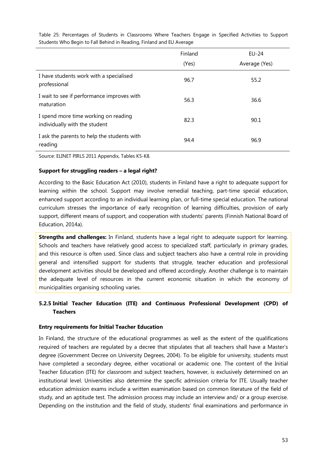|                                                                       | Finland | EU-24         |  |
|-----------------------------------------------------------------------|---------|---------------|--|
|                                                                       | (Yes)   | Average (Yes) |  |
| I have students work with a specialised<br>professional               | 96.7    | 55.2          |  |
| I wait to see if performance improves with<br>maturation              | 56.3    | 36.6          |  |
| I spend more time working on reading<br>individually with the student | 82.3    | 90.1          |  |
| I ask the parents to help the students with<br>reading                | 94.4    | 96.9          |  |

Table 25: Percentages of Students in Classrooms Where Teachers Engage in Specified Activities to Support Students Who Begin to Fall Behind in Reading, Finland and EU Average

Source: ELINET PIRLS 2011 Appendix, Tables K5-K8.

# **Support for struggling readers – a legal right?**

According to the Basic Education Act (2010), students in Finland have a right to adequate support for learning within the school. Support may involve remedial teaching, part-time special education, enhanced support according to an individual learning plan, or full-time special education. The national curriculum stresses the importance of early recognition of learning difficulties, provision of early support, different means of support, and cooperation with students' parents (Finnish National Board of Education, 2014a).

**Strengths and challenges:** In Finland, students have a legal right to adequate support for learning. Schools and teachers have relatively good access to specialized staff, particularly in primary grades, and this resource is often used. Since class and subject teachers also have a central role in providing general and intensified support for students that struggle, teacher education and professional development activities should be developed and offered accordingly. Another challenge is to maintain the adequate level of resources in the current economic situation in which the economy of municipalities organising schooling varies.

# **5.2.5 Initial Teacher Education (ITE) and Continuous Professional Development (CPD) of Teachers**

# **Entry requirements for Initial Teacher Education**

In Finland, the structure of the educational programmes as well as the extent of the qualifications required of teachers are regulated by a decree that stipulates that all teachers shall have a Master's degree (Government Decree on University Degrees, 2004). To be eligible for university, students must have completed a secondary degree, either vocational or academic one. The content of the Initial Teacher Education (ITE) for classroom and subject teachers, however, is exclusively determined on an institutional level. Universities also determine the specific admission criteria for ITE. Usually teacher education admission exams include a written examination based on common literature of the field of study, and an aptitude test. The admission process may include an interview and/ or a group exercise. Depending on the institution and the field of study, students' final examinations and performance in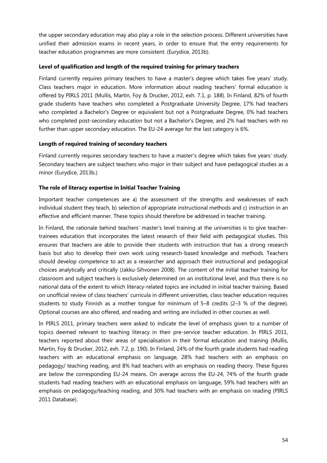the upper secondary education may also play a role in the selection process. Different universities have unified their admission exams in recent years, in order to ensure that the entry requirements for teacher education programmes are more consistent. (Eurydice, 2013b).

## **Level of qualification and length of the required training for primary teachers**

Finland currently requires primary teachers to have a master's degree which takes five years' study. Class teachers major in education. More information about reading teachers' formal education is offered by PIRLS 2011 (Mullis, Martin, Foy & Drucker, 2012, exh. 7.1, p. 188). In Finland, 82% of fourth grade students have teachers who completed a Postgraduate University Degree, 17% had teachers who completed a Bachelor's Degree or equivalent but not a Postgraduate Degree, 0% had teachers who completed post-secondary education but not a Bachelor's Degree, and 2% had teachers with no further than upper secondary education. The EU-24 average for the last category is 6%.

# **Length of required training of secondary teachers**

Finland currently requires secondary teachers to have a master's degree which takes five years' study. Secondary teachers are subject teachers who major in their subject and have pedagogical studies as a minor (Eurydice, 2013b.)

# **The role of literacy expertise in Initial Teacher Training**

Important teacher competences are a) the assessment of the strengths and weaknesses of each individual student they teach, b) selection of appropriate instructional methods and c) instruction in an effective and efficient manner. These topics should therefore be addressed in teacher training.

In Finland, the rationale behind teachers' master's level training at the universities is to give teachertrainees education that incorporates the latest research of their field with pedagogical studies. This ensures that teachers are able to provide their students with instruction that has a strong research basis but also to develop their own work using research-based knowledge and methods. Teachers should develop competence to act as a researcher and approach their instructional and pedagogical choices analytically and critically (Jakku-Sihvonen 2008). The content of the initial teacher training for classroom and subject teachers is exclusively determined on an institutional level, and thus there is no national data of the extent to which literacy-related topics are included in initial teacher training. Based on unofficial review of class teachers' curricula in different universities, class teacher education requires students to study Finnish as a mother tongue for minimum of 5–8 credits (2–3 % of the degree). Optional courses are also offered, and reading and writing are included in other courses as well.

In PIRLS 2011, primary teachers were asked to indicate the level of emphasis given to a number of topics deemed relevant to teaching literacy in their pre-service teacher education. In PIRLS 2011, teachers reported about their areas of specialisation in their formal education and training (Mullis, Martin, Foy & Drucker, 2012, exh. 7.2, p. 190). In Finland, 24% of the fourth grade students had reading teachers with an educational emphasis on language, 28% had teachers with an emphasis on pedagogy/ teaching reading, and 8% had teachers with an emphasis on reading theory. These figures are below the corresponding EU-24 means. On average across the EU-24, 74% of the fourth grade students had reading teachers with an educational emphasis on language, 59% had teachers with an emphasis on pedagogy/teaching reading, and 30% had teachers with an emphasis on reading (PIRLS 2011 Database).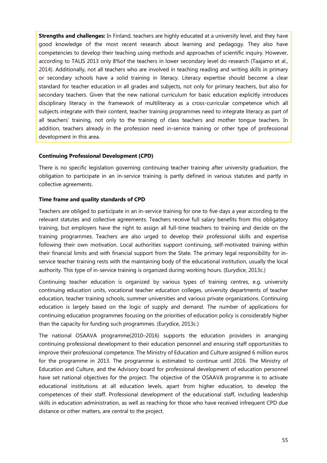**Strengths and challenges:** In Finland, teachers are highly educated at a university level, and they have good knowledge of the most recent research about learning and pedagogy. They also have competencies to develop their teaching using methods and approaches of scientific inquiry. However, according to TALIS 2013 only 8%of the teachers in lower secondary level do research (Taajamo et al., 2014). Additionally, not all teachers who are involved in teaching reading and writing skills in primary or secondary schools have a solid training in literacy. Literacy expertise should become a clear standard for teacher education in all grades and subjects, not only for primary teachers, but also for secondary teachers. Given that the new national curriculum for basic education explicitly introduces disciplinary literacy in the framework of multiliteracy as a cross-curricular competence which all subjects integrate with their content, teacher training programmes need to integrate literacy as part of all teachers' training, not only to the training of class teachers and mother tongue teachers. In addition, teachers already in the profession need in-service training or other type of professional development in this area.

#### **Continuing Professional Development (CPD)**

There is no specific legislation governing continuing teacher training after university graduation, the obligation to participate in an in-service training is partly defined in various statutes and partly in collective agreements.

#### **Time frame and quality standards of CPD**

Teachers are obliged to participate in an in-service training for one to five days a year according to the relevant statutes and collective agreements. Teachers receive full salary benefits from this obligatory training, but employers have the right to assign all full-time teachers to training and decide on the training programmes. Teachers are also urged to develop their professional skills and expertise following their own motivation. Local authorities support continuing, self-motivated training within their financial limits and with financial support from the State. The primary legal responsibility for inservice teacher training rests with the maintaining body of the educational institution, usually the local authority. This type of in-service training is organized during working hours. (Eurydice, 2013c.)

Continuing teacher education is organized by various types of training centres, e.g. university continuing education units, vocational teacher education colleges, university departments of teacher education, teacher training schools, summer universities and various private organizations. Continuing education is largely based on the logic of supply and demand. The number of applications for continuing education programmes focusing on the priorities of education policy is considerably higher than the capacity for funding such programmes. (Eurydice, 2013c.)

The national OSAAVA programme(2010–2016) supports the education providers in arranging continuing professional development to their education personnel and ensuring staff opportunities to improve their professional competence. The Ministry of Education and Culture assigned 6 million euros for the programme in 2013. The programme is estimated to continue until 2016. The Ministry of Education and Culture, and the Advisory board for professional development of education personnel have set national objectives for the project. The objective of the OSAAVA programme is to activate educational institutions at all education levels, apart from higher education, to develop the competences of their staff. Professional development of the educational staff, including leadership skills in education administration, as well as reaching for those who have received infrequent CPD due distance or other matters, are central to the project.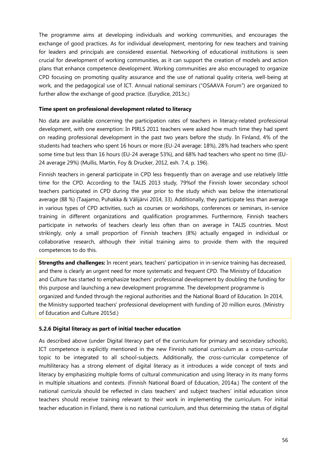The programme aims at developing individuals and working communities, and encourages the exchange of good practices. As for individual development, mentoring for new teachers and training for leaders and principals are considered essential. Networking of educational institutions is seen crucial for development of working communities, as it can support the creation of models and action plans that enhance competence development. Working communities are also encouraged to organize CPD focusing on promoting quality assurance and the use of national quality criteria, well-being at work, and the pedagogical use of ICT. Annual national seminars ("OSAAVA Forum") are organized to further allow the exchange of good practice. (Eurydice, 2013c.)

#### **Time spent on professional development related to literacy**

No data are available concerning the participation rates of teachers in literacy-related professional development, with one exemption: In PIRLS 2011 teachers were asked how much time they had spent on reading professional development in the past two years before the study. In Finland, 4% of the students had teachers who spent 16 hours or more (EU-24 average: 18%), 28% had teachers who spent some time but less than 16 hours (EU-24 average 53%), and 68% had teachers who spent no time (EU-24 average 29%) (Mullis, Martin, Foy & Drucker, 2012, exh. 7.4, p. 196).

Finnish teachers in general participate in CPD less frequently than on average and use relatively little time for the CPD. According to the TALIS 2013 study, 79%of the Finnish lower secondary school teachers participated in CPD during the year prior to the study which was below the international average (88 %) (Taajamo, Puhakka & Välijärvi 2014, 33). Additionally, they participate less than average in various types of CPD activities, such as courses or workshops, conferences or seminars, in-service training in different organizations and qualification programmes. Furthermore, Finnish teachers participate in networks of teachers clearly less often than on average in TALIS countries. Most strikingly, only a small proportion of Finnish teachers (8%) actually engaged in individual or collaborative research, although their initial training aims to provide them with the required competences to do this.

**Strengths and challenges:** In recent years, teachers' participation in in-service training has decreased, and there is clearly an urgent need for more systematic and frequent CPD. The Ministry of Education and Culture has started to emphasize teachers' professional development by doubling the funding for this purpose and launching a new development programme. The development programme is organized and funded through the regional authorities and the National Board of Education. In 2014, the Ministry supported teachers' professional development with funding of 20 million euros. (Ministry of Education and Culture 2015d.)

# **5.2.6 Digital literacy as part of initial teacher education**

As described above (under Digital literacy part of the curriculum for primary and secondary schools), ICT competence is explicitly mentioned in the new Finnish national curriculum as a cross-curricular topic to be integrated to all school-subjects. Additionally, the cross-curricular competence of multiliteracy has a strong element of digital literacy as it introduces a wide concept of texts and literacy by emphasizing multiple forms of cultural communication and using literacy in its many forms in multiple situations and contexts. (Finnish National Board of Education, 2014a.) The content of the national curricula should be reflected in class teachers' and subject teachers' initial education since teachers should receive training relevant to their work in implementing the curriculum. For initial teacher education in Finland, there is no national curriculum, and thus determining the status of digital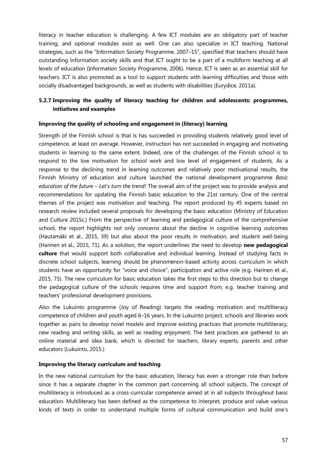literacy in teacher education is challenging. A few ICT modules are an obligatory part of teacher training, and optional modules exist as well. One can also specialize in ICT teaching. National strategies, such as the "Information Society Programme, 2007–15", specified that teachers should have outstanding information society skills and that ICT ought to be a part of a multiform teaching at all levels of education (Information Society Programme, 2006). Hence, ICT is seen as an essential skill for teachers. ICT is also promoted as a tool to support students with learning difficulties and those with socially disadvantaged backgrounds, as well as students with disabilities (Eurydice, 2011a).

# **5.2.7 Improving the quality of literacy teaching for children and adolescents: programmes, initiatives and examples**

#### **Improving the quality of schooling and engagement in (literacy) learning**

Strength of the Finnish school is that is has succeeded in providing students relatively good level of competence, at least on average. However, instruction has not succeeded in engaging and motivating students in learning to the same extent. Indeed, one of the challenges of the Finnish school is to respond to the low motivation for school work and low level of engagement of students. As a response to the declining trend in learning outcomes and relatively poor motivational results, the Finnish Ministry of education and culture launched the national development programme *Basic education of the future – Let's turn the trend!* The overall aim of the project was to provide analysis and recommendations for updating the Finnish basic education to the 21st century. One of the central themes of the project was motivation and teaching. The report produced by 45 experts based on research review included several proposals for developing the basic education (Ministry of Education and Culture 2015c.) From the perspective of learning and pedagogical culture of the comprehensive school, the report highlights not only concerns about the decline in cognitive learning outcomes (Hautamäki et al., 2015, 39) but also about the poor results in motivation, and student well-being (Harinen et al., 2015, 71). As a solution, the report underlines the need to develop **new pedagogical culture** that would support both collaborative and individual learning. Instead of studying facts in discrete school subjects, learning should be phenomenon-based activity across curriculum in which students have an opportunity for "voice and choice", participation and active role (e.g. Harinen et al., 2015, 75). The new curriculum for basic education takes the first steps to this direction but to change the pedagogical culture of the schools requires time and support from, e.g. teacher training and teachers' professional development provisions.

Also the Lukuinto programme (Joy of Reading) targets the reading motivation and multiliteracy competence of children and youth aged 6–16 years. In the Lukuinto project, schools and libraries work together as pairs to develop novel models and improve existing practices that promote multiliteracy, new reading and writing skills, as well as reading enjoyment. The best practices are gathered to an online material and idea bank, which is directed for teachers, library experts, parents and other educators (Lukuinto, 2015.)

# **Improving the literacy curriculum and teaching**

In the new national curriculum for the basic education, literacy has even a stronger role than before since it has a separate chapter in the common part concerning all school subjects. The concept of multiliteracy is introduced as a cross-curricular competence aimed at in all subjects throughout basic education. Multiliteracy has been defined as the competence to interpret, produce and value various kinds of texts in order to understand multiple forms of cultural communication and build one's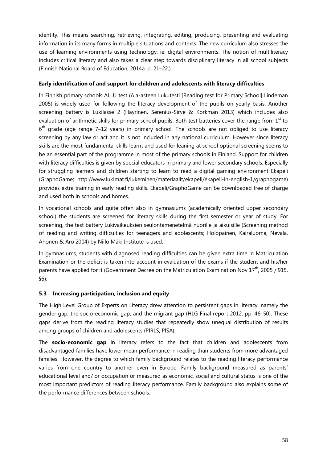identity. This means searching, retrieving, integrating, editing, producing, presenting and evaluating information in its many forms in multiple situations and contexts. The new curriculum also stresses the use of learning environments using technology, ie. digital environments. The notion of multiliteracy includes critical literacy and also takes a clear step towards disciplinary literacy in all school subjects (Finnish National Board of Education, 2014a, p. 21–22.)

# **Early identification of and support for children and adolescents with literacy difficulties**

In Finnish primary schools ALLU test (Ala-asteen Lukutesti [Reading test for Primary School] Lindeman 2005) is widely used for following the literacy development of the pupils on yearly basis. Another screening battery is Lukilasse 2 (Häyrinen, Serenius-Sirve & Korkman 2013) which includes also evaluation of arithmetic skills for primary school pupils. Both test batteries cover the range from  $1<sup>st</sup>$  to  $6<sup>th</sup>$  grade (age range 7–12 years) in primary school. The schools are not obliged to use literacy screening by any law or act and it is not included in any national curriculum. However since literacy skills are the most fundamental skills learnt and used for leaning at school optional screening seems to be an essential part of the programme in most of the primary schools in Finland. Support for children with literacy difficulties is given by special educators in primary and lower secondary schools. Especially for struggling learners and children starting to learn to read a digital gaming environment Ekapeli (GraphoGame; http://www.lukimat.fi/lukeminen/materiaalit/ekapeli/ekapeli-in-english-1/graphogame) provides extra training in early reading skills. Ekapeli/GraphoGame can be downloaded free of charge and used both in schools and homes.

In vocational schools and quite often also in gymnasiums (academically oriented upper secondary school) the students are screened for literacy skills during the first semester or year of study. For screening, the test battery Lukivaikeuksien seulontamenetelmä nuorille ja aikuisille (Screening method of reading and writing difficulties for teenagers and adolescents; Holopainen, Kairaluoma, Nevala, Ahonen & Aro 2004) by Niilo Mäki Institute is used.

In gymnasiums, students with diagnosed reading difficulties can be given extra time in Matriculation Examination or the deficit is taken into account in evaluation of the exams if the student and his/her parents have applied for it (Government Decree on the Matriculation Examination Nov 17<sup>th</sup>, 2005 / 915. §6).

# **5.3 Increasing participation, inclusion and equity**

The High Level Group of Experts on Literacy drew attention to persistent gaps in literacy, namely the gender gap, the socio-economic gap, and the migrant gap (HLG Final report 2012, pp. 46–50). These gaps derive from the reading literacy studies that repeatedly show unequal distribution of results among groups of children and adolescents (PIRLS, PISA).

The **socio-economic gap** in literacy refers to the fact that children and adolescents from disadvantaged families have lower mean performance in reading than students from more advantaged families. However, the degree to which family background relates to the reading literacy performance varies from one country to another even in Europe. Family background measured as parents' educational level and/ or occupation or measured as economic, social and cultural status is one of the most important predictors of reading literacy performance. Family background also explains some of the performance differences between schools.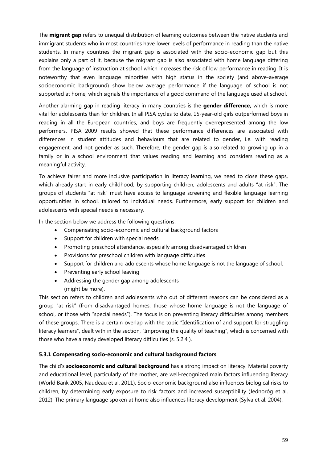The **migrant gap** refers to unequal distribution of learning outcomes between the native students and immigrant students who in most countries have lower levels of performance in reading than the native students. In many countries the migrant gap is associated with the socio-economic gap but this explains only a part of it, because the migrant gap is also associated with home language differing from the language of instruction at school which increases the risk of low performance in reading. It is noteworthy that even language minorities with high status in the society (and above-average socioeconomic background) show below average performance if the language of school is not supported at home, which signals the importance of a good command of the language used at school.

Another alarming gap in reading literacy in many countries is the **gender difference,** which is more vital for adolescents than for children. In all PISA cycles to date, 15-year-old girls outperformed boys in reading in all the European countries, and boys are frequently overrepresented among the low performers. PISA 2009 results showed that these performance differences are associated with differences in student attitudes and behaviours that are related to gender, i.e. with reading engagement, and not gender as such. Therefore, the gender gap is also related to growing up in a family or in a school environment that values reading and learning and considers reading as a meaningful activity.

To achieve fairer and more inclusive participation in literacy learning, we need to close these gaps, which already start in early childhood, by supporting children, adolescents and adults "at risk". The groups of students "at risk" must have access to language screening and flexible language learning opportunities in school, tailored to individual needs. Furthermore, early support for children and adolescents with special needs is necessary.

In the section below we address the following questions:

- · Compensating socio-economic and cultural background factors
- · Support for children with special needs
- · Promoting preschool attendance, especially among disadvantaged children
- · Provisions for preschool children with language difficulties
- · Support for children and adolescents whose home language is not the language of school.
- Preventing early school leaving
- · Addressing the gender gap among adolescents (might be more).

This section refers to children and adolescents who out of different reasons can be considered as a group "at risk" (from disadvantaged homes, those whose home language is not the language of school, or those with "special needs"). The focus is on preventing literacy difficulties among members of these groups. There is a certain overlap with the topic "Identification of and support for struggling literacy learners", dealt with in the section, "Improving the quality of teaching", which is concerned with those who have already developed literacy difficulties (s. 5.2.4 ).

#### **5.3.1 Compensating socio-economic and cultural background factors**

The child's **socioeconomic and cultural background** has a strong impact on literacy. Material poverty and educational level, particularly of the mother, are well-recognized main factors influencing literacy (World Bank 2005, Naudeau et al. 2011). Socio-economic background also influences biological risks to children, by determining early exposure to risk factors and increased susceptibility (Jednoróg et al. 2012). The primary language spoken at home also influences literacy development (Sylva et al. 2004).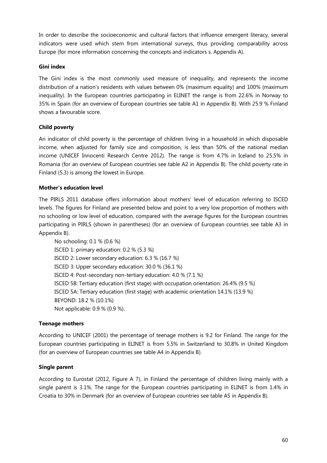In order to describe the socioeconomic and cultural factors that influence emergent literacy, several indicators were used which stem from international surveys, thus providing comparability across Europe (for more information concerning the concepts and indicators s. Appendix A).

# **Gini index**

The Gini index is the most commonly used measure of inequality, and represents the income distribution of a nation's residents with values between 0% (maximum equality) and 100% (maximum inequality). In the European countries participating in ELINET the range is from 22.6% in Norway to 35% in Spain (for an overview of European countries see table A1 in Appendix B). With 25.9 % Finland shows a favourable score.

# **Child poverty**

An indicator of child poverty is the percentage of children living in a household in which disposable income, when adjusted for family size and composition, is less than 50% of the national median income (UNICEF Innocenti Research Centre 2012). The range is from 4.7% in Iceland to 25.5% in Romania (for an overview of European countries see table A2 in Appendix B). The child poverty rate in Finland (5.3) is among the lowest in Europe.

# **Mother's education level**

The PIRLS 2011 database offers information about mothers' level of education referring to ISCED levels. The figures for Finland are presented below and point to a very low proportion of mothers with no schooling or low level of education, compared with the average figures for the European countries participating in PIRLS (shown in parentheses) (for an overview of European countries see table A3 in Appendix B).

No schooling: 0.1 % (0.6 %) ISCED 1: primary education: 0.2 % (5.3 %) ISCED 2: Lower secondary education: 6.3 % (16.7 %) ISCED 3: Upper secondary education: 30.0 % (36.1 %) ISCED 4: Post-secondary non-tertiary education: 4.0 % (7.1 %) ISCED 5B: Tertiary education (first stage) with occupation orientation: 26.4% (9.5 %) ISCED 5A: Tertiary education (first stage) with academic orientation 14.1% (13.9 %) BEYOND: 18.2 % (10.1%) Not applicable: 0.9 % (0.9 %).

#### **Teenage mothers**

According to UNICEF (2001) the percentage of teenage mothers is 9.2 for Finland. The range for the European countries participating in ELINET is from 5.5% in Switzerland to 30.8% in United Kingdom (for an overview of European countries see table A4 in Appendix B).

#### **Single parent**

According to Eurostat (2012, Figure A 7), in Finland the percentage of children living mainly with a single parent is 3.1%. The range for the European countries participating in ELINET is from 1.4% in Croatia to 30% in Denmark (for an overview of European countries see table A5 in Appendix B).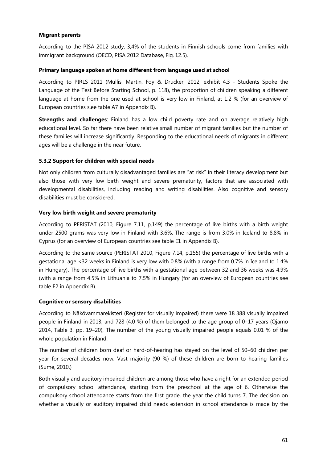#### **Migrant parents**

According to the PISA 2012 study, 3,4% of the students in Finnish schools come from families with immigrant background (OECD, PISA 2012 Database, Fig. I.2.5).

#### **Primary language spoken at home different from language used at school**

According to PIRLS 2011 (Mullis, Martin, Foy & Drucker, 2012, exhibit 4.3 - Students Spoke the Language of the Test Before Starting School, p. 118), the proportion of children speaking a different language at home from the one used at school is very low in Finland, at 1.2 % (for an overview of European countries s.ee table A7 in Appendix B).

**Strengths and challenges**: Finland has a low child poverty rate and on average relatively high educational level. So far there have been relative small number of migrant families but the number of these families will increase significantly. Responding to the educational needs of migrants in different ages will be a challenge in the near future.

#### **5.3.2 Support for children with special needs**

Not only children from culturally disadvantaged families are "at risk" in their literacy development but also those with very low birth weight and severe prematurity, factors that are associated with developmental disabilities, including reading and writing disabilities. Also cognitive and sensory disabilities must be considered.

#### **Very low birth weight and severe prematurity**

According to PERISTAT (2010, Figure 7.11, p.149) the percentage of live births with a birth weight under 2500 grams was very low in Finland with 3.6%. The range is from 3.0% in Iceland to 8.8% in Cyprus (for an overview of European countries see table E1 in Appendix B).

According to the same source (PERISTAT 2010, Figure 7.14, p.155) the percentage of live births with a gestational age <32 weeks in Finland is very low with 0.8% (with a range from 0.7% in Iceland to 1.4% in Hungary). The percentage of live births with a gestational age between 32 and 36 weeks was 4.9% (with a range from 4.5% in Lithuania to 7.5% in Hungary (for an overview of European countries see table E2 in Appendix B).

#### **Cognitive or sensory disabilities**

According to Näkövammarekisteri (Register for visually impaired) there were 18 388 visually impaired people in Finland in 2013, and 728 (4.0 %) of them belonged to the age group of 0-17 years (Ojamo 2014, Table 3, pp. 19–20), The number of the young visually impaired people equals 0.01 % of the whole population in Finland.

The number of children born deaf or hard-of-hearing has stayed on the level of 50–60 children per year for several decades now. Vast majority (90 %) of these children are born to hearing families (Sume, 2010.)

Both visually and auditory impaired children are among those who have a right for an extended period of compulsory school attendance, starting from the preschool at the age of 6. Otherwise the compulsory school attendance starts from the first grade, the year the child turns 7. The decision on whether a visually or auditory impaired child needs extension in school attendance is made by the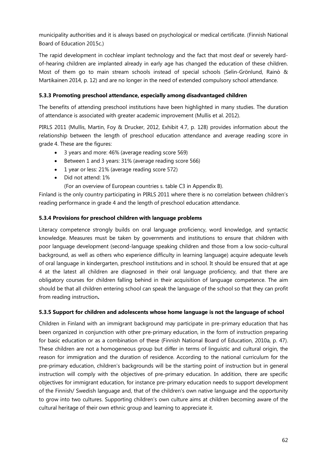municipality authorities and it is always based on psychological or medical certificate. (Finnish National Board of Education 2015c.)

The rapid development in cochlear implant technology and the fact that most deaf or severely hardof-hearing children are implanted already in early age has changed the education of these children. Most of them go to main stream schools instead of special schools (Selin-Grönlund, Rainò & Martikainen 2014, p. 12) and are no longer in the need of extended compulsory school attendance.

# **5.3.3 Promoting preschool attendance, especially among disadvantaged children**

The benefits of attending preschool institutions have been highlighted in many studies. The duration of attendance is associated with greater academic improvement (Mullis et al. 2012).

PIRLS 2011 (Mullis, Martin, Foy & Drucker, 2012, Exhibit 4.7, p. 128) provides information about the relationship between the length of preschool education attendance and average reading score in grade 4. These are the figures:

- · 3 years and more: 46% (average reading score 569)
- · Between 1 and 3 years: 31% (average reading score 566)
- · 1 year or less: 21% (average reading score 572)
- · Did not attend: 1%

(For an overview of European countries s. table C3 in Appendix B).

Finland is the only country participating in PIRLS 2011 where there is no correlation between children's reading performance in grade 4 and the length of preschool education attendance.

# **5.3.4 Provisions for preschool children with language problems**

Literacy competence strongly builds on oral language proficiency, word knowledge, and syntactic knowledge. Measures must be taken by governments and institutions to ensure that children with poor language development (second-language speaking children and those from a low socio-cultural background, as well as others who experience difficulty in learning language) acquire adequate levels of oral language in kindergarten, preschool institutions and in school. It should be ensured that at age 4 at the latest all children are diagnosed in their oral language proficiency, and that there are obligatory courses for children falling behind in their acquisition of language competence. The aim should be that all children entering school can speak the language of the school so that they can profit from reading instruction**.** 

# **5.3.5 Support for children and adolescents whose home language is not the language of school**

Children in Finland with an immigrant background may participate in pre-primary education that has been organized in conjunction with other pre-primary education, in the form of instruction preparing for basic education or as a combination of these (Finnish National Board of Education, 2010a, p. 47). These children are not a homogeneous group but differ in terms of linguistic and cultural origin, the reason for immigration and the duration of residence. According to the national curriculum for the pre-primary education, children's backgrounds will be the starting point of instruction but in general instruction will comply with the objectives of pre-primary education. In addition, there are specific objectives for immigrant education, for instance pre-primary education needs to support development of the Finnish/ Swedish language and, that of the children's own native language and the opportunity to grow into two cultures. Supporting children's own culture aims at children becoming aware of the cultural heritage of their own ethnic group and learning to appreciate it.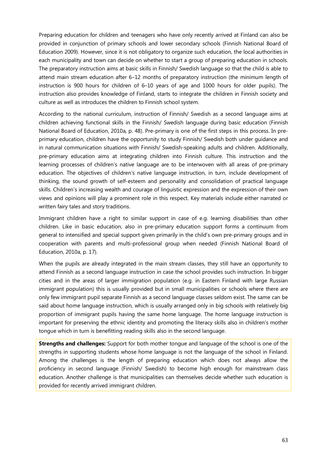Preparing education for children and teenagers who have only recently arrived at Finland can also be provided in conjunction of primary schools and lower secondary schools (Finnish National Board of Education 2009). However, since it is not obligatory to organize such education, the local authorities in each municipality and town can decide on whether to start a group of preparing education in schools. The preparatory instruction aims at basic skills in Finnish/ Swedish language so that the child is able to attend main stream education after 6–12 months of preparatory instruction (the minimum length of instruction is 900 hours for children of 6–10 years of age and 1000 hours for older pupils). The instruction also provides knowledge of Finland, starts to integrate the children in Finnish society and culture as well as introduces the children to Finnish school system.

According to the national curriculum, instruction of Finnish/ Swedish as a second language aims at children achieving functional skills in the Finnish/ Swedish language during basic education (Finnish National Board of Education, 2010a, p. 48). Pre-primary is one of the first steps in this process. In preprimary education, children have the opportunity to study Finnish/ Swedish both under guidance and in natural communication situations with Finnish/ Swedish-speaking adults and children. Additionally, pre-primary education aims at integrating children into Finnish culture. This instruction and the learning processes of children's native language are to be interwoven with all areas of pre-primary education. The objectives of children's native language instruction, in turn, include development of thinking, the sound growth of self-esteem and personality and consolidation of practical language skills. Children's increasing wealth and courage of linguistic expression and the expression of their own views and opinions will play a prominent role in this respect. Key materials include either narrated or written fairy tales and story traditions.

Immigrant children have a right to similar support in case of e.g. learning disabilities than other children. Like in basic education, also in pre-primary education support forms a continuum from general to intensified and special support given primarily in the child's own pre-primary groups and in cooperation with parents and multi-professional group when needed (Finnish National Board of Education, 2010a, p. 17).

When the pupils are already integrated in the main stream classes, they still have an opportunity to attend Finnish as a second language instruction in case the school provides such instruction. In bigger cities and in the areas of larger immigration population (e.g. in Eastern Finland with large Russian immigrant population) this is usually provided but in small municipalities or schools where there are only few immigrant pupil separate Finnish as a second language classes seldom exist. The same can be said about home language instruction, which is usually arranged only in big schools with relatively big proportion of immigrant pupils having the same home language. The home language instruction is important for preserving the ethnic identity and promoting the literacy skills also in children's mother tongue which in turn is benefitting reading skills also in the second language.

**Strengths and challenges:** Support for both mother tongue and language of the school is one of the strengths in supporting students whose home language is not the language of the school in Finland. Among the challenges is the length of preparing education which does not always allow the proficiency in second language (Finnish/ Swedish) to become high enough for mainstream class education. Another challenge is that municipalities can themselves decide whether such education is provided for recently arrived immigrant children.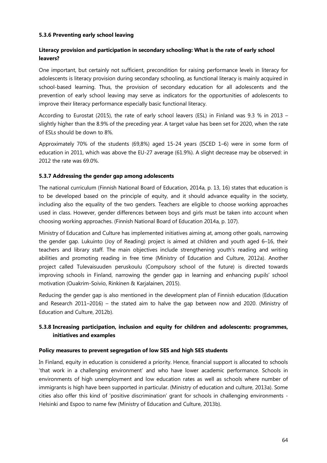## **5.3.6 Preventing early school leaving**

# **Literacy provision and participation in secondary schooling: What is the rate of early school leavers?**

One important, but certainly not sufficient, precondition for raising performance levels in literacy for adolescents is literacy provision during secondary schooling, as functional literacy is mainly acquired in school-based learning. Thus, the provision of secondary education for all adolescents and the prevention of early school leaving may serve as indicators for the opportunities of adolescents to improve their literacy performance especially basic functional literacy.

According to Eurostat (2015), the rate of early school leavers (ESL) in Finland was 9.3 % in 2013 – slightly higher than the 8.9% of the preceding year. A target value has been set for 2020, when the rate of ESLs should be down to 8%.

Approximately 70% of the students (69,8%) aged 15-24 years (ISCED 1–6) were in some form of education in 2011, which was above the EU-27 average (61.9%). A slight decrease may be observed: in 2012 the rate was 69.0%.

#### **5.3.7 Addressing the gender gap among adolescents**

The national curriculum (Finnish National Board of Education, 2014a, p. 13, 16) states that education is to be developed based on the principle of equity, and it should advance equality in the society, including also the equality of the two genders. Teachers are eligible to choose working approaches used in class. However, gender differences between boys and girls must be taken into account when choosing working approaches. (Finnish National Board of Education 2014a, p. 107).

Ministry of Education and Culture has implemented initiatives aiming at, among other goals, narrowing the gender gap. Lukuinto (Joy of Reading) project is aimed at children and youth aged 6–16, their teachers and library staff. The main objectives include strengthening youth's reading and writing abilities and promoting reading in free time (Ministry of Education and Culture, 2012a). Another project called Tulevaisuuden peruskoulu (Compulsory school of the future) is directed towards improving schools in Finland, narrowing the gender gap in learning and enhancing pupils' school motivation (Ouakrim-Soivio, Rinkinen & Karjalainen, 2015).

Reducing the gender gap is also mentioned in the development plan of Finnish education (Education and Research 2011–2016) – the stated aim to halve the gap between now and 2020. (Ministry of Education and Culture, 2012b).

# **5.3.8 Increasing participation, inclusion and equity for children and adolescents: programmes, initiatives and examples**

#### **Policy measures to prevent segregation of low SES and high SES students**

In Finland, equity in education is considered a priority. Hence, financial support is allocated to schools 'that work in a challenging environment' and who have lower academic performance. Schools in environments of high unemployment and low education rates as well as schools where number of immigrants is high have been supported in particular. (Ministry of education and culture, 2013a). Some cities also offer this kind of 'positive discrimination' grant for schools in challenging environments - Helsinki and Espoo to name few (Ministry of Education and Culture, 2013b).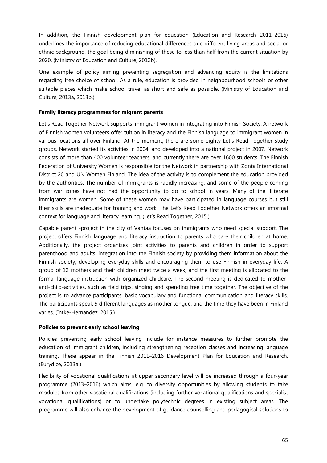In addition, the Finnish development plan for education (Education and Research 2011–2016) underlines the importance of reducing educational differences due different living areas and social or ethnic background, the goal being diminishing of these to less than half from the current situation by 2020. (Ministry of Education and Culture, 2012b).

One example of policy aiming preventing segregation and advancing equity is the limitations regarding free choice of school. As a rule, education is provided in neighbourhood schools or other suitable places which make school travel as short and safe as possible. (Ministry of Education and Culture, 2013a, 2013b.)

# **Family literacy programmes for migrant parents**

Let's Read Together Network supports immigrant women in integrating into Finnish Society. A network of Finnish women volunteers offer tuition in literacy and the Finnish language to immigrant women in various locations all over Finland. At the moment, there are some eighty Let's Read Together study groups. Network started its activities in 2004, and developed into a national project in 2007. Network consists of more than 400 volunteer teachers, and currently there are over 1600 students. The Finnish Federation of University Women is responsible for the Network in partnership with Zonta International District 20 and UN Women Finland. The idea of the activity is to complement the education provided by the authorities. The number of immigrants is rapidly increasing, and some of the people coming from war zones have not had the opportunity to go to school in years. Many of the illiterate immigrants are women. Some of these women may have participated in language courses but still their skills are inadequate for training and work. The Let's Read Together Network offers an informal context for language and literacy learning. (Let's Read Together, 2015.)

Capable parent -project in the city of Vantaa focuses on immigrants who need special support. The project offers Finnish language and literacy instruction to parents who care their children at home. Additionally, the project organizes joint activities to parents and children in order to support parenthood and adults' integration into the Finnish society by providing them information about the Finnish society, developing everyday skills and encouraging them to use Finnish in everyday life. A group of 12 mothers and their children meet twice a week, and the first meeting is allocated to the formal language instruction with organized childcare. The second meeting is dedicated to motherand-child-activities, such as field trips, singing and spending free time together. The objective of the project is to advance participants' basic vocabulary and functional communication and literacy skills. The participants speak 9 different languages as mother tongue, and the time they have been in Finland varies. (Intke-Hernandez, 2015.)

# **Policies to prevent early school leaving**

Policies preventing early school leaving include for instance measures to further promote the education of immigrant children, including strengthening reception classes and increasing language training. These appear in the Finnish 2011–2016 Development Plan for Education and Research. (Eurydice, 2013a.)

Flexibility of vocational qualifications at upper secondary level will be increased through a four-year programme (2013–2016) which aims, e.g. to diversify opportunities by allowing students to take modules from other vocational qualifications (including further vocational qualifications and specialist vocational qualifications) or to undertake polytechnic degrees in existing subject areas. The programme will also enhance the development of guidance counselling and pedagogical solutions to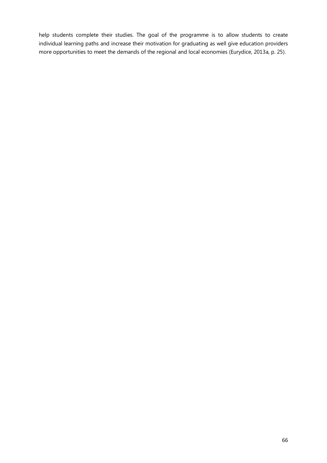help students complete their studies. The goal of the programme is to allow students to create individual learning paths and increase their motivation for graduating as well give education providers more opportunities to meet the demands of the regional and local economies (Eurydice, 2013a, p. 25).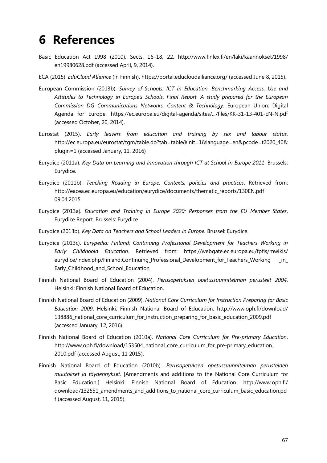# **6 References**

- Basic Education Act 1998 (2010). Sects. 16–18, 22. http://www.finlex.fi/en/laki/kaannokset/1998/ en19980628.pdf (accessed April, 9, 2014).
- ECA (2015). *EduCloud Alliance* (in Finnish). https://portal.educloudalliance.org/ (accessed June 8, 2015).
- European Commission (2013b). *Survey of Schools: ICT in Education. Benchmarking Access, Use and Attitudes to Technology in Europe's Schools. Final Report. A study prepared for the European Commission DG Communications Networks, Content & Technology*. European Union: Digital Agenda for Europe. https://ec.europa.eu/digital-agenda/sites/.../files/KK-31-13-401-EN-N.pdf (accessed October, 20, 2014).
- Eurostat (2015). *Early leavers from education and training by sex and labour status.* http://ec.europa.eu/eurostat/tgm/table.do?tab=table&init=1&language=en&pcode=t2020\_40& plugin=1 (accessed January, 11, 2016)
- Eurydice (2011a). *Key Data on Learning and Innovation through ICT at School in Europe 2011*. Brussels: Eurydice.
- Eurydice (2011b). *Teaching Reading in Europe: Contexts, policies and practices*. Retrieved from: http://eacea.ec.europa.eu/education/eurydice/documents/thematic\_reports/130EN.pdf 09.04.2015
- Eurydice (2013a)*. Education and Training in Europe 2020: Responses from the EU Member States*, Eurydice Report. Brussels: Eurydice
- Eurydice (2013b). *Key Data on Teachers and School Leaders in Europe.* Brussel: Eurydice.
- Eurydice (2013c). *Eurypedia: Finland: Continuing Professional Development for Teachers Working in Early Childhoold Education*. Retrieved from: https://webgate.ec.europa.eu/fpfis/mwikis/ eurydice/index.php/Finland:Continuing\_Professional\_Development\_for\_Teachers\_Working \_in\_ Early Childhood and School Education
- Finnish National Board of Education (2004). *Perusopetuksen opetussuunnitelman perusteet 2004*. Helsinki: Finnish National Board of Education.
- Finnish National Board of Education (2009). *National Core Curriculum for Instruction Preparing for Basic Education 2009*. Helsinki: Finnish National Board of Education. http://www.oph.fi/download/ 138886 national core curriculum for instruction preparing for basic education 2009.pdf (accessed January, 12, 2016).
- Finnish National Board of Education (2010a). *National Core Curriculum for Pre-primary Education*. http://www.oph.fi/download/153504\_national\_core\_curriculum\_for\_pre-primary\_education\_ 2010.pdf (accessed August, 11 2015).
- Finnish National Board of Education (2010b). *Perusopetuksen opetussuunnitelman perusteiden muutokset ja täydennykset.* [Amendments and additions to the National Core Curriculum for Basic Education.] Helsinki: Finnish National Board of Education. http://www.oph.fi/ download/132551\_amendments\_and\_additions\_to\_national\_core\_curriculum\_basic\_education.pd f (accessed August, 11, 2015).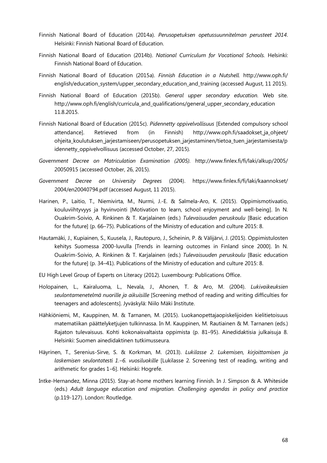- Finnish National Board of Education (2014a). *Perusopetuksen opetussuunnitelman perusteet 2014*. Helsinki: Finnish National Board of Education.
- Finnish National Board of Education (2014b). *National Curriculum for Vocational Schools.* Helsinki: Finnish National Board of Education.
- Finnish National Board of Education (2015a). *Finnish Education in a Nutshell.* http://www.oph.fi/ english/education\_system/upper\_secondary\_education\_and\_training (accessed August, 11 2015).
- Finnish National Board of Education (2015b). *General upper secondary education.* Web site. http://www.oph.fi/english/curricula\_and\_qualifications/general\_upper\_secondary\_education 11.8.2015.
- Finnish National Board of Education (2015c). *Pidennetty oppivelvollisuus* [Extended compulsory school attendance]. Retrieved from (in Finnish) http://www.oph.fi/saadokset\_ja\_ohjeet/ ohjeita\_koulutuksen\_jarjestamiseen/perusopetuksen\_jarjestaminen/tietoa\_tuen\_jarjestamisesta/p idennetty oppivelvollisuus (accessed October, 27, 2015).
- *Government Decree on Matriculation Examination (2005).* http://www.finlex.fi/fi/laki/alkup/2005/ 20050915 (accessed October, 26, 2015).
- *Government Decree on University Degrees* (2004). https://www.finlex.fi/fi/laki/kaannokset/ 2004/en20040794.pdf (accessed August, 11 2015).
- Harinen, P., Laitio, T., Niemivirta, M., Nurmi, J.-E. & Salmela-Aro, K. (2015). Oppimismotivaatio, kouluviihtyvyys ja hyvinvointi [Motivation to learn, school enjoyment and well-being]. In N. Ouakrim-Soivio, A. Rinkinen & T. Karjalainen (eds.) *Tulevaisuuden peruskoulu* [Basic education for the future] (p. 66–75). Publications of the Ministry of education and culture 2015: 8.
- Hautamäki, J., Kupiainen, S., Kuusela, J., Rautopuro, J., Scheinin, P. & Välijärvi, J. (2015). Oppimistulosten kehitys Suomessa 2000-luvulla [Trends in learning outcomes in Finland since 2000]. In N. Ouakrim-Soivio, A. Rinkinen & T. Karjalainen (eds.) *Tulevaisuuden peruskoulu* [Basic education for the future] (p. 34–41). Publications of the Ministry of education and culture 2015: 8.
- EU High Level Group of Experts on Literacy (2012). Luxembourg: Publications Office.
- Holopainen, L., Kairaluoma, L., Nevala, J., Ahonen, T. & Aro, M. (2004). *Lukivaikeuksien seulontamenetelmä nuorille ja aikuisille* [Screening method of reading and writing difficulties for teenagers and adolescents]. Jyväskylä: Niilo Mäki Institute.
- Hähkiöniemi, M., Kauppinen, M. & Tarnanen, M. (2015). Luokanopettajaopiskelijoiden kielitietoisuus matematiikan päättelyketjujen tulkinnassa. In M. Kauppinen, M. Rautiainen & M. Tarnanen (eds.) Rajaton tulevaisuus. Kohti kokonaisvaltaista oppimista (p. 81–95). Ainedidaktisia julkaisuja 8. Helsinki: Suomen ainedidaktinen tutkimusseura.
- Häyrinen, T., Serenius-Sirve, S. & Korkman, M. (2013). *Lukilasse 2. Lukemisen, kirjoittamisen ja laskemisen seulontatesti 1.‒6. vuosiluokille* [Lukilasse 2. Screening test of reading, writing and arithmetic for grades 1-6]. Helsinki: Hogrefe.
- Intke-Hernandez, Minna (2015). Stay-at-home mothers learning Finnish. In J. Simpson & A. Whiteside (eds.) *Adult language education and migration. Challenging agendas in policy and practice* (p.119-127). London: Routledge.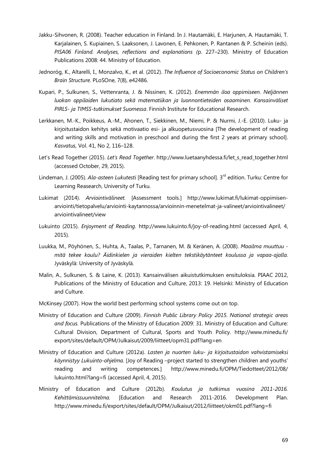- Jakku-Sihvonen, R. (2008). Teacher education in Finland. In J. Hautamäki, E. Harjunen, A. Hautamäki, T. Karjalainen, S. Kupiainen, S. Laaksonen, J. Lavonen, E. Pehkonen, P. Rantanen & P. Scheinin (eds). *PISA06 Finland. Analyses, reflections and explanations (*p. 227–230). Ministry of Education Publications 2008: 44. Ministry of Education.
- Jednoróg, K., Altarelli, I., Monzalvo, K., et al. (2012). *The Influence of Socioeconomic Status on Children's Brain Structure*. PLoSOne, 7(8), e42486.
- Kupari, P., Sulkunen, S., Vettenranta, J. & Nissinen, K. (2012). *Enemmän iloa oppimiseen. Neljännen luokan oppilaiden lukutiato sekä matematiikan ja luonnontieteiden osaaminen. Kansainväliset PIRLS- ja TIMSS-tutkimukset Suomessa*. Finnish Institute for Educational Research.
- Lerkkanen, M.-K., Poikkeus, A.-M., Ahonen, T., Siekkinen, M., Niemi, P. & Nurmi, J.-E. (2010). Luku- ja kirjoitustaidon kehitys sekä motivaatio esi- ja alkuopetusvuosina [The development of reading and writing skills and motivation in preschool and during the first 2 years at primary school]. *Kasvatus,* Vol. 41, No 2, 116–128.
- Let's Read Together (2015). *Let's Read Together*. http://www.luetaanyhdessa.fi/let\_s\_read\_together.html (accessed October, 29, 2015).
- Lindeman, J. (2005). *Ala-asteen Lukutesti* [Reading test for primary school]. 3<sup>rd</sup> edition. Turku: Centre for Learning Reasearch, University of Turku.
- Lukimat (2014). *Arviointivälineet.* [Assessment tools.] http://www.lukimat.fi/lukimat-oppimisenarviointi/tietopalvelu/arviointi-kaytannossa/arvioinnin-menetelmat-ja-valineet/arviointivalineet/ arviointivalineet/view
- Lukuinto (2015). *Enjoyment of Reading.* http://www.lukuinto.fi/joy-of-reading.html (accessed April, 4, 2015).
- Luukka, M., Pöyhönen, S., Huhta, A., Taalas, P., Tarnanen, M. & Keränen, A. (2008). *Maailma muuttuu mitä tekee koulu? Äidinkielen ja vieraiden kielten tekstikäytänteet koulussa ja vapaa-ajalla.* Jyväskylä: University of Jyväskylä.
- Malin, A., Sulkunen, S. & Laine, K. (2013). Kansainvälisen aikuistutkimuksen ensituloksia. PIAAC 2012, Publications of the Ministry of Education and Culture, 2013: 19. Helsinki: Ministry of Education and Culture.
- McKinsey (2007). How the world best performing school systems come out on top.
- Ministry of Education and Culture (2009). *Finnish Public Library Policy 2015. National strategic areas and focus.* Publications of the Ministry of Education 2009: 31. Ministry of Education and Culture: Cultural Division, Department of Cultural, Sports and Youth Policy. http://www.minedu.fi/ export/sites/default/OPM/Julkaisut/2009/liitteet/opm31.pdf?lang=en
- Ministry of Education and Culture (2012a). *Lasten ja nuorten luku- ja kirjoitustaidon vahvistamiseksi käynnistyy Lukuinto-ohjelma.* [Joy of Reading –project started to strengthen children and youths' reading and writing competences.] http://www.minedu.fi/OPM/Tiedotteet/2012/08/ lukuinto.html?lang=fi (accessed April, 4, 2015).
- Ministry of Education and Culture (2012b). *Koulutus ja tutkimus vuosina 2011-2016. Kehittämissuunnitelma.* [Education and Research 2011-2016. Development Plan. http://www.minedu.fi/export/sites/default/OPM/Julkaisut/2012/liitteet/okm01.pdf?lang=fi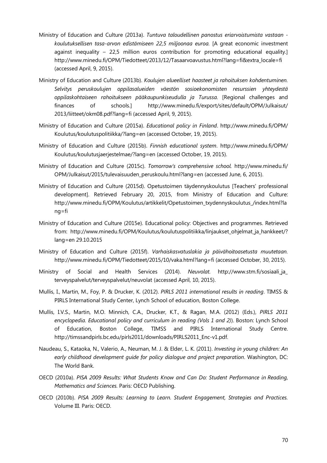- Ministry of Education and Culture (2013a). *Tuntuva taloudellinen panostus eriarvoistumista vastaan koulutuksellisen tasa-arvon edistämiseen 22,5 miljoonaa euroa.* [A great economic investment against inequality – 22,5 million euros contribution for promoting educational equality.] http://www.minedu.fi/OPM/Tiedotteet/2013/12/Tasaarvoavustus.html?lang=fi&extra\_locale=fi (accessed April, 9, 2015).
- Ministry of Education and Culture (2013b). *Koulujen alueelliset haasteet ja rahoituksen kohdentuminen. Selvitys peruskoulujen oppilasalueiden väestön sosioekonomisten resurssien yhteydestä oppilaskohtaiseen rahoitukseen pääkaupunkiseudulla ja Turussa.* [Regional challenges and finances of schools.] http://www.minedu.fi/export/sites/default/OPM/Julkaisut/ 2013/liitteet/okm08.pdf?lang=fi (accessed April, 9, 2015).
- Ministry of Education and Culture (2015a). *Educational policy in Finland*. http://www.minedu.fi/OPM/ Koulutus/koulutuspolitiikka/?lang=en (accessed October, 19, 2015).
- Ministry of Education and Culture (2015b). *Finnish educational system*. http://www.minedu.fi/OPM/ Koulutus/koulutusjaerjestelmae/?lang=en (accessed October, 19, 2015).
- Ministry of Education and Culture (2015c). *Tomorrow's comprehensive school.* http://www.minedu.fi/ OPM/Julkaisut/2015/tulevaisuuden\_peruskoulu.html?lang=en (accessed June, 6, 2015).
- Ministry of Education and Culture (2015d). Opetustoimen täydennyskoulutus [Teachers' professional development]. Retrieved February 20, 2015, from Ministry of Education and Culture: http://www.minedu.fi/OPM/Koulutus/artikkelit/Opetustoimen\_txydennyskoulutus\_/index.html?la ng=fi
- Ministry of Education and Culture (2015e). Educational policy: Objectives and programmes. Retrieved from: http://www.minedu.fi/OPM/Koulutus/koulutuspolitiikka/linjaukset\_ohjelmat\_ja\_hankkeet/? lang=en 29.10.2015
- Ministry of Education and Culture (2015f). *Varhaiskasvatuslakia ja päivähoitoasetusta muutetaan.* http://www.minedu.fi/OPM/Tiedotteet/2015/10/vaka.html?lang=fi (accessed October, 30, 2015).
- Ministry of Social and Health Services (2014). *Neuvolat.* http://www.stm.fi/sosiaali\_ja\_ terveyspalvelut/terveyspalvelut/neuvolat (accessed April, 10, 2015).
- Mullis, I., Martin, M., Foy, P. & Drucker, K. (2012). *PIRLS 2011 international results in reading*. TIMSS & PIRLS International Study Center, Lynch School of education, Boston College.
- Mullis, I.V.S., Martin, M.O. Minnich, C.A., Drucker, K.T., & Ragan, M.A. (2012) (Eds.), *PIRLS 2011 encyclopedia. Educational policy and curriculum in reading (Vols 1 and 2)*). Boston: Lynch School of Education, Boston College, TIMSS and PIRLS International Study Centre. http://timssandpirls.bc.edu/pirls2011/downloads/PIRLS2011\_Enc-v1.pdf.
- Naudeau, S., Kataoka, N., Valerio, A., Neuman, M. J. & Elder, L. K. (2011). *Investing in young children: An early childhood development guide for policy dialogue and project preparation*. Washington, DC: The World Bank.
- OECD (2010a). *PISA 2009 Results: What Students Know and Can Do: Student Performance in Reading, Mathematics and Sciences.* Paris: OECD Publishing.
- OECD (2010b). *PISA 2009 Results: Learning to Learn. Student Engagement, Strategies and Practices.* Volume III. Paris: OECD.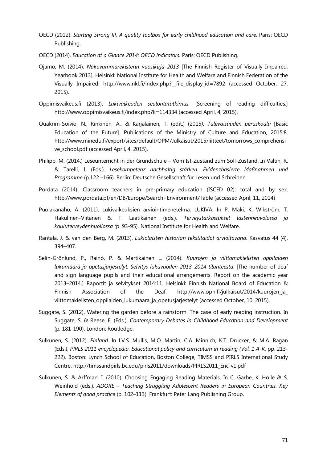- OECD (2012). *Starting Strong III, A quality toolbox for early childhood education and care.* Paris: OECD Publishing.
- OECD (2014). *Education at a Glance 2014: OECD Indicators.* Paris: OECD Publishing.
- Ojamo, M. (2014). *Näkövammarekisterin vuosikirja 2013* [The Finnish Register of Visually Impaired, Yearbook 2013]. Helsinki: National Institute for Health and Welfare and Finnish Federation of the Visually Impaired. http://www.nkl.fi/index.php?\_\_file\_display\_id=7892 (accessed October, 27, 2015).
- Oppimisvaikeus.fi (2013). *Lukivaikeuden seulontatutkimus.* [Screening of reading difficulties.] http://www.oppimisvaikeus.fi/index.php?k=114334 (accessed April, 4, 2015).
- Ouakrim-Soivio, N., Rinkinen, A., & Karjalainen, T. (edit.) (2015*). Tulevaisuuden peruskoulu* [Basic Education of the Future]. Publications of the Ministry of Culture and Education, 2015:8. http://www.minedu.fi/export/sites/default/OPM/Julkaisut/2015/liitteet/tomorrows\_comprehensi ve\_school.pdf (accessed April, 4, 2015).
- Philipp, M. (2014.) Leseunterricht in der Grundschule Vom Ist-Zustand zum Soll-Zustand. In Valtin, R. & Tarelli, I. (Eds.). *Lesekompetenz nachhaltig stärken. Evidenzbasierte Maßnahmen und Programme* (p.122 –166). Berlin: Deutsche Gesellschaft für Lesen und Schreiben.
- Pordata (2014). Classroom teachers in pre-primary education (ISCED 02): total and by sex. http://www.pordata.pt/en/DB/Europe/Search+Environment/Table (accessed April, 11, 2014)
- Puolakanaho, A. (2011). Lukivaikeuksien arviointimenetelmä, LUKIVA. In P. Mäki, K. Wikström, T. Hakulinen-Viitanen & T. Laatikainen (eds.). *Terveystarkastukset lastenneuvolassa ja kouluterveydenhuollossa (*p. 93-95). National Institute for Health and Welfare.
- Rantala, J. & van den Berg, M. (2013). *Lukiolaisten historian tekstitaidot arvioitavana*. Kasvatus 44 (4), 394–407.
- Selin-Grönlund, P., Rainò, P. & Martikainen L. (2014). *Kuurojen ja viittomakielisten oppilaiden lukumäärä ja opetusjärjestelyt. Selvitys lukuvuoden 2013–2014 tilanteesta*. [The number of deaf and sign language pupils and their educational arrangements. Report on the academic year 2013–2014.] Raportit ja selvitykset 2014:11. Helsinki: Finnish National Board of Education & Finnish Association of the Deaf. http://www.oph.fi/julkaisut/2014/kuurojen\_ja viittomakielisten\_oppilaiden\_lukumaara\_ja\_opetusjarjestelyt (accessed October, 10, 2015).
- Suggate, S. (2012). Watering the garden before a rainstorm. The case of early reading instruction. In Suggate, S. & Reese, E. (Eds.). *Contemporary Debates in Childhood Education and Development*  (p*.* 181-190). London: Routledge.
- Sulkunen, S. (2012). *Finland*. In I.V.S. Mullis, M.O. Martin, C.A. Minnich, K.T. Drucker, & M.A. Ragan (Eds.), *PIRLS 2011 encyclopedia. Educational policy and curriculum in reading (Vol. 1 A-K,* pp. 213- 222). Boston: Lynch School of Education, Boston College, TIMSS and PIRLS International Study Centre. http://timssandpirls.bc.edu/pirls2011/downloads/PIRLS2011\_Enc-v1.pdf
- Sulkunen, S. & Arffman, I. (2010). Choosing Engaging Reading Materials. In C. Garbe, K. Holle & S. Weinhold (eds.). *ADORE – Teaching Struggling Adolescent Readers in European Countries. Key Elements of good practice* (p. 102–113). Frankfurt: Peter Lang Publishing Group.